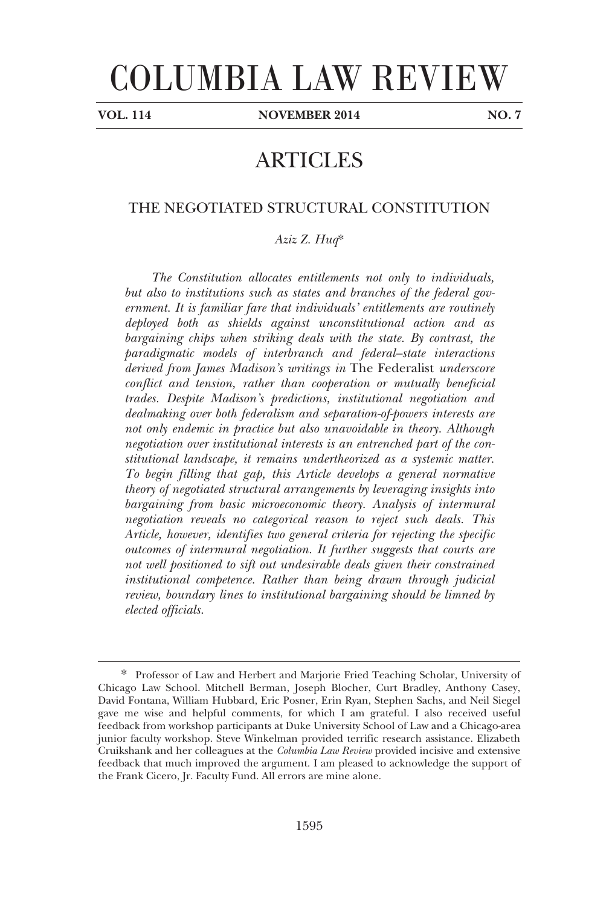# COLUMBIA LAW REVIEW

-

**VOL. 114 NOVEMBER 2014 NO. 7** 

## ARTICLES

### THE NEGOTIATED STRUCTURAL CONSTITUTION

*Aziz Z. Huq*\*

*The Constitution allocates entitlements not only to individuals, but also to institutions such as states and branches of the federal government. It is familiar fare that individuals' entitlements are routinely deployed both as shields against unconstitutional action and as bargaining chips when striking deals with the state. By contrast, the paradigmatic models of interbranch and federal–state interactions derived from James Madison's writings in* The Federalist *underscore conflict and tension, rather than cooperation or mutually beneficial trades. Despite Madison's predictions, institutional negotiation and dealmaking over both federalism and separation-of-powers interests are not only endemic in practice but also unavoidable in theory. Although negotiation over institutional interests is an entrenched part of the constitutional landscape, it remains undertheorized as a systemic matter. To begin filling that gap, this Article develops a general normative theory of negotiated structural arrangements by leveraging insights into bargaining from basic microeconomic theory. Analysis of intermural negotiation reveals no categorical reason to reject such deals. This Article, however, identifies two general criteria for rejecting the specific outcomes of intermural negotiation. It further suggests that courts are not well positioned to sift out undesirable deals given their constrained institutional competence. Rather than being drawn through judicial review, boundary lines to institutional bargaining should be limned by elected officials.* 

<sup>\*.</sup> Professor of Law and Herbert and Marjorie Fried Teaching Scholar, University of Chicago Law School. Mitchell Berman, Joseph Blocher, Curt Bradley, Anthony Casey, David Fontana, William Hubbard, Eric Posner, Erin Ryan, Stephen Sachs, and Neil Siegel gave me wise and helpful comments, for which I am grateful. I also received useful feedback from workshop participants at Duke University School of Law and a Chicago-area junior faculty workshop. Steve Winkelman provided terrific research assistance. Elizabeth Cruikshank and her colleagues at the *Columbia Law Review* provided incisive and extensive feedback that much improved the argument. I am pleased to acknowledge the support of the Frank Cicero, Jr. Faculty Fund. All errors are mine alone.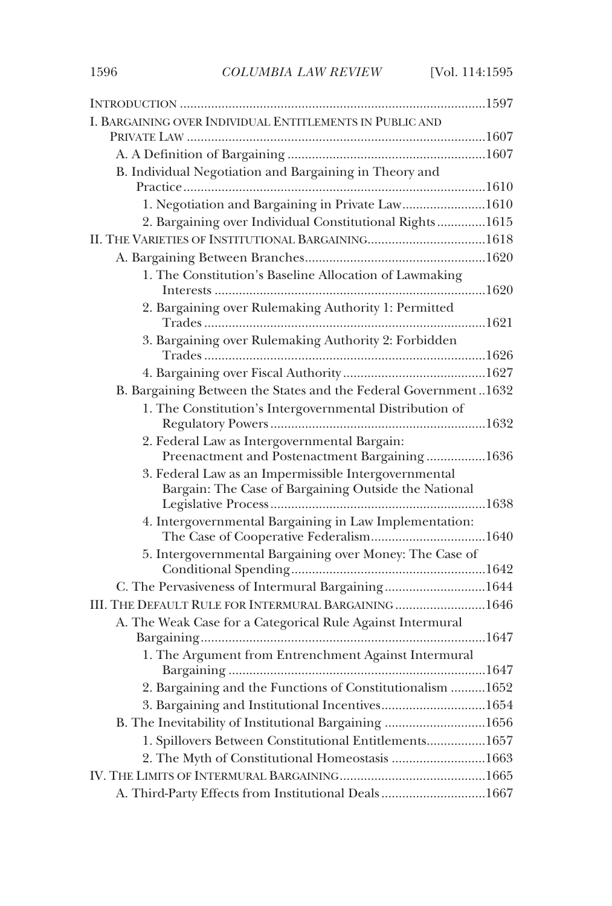| I. BARGAINING OVER INDIVIDUAL ENTITLEMENTS IN PUBLIC AND        |
|-----------------------------------------------------------------|
|                                                                 |
|                                                                 |
| B. Individual Negotiation and Bargaining in Theory and          |
| 1. Negotiation and Bargaining in Private Law1610                |
| 2. Bargaining over Individual Constitutional Rights1615         |
|                                                                 |
|                                                                 |
| 1. The Constitution's Baseline Allocation of Lawmaking          |
|                                                                 |
| 2. Bargaining over Rulemaking Authority 1: Permitted            |
| 3. Bargaining over Rulemaking Authority 2: Forbidden            |
|                                                                 |
|                                                                 |
| B. Bargaining Between the States and the Federal Government1632 |
| 1. The Constitution's Intergovernmental Distribution of         |
| 2. Federal Law as Intergovernmental Bargain:                    |
| Preenactment and Postenactment Bargaining1636                   |
| 3. Federal Law as an Impermissible Intergovernmental            |
| Bargain: The Case of Bargaining Outside the National            |
|                                                                 |
| 4. Intergovernmental Bargaining in Law Implementation:          |
| 5. Intergovernmental Bargaining over Money: The Case of         |
| C. The Pervasiveness of Intermural Bargaining1644               |
| III. THE DEFAULT RULE FOR INTERMURAL BARGAINING 1646            |
| A. The Weak Case for a Categorical Rule Against Intermural      |
|                                                                 |
| 1. The Argument from Entrenchment Against Intermural            |
|                                                                 |
| 2. Bargaining and the Functions of Constitutionalism  1652      |
| 3. Bargaining and Institutional Incentives1654                  |
| B. The Inevitability of Institutional Bargaining 1656           |
| 1. Spillovers Between Constitutional Entitlements1657           |
| 2. The Myth of Constitutional Homeostasis 1663                  |
|                                                                 |
| A. Third-Party Effects from Institutional Deals1667             |
|                                                                 |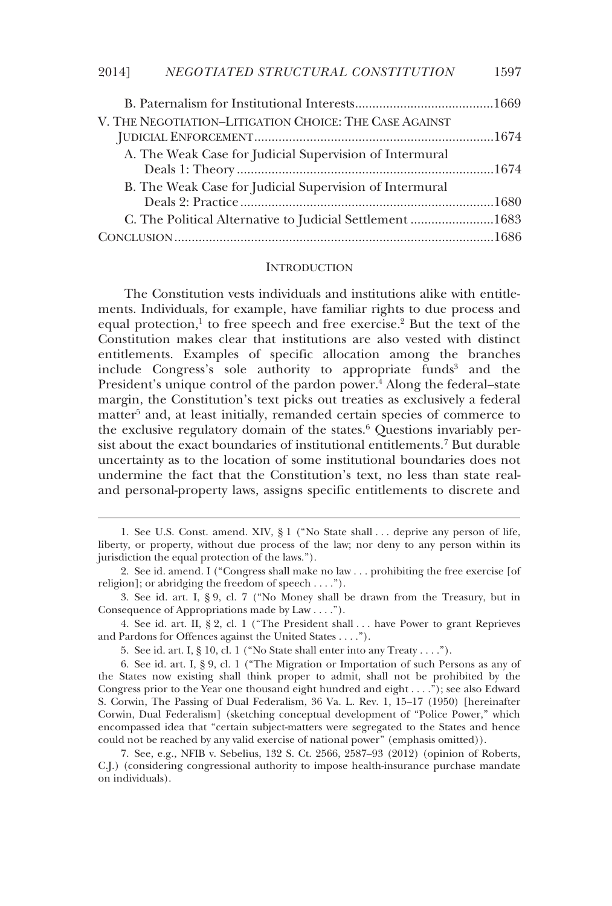| V. THE NEGOTIATION-LITIGATION CHOICE: THE CASE AGAINST   |  |
|----------------------------------------------------------|--|
| A. The Weak Case for Judicial Supervision of Intermural  |  |
| B. The Weak Case for Judicial Supervision of Intermural  |  |
| C. The Political Alternative to Judicial Settlement 1683 |  |
|                                                          |  |

#### **INTRODUCTION**

The Constitution vests individuals and institutions alike with entitlements. Individuals, for example, have familiar rights to due process and equal protection,<sup>1</sup> to free speech and free exercise.<sup>2</sup> But the text of the Constitution makes clear that institutions are also vested with distinct entitlements. Examples of specific allocation among the branches include Congress's sole authority to appropriate funds<sup>3</sup> and the President's unique control of the pardon power.<sup>4</sup> Along the federal-state margin, the Constitution's text picks out treaties as exclusively a federal matter<sup>5</sup> and, at least initially, remanded certain species of commerce to the exclusive regulatory domain of the states.<sup>6</sup> Questions invariably persist about the exact boundaries of institutional entitlements.7 But durable uncertainty as to the location of some institutional boundaries does not undermine the fact that the Constitution's text, no less than state realand personal-property laws, assigns specific entitlements to discrete and

 4. See id. art. II, § 2, cl. 1 ("The President shall . . . have Power to grant Reprieves and Pardons for Offences against the United States . . . .").

5. See id. art. I, § 10, cl. 1 ("No State shall enter into any Treaty . . . .").

-

 7. See, e.g., NFIB v. Sebelius, 132 S. Ct. 2566, 2587–93 (2012) (opinion of Roberts, C.J.) (considering congressional authority to impose health-insurance purchase mandate on individuals).

 <sup>1.</sup> See U.S. Const. amend. XIV, § 1 ("No State shall . . . deprive any person of life, liberty, or property, without due process of the law; nor deny to any person within its jurisdiction the equal protection of the laws.").

 <sup>2.</sup> See id. amend. I ("Congress shall make no law . . . prohibiting the free exercise [of religion]; or abridging the freedom of speech . . . .").

 <sup>3.</sup> See id. art. I, § 9, cl. 7 ("No Money shall be drawn from the Treasury, but in Consequence of Appropriations made by Law . . . .").

 <sup>6.</sup> See id. art. I, § 9, cl. 1 ("The Migration or Importation of such Persons as any of the States now existing shall think proper to admit, shall not be prohibited by the Congress prior to the Year one thousand eight hundred and eight . . . ."); see also Edward S. Corwin, The Passing of Dual Federalism, 36 Va. L. Rev. 1, 15–17 (1950) [hereinafter Corwin, Dual Federalism] (sketching conceptual development of "Police Power," which encompassed idea that "certain subject-matters were segregated to the States and hence could not be reached by any valid exercise of national power" (emphasis omitted)).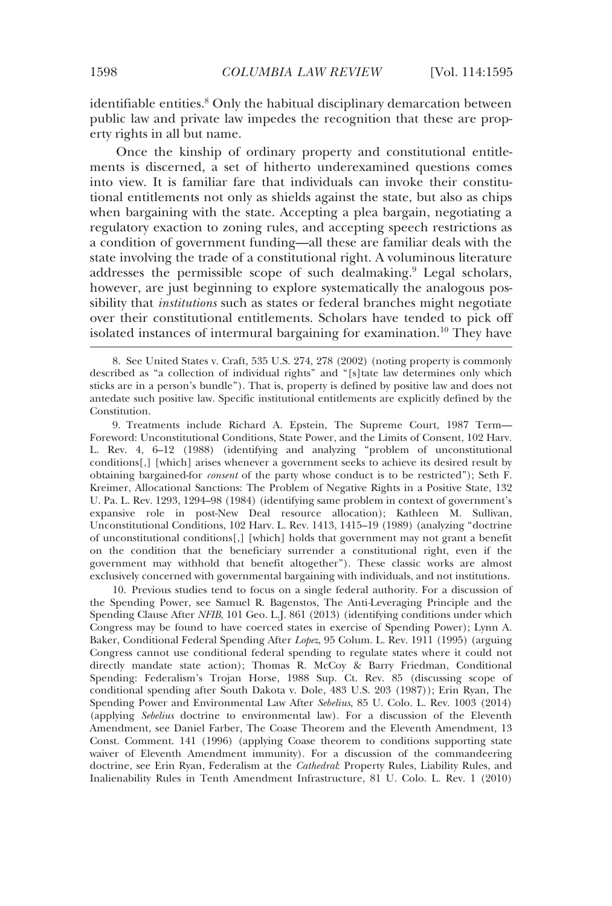identifiable entities.<sup>8</sup> Only the habitual disciplinary demarcation between public law and private law impedes the recognition that these are property rights in all but name.

Once the kinship of ordinary property and constitutional entitlements is discerned, a set of hitherto underexamined questions comes into view. It is familiar fare that individuals can invoke their constitutional entitlements not only as shields against the state, but also as chips when bargaining with the state. Accepting a plea bargain, negotiating a regulatory exaction to zoning rules, and accepting speech restrictions as a condition of government funding—all these are familiar deals with the state involving the trade of a constitutional right. A voluminous literature addresses the permissible scope of such dealmaking.<sup>9</sup> Legal scholars, however, are just beginning to explore systematically the analogous possibility that *institutions* such as states or federal branches might negotiate over their constitutional entitlements. Scholars have tended to pick off isolated instances of intermural bargaining for examination.10 They have

 9. Treatments include Richard A. Epstein, The Supreme Court, 1987 Term— Foreword: Unconstitutional Conditions, State Power, and the Limits of Consent, 102 Harv. L. Rev. 4, 6–12 (1988) (identifying and analyzing "problem of unconstitutional conditions[,] [which] arises whenever a government seeks to achieve its desired result by obtaining bargained-for *consent* of the party whose conduct is to be restricted"); Seth F. Kreimer, Allocational Sanctions: The Problem of Negative Rights in a Positive State, 132 U. Pa. L. Rev. 1293, 1294–98 (1984) (identifying same problem in context of government's expansive role in post-New Deal resource allocation); Kathleen M. Sullivan, Unconstitutional Conditions, 102 Harv. L. Rev. 1413, 1415–19 (1989) (analyzing "doctrine of unconstitutional conditions[,] [which] holds that government may not grant a benefit on the condition that the beneficiary surrender a constitutional right, even if the government may withhold that benefit altogether"). These classic works are almost exclusively concerned with governmental bargaining with individuals, and not institutions.

 10. Previous studies tend to focus on a single federal authority. For a discussion of the Spending Power, see Samuel R. Bagenstos, The Anti*-*Leveraging Principle and the Spending Clause After *NFIB*, 101 Geo. L.J. 861 (2013) (identifying conditions under which Congress may be found to have coerced states in exercise of Spending Power); Lynn A. Baker, Conditional Federal Spending After *Lopez*, 95 Colum. L. Rev. 1911 (1995) (arguing Congress cannot use conditional federal spending to regulate states where it could not directly mandate state action); Thomas R. McCoy & Barry Friedman, Conditional Spending: Federalism's Trojan Horse, 1988 Sup. Ct. Rev. 85 (discussing scope of conditional spending after South Dakota v. Dole, 483 U.S. 203 (1987)); Erin Ryan, The Spending Power and Environmental Law After *Sebelius*, 85 U. Colo. L. Rev. 1003 (2014) (applying *Sebelius* doctrine to environmental law). For a discussion of the Eleventh Amendment, see Daniel Farber, The Coase Theorem and the Eleventh Amendment, 13 Const. Comment. 141 (1996) (applying Coase theorem to conditions supporting state waiver of Eleventh Amendment immunity). For a discussion of the commandeering doctrine, see Erin Ryan, Federalism at the *Cathedral*: Property Rules, Liability Rules, and Inalienability Rules in Tenth Amendment Infrastructure, 81 U. Colo. L. Rev. 1 (2010)

 <sup>8.</sup> See United States v. Craft, 535 U.S. 274, 278 (2002) (noting property is commonly described as "a collection of individual rights" and "[s]tate law determines only which sticks are in a person's bundle"). That is, property is defined by positive law and does not antedate such positive law. Specific institutional entitlements are explicitly defined by the Constitution.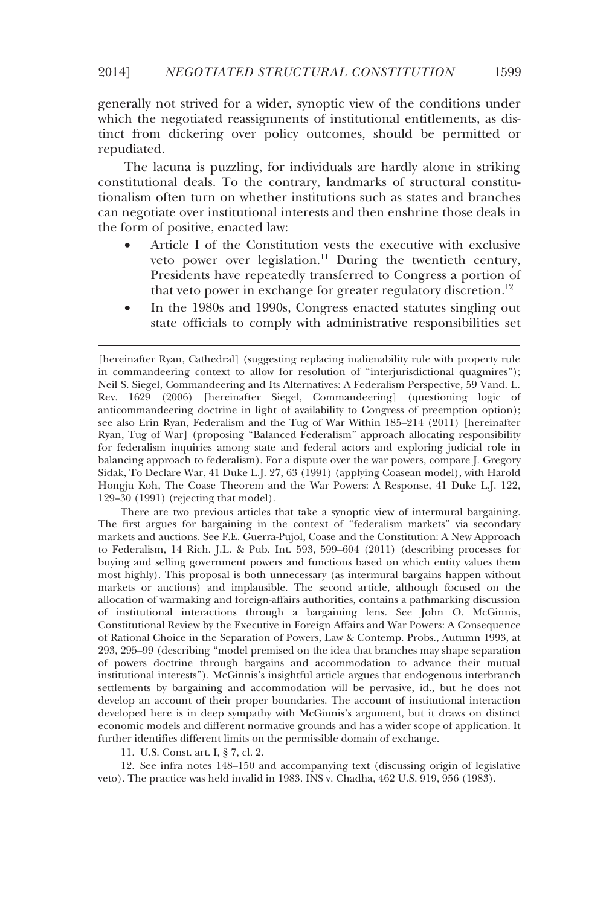#### 2014] *NEGOTIATED STRUCTURAL CONSTITUTION* 1599

generally not strived for a wider, synoptic view of the conditions under which the negotiated reassignments of institutional entitlements, as distinct from dickering over policy outcomes, should be permitted or repudiated.

The lacuna is puzzling, for individuals are hardly alone in striking constitutional deals. To the contrary, landmarks of structural constitutionalism often turn on whether institutions such as states and branches can negotiate over institutional interests and then enshrine those deals in the form of positive, enacted law:

- Article I of the Constitution vests the executive with exclusive veto power over legislation.<sup>11</sup> During the twentieth century, Presidents have repeatedly transferred to Congress a portion of that veto power in exchange for greater regulatory discretion.<sup>12</sup>
- In the 1980s and 1990s, Congress enacted statutes singling out state officials to comply with administrative responsibilities set

 There are two previous articles that take a synoptic view of intermural bargaining. The first argues for bargaining in the context of "federalism markets" via secondary markets and auctions. See F.E. Guerra-Pujol, Coase and the Constitution: A New Approach to Federalism, 14 Rich. J.L. & Pub. Int. 593, 599–604 (2011) (describing processes for buying and selling government powers and functions based on which entity values them most highly). This proposal is both unnecessary (as intermural bargains happen without markets or auctions) and implausible. The second article, although focused on the allocation of warmaking and foreign-affairs authorities, contains a pathmarking discussion of institutional interactions through a bargaining lens. See John O. McGinnis, Constitutional Review by the Executive in Foreign Affairs and War Powers: A Consequence of Rational Choice in the Separation of Powers, Law & Contemp. Probs., Autumn 1993, at 293, 295–99 (describing "model premised on the idea that branches may shape separation of powers doctrine through bargains and accommodation to advance their mutual institutional interests"). McGinnis's insightful article argues that endogenous interbranch settlements by bargaining and accommodation will be pervasive, id., but he does not develop an account of their proper boundaries. The account of institutional interaction developed here is in deep sympathy with McGinnis's argument, but it draws on distinct economic models and different normative grounds and has a wider scope of application. It further identifies different limits on the permissible domain of exchange.

11. U.S. Const. art. I, § 7, cl. 2.

-

 12. See infra notes 148–150 and accompanying text (discussing origin of legislative veto). The practice was held invalid in 1983. INS v. Chadha, 462 U.S. 919, 956 (1983).

<sup>[</sup>hereinafter Ryan, Cathedral] (suggesting replacing inalienability rule with property rule in commandeering context to allow for resolution of "interjurisdictional quagmires"); Neil S. Siegel, Commandeering and Its Alternatives: A Federalism Perspective, 59 Vand. L. Rev. 1629 (2006) [hereinafter Siegel, Commandeering] (questioning logic of anticommandeering doctrine in light of availability to Congress of preemption option); see also Erin Ryan, Federalism and the Tug of War Within 185–214 (2011) [hereinafter Ryan, Tug of War] (proposing "Balanced Federalism" approach allocating responsibility for federalism inquiries among state and federal actors and exploring judicial role in balancing approach to federalism). For a dispute over the war powers, compare J. Gregory Sidak, To Declare War, 41 Duke L.J. 27, 63 (1991) (applying Coasean model), with Harold Hongju Koh, The Coase Theorem and the War Powers: A Response, 41 Duke L.J. 122, 129–30 (1991) (rejecting that model).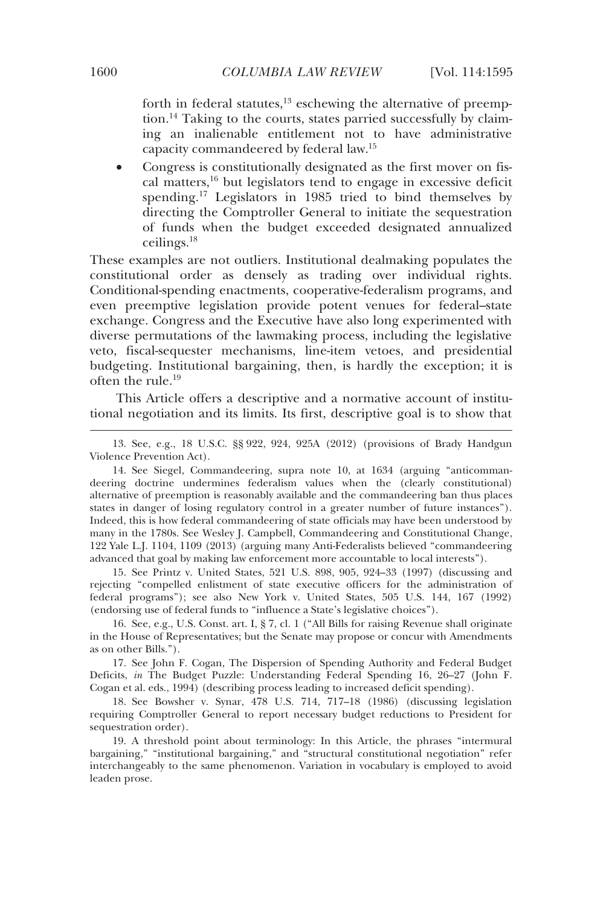forth in federal statutes, $13$  eschewing the alternative of preemption.14 Taking to the courts, states parried successfully by claiming an inalienable entitlement not to have administrative capacity commandeered by federal law.15

 Congress is constitutionally designated as the first mover on fiscal matters,16 but legislators tend to engage in excessive deficit spending.<sup>17</sup> Legislators in 1985 tried to bind themselves by directing the Comptroller General to initiate the sequestration of funds when the budget exceeded designated annualized ceilings.18

These examples are not outliers. Institutional dealmaking populates the constitutional order as densely as trading over individual rights. Conditional-spending enactments, cooperative-federalism programs, and even preemptive legislation provide potent venues for federal–state exchange. Congress and the Executive have also long experimented with diverse permutations of the lawmaking process, including the legislative veto, fiscal-sequester mechanisms, line-item vetoes, and presidential budgeting. Institutional bargaining, then, is hardly the exception; it is often the rule.19

This Article offers a descriptive and a normative account of institutional negotiation and its limits. Its first, descriptive goal is to show that

 13. See, e.g., 18 U.S.C. §§ 922, 924, 925A (2012) (provisions of Brady Handgun Violence Prevention Act).

 14. See Siegel, Commandeering, supra note 10, at 1634 (arguing "anticommandeering doctrine undermines federalism values when the (clearly constitutional) alternative of preemption is reasonably available and the commandeering ban thus places states in danger of losing regulatory control in a greater number of future instances"). Indeed, this is how federal commandeering of state officials may have been understood by many in the 1780s. See Wesley J. Campbell, Commandeering and Constitutional Change, 122 Yale L.J. 1104, 1109 (2013) (arguing many Anti-Federalists believed "commandeering advanced that goal by making law enforcement more accountable to local interests").

 15. See Printz v. United States, 521 U.S. 898, 905, 924–33 (1997) (discussing and rejecting "compelled enlistment of state executive officers for the administration of federal programs"); see also New York v. United States, 505 U.S. 144, 167 (1992) (endorsing use of federal funds to "influence a State's legislative choices").

 16. See, e.g., U.S. Const. art. I, § 7, cl. 1 ("All Bills for raising Revenue shall originate in the House of Representatives; but the Senate may propose or concur with Amendments as on other Bills.").

 17. See John F. Cogan, The Dispersion of Spending Authority and Federal Budget Deficits, *in* The Budget Puzzle: Understanding Federal Spending 16, 26–27 (John F. Cogan et al. eds., 1994) (describing process leading to increased deficit spending).

 18. See Bowsher v. Synar, 478 U.S. 714, 717–18 (1986) (discussing legislation requiring Comptroller General to report necessary budget reductions to President for sequestration order).

 19. A threshold point about terminology: In this Article, the phrases "intermural bargaining," "institutional bargaining," and "structural constitutional negotiation" refer interchangeably to the same phenomenon. Variation in vocabulary is employed to avoid leaden prose.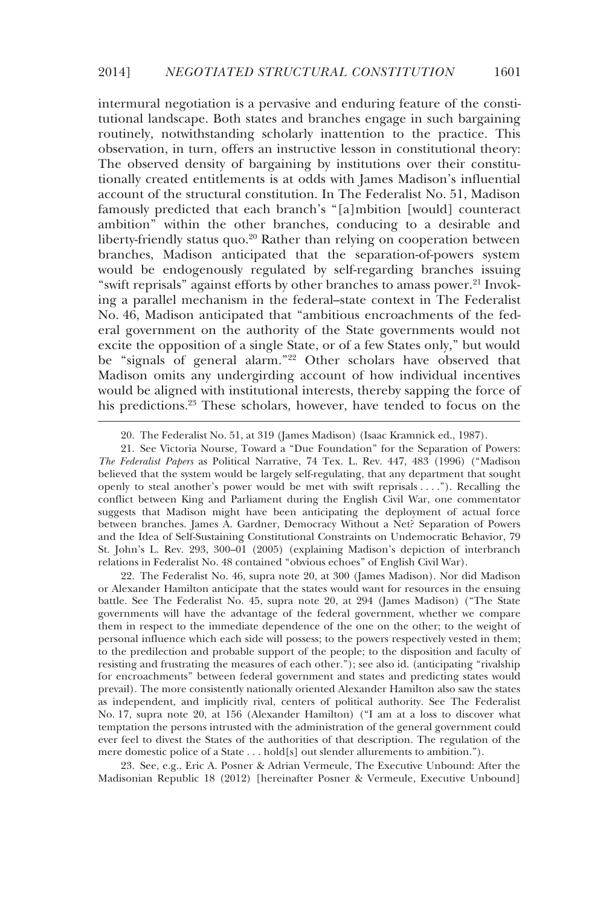intermural negotiation is a pervasive and enduring feature of the constitutional landscape. Both states and branches engage in such bargaining routinely, notwithstanding scholarly inattention to the practice. This observation, in turn, offers an instructive lesson in constitutional theory: The observed density of bargaining by institutions over their constitutionally created entitlements is at odds with James Madison's influential account of the structural constitution. In The Federalist No. 51, Madison famously predicted that each branch's "[a]mbition [would] counteract ambition" within the other branches, conducing to a desirable and liberty-friendly status quo.<sup>20</sup> Rather than relying on cooperation between branches, Madison anticipated that the separation-of-powers system would be endogenously regulated by self-regarding branches issuing "swift reprisals" against efforts by other branches to amass power.<sup>21</sup> Invoking a parallel mechanism in the federal–state context in The Federalist No. 46, Madison anticipated that "ambitious encroachments of the federal government on the authority of the State governments would not excite the opposition of a single State, or of a few States only," but would be "signals of general alarm."22 Other scholars have observed that Madison omits any undergirding account of how individual incentives would be aligned with institutional interests, thereby sapping the force of his predictions.<sup>23</sup> These scholars, however, have tended to focus on the

-

 22. The Federalist No. 46, supra note 20, at 300 (James Madison). Nor did Madison or Alexander Hamilton anticipate that the states would want for resources in the ensuing battle. See The Federalist No. 45, supra note 20, at 294 (James Madison) ("The State governments will have the advantage of the federal government, whether we compare them in respect to the immediate dependence of the one on the other; to the weight of personal influence which each side will possess; to the powers respectively vested in them; to the predilection and probable support of the people; to the disposition and faculty of resisting and frustrating the measures of each other."); see also id. (anticipating "rivalship for encroachments" between federal government and states and predicting states would prevail). The more consistently nationally oriented Alexander Hamilton also saw the states as independent, and implicitly rival, centers of political authority. See The Federalist No. 17, supra note 20, at 156 (Alexander Hamilton) ("I am at a loss to discover what temptation the persons intrusted with the administration of the general government could ever feel to divest the States of the authorities of that description. The regulation of the mere domestic police of a State . . . hold[s] out slender allurements to ambition.").

 23. See, e.g., Eric A. Posner & Adrian Vermeule, The Executive Unbound: After the Madisonian Republic 18 (2012) [hereinafter Posner & Vermeule, Executive Unbound]

 <sup>20.</sup> The Federalist No. 51, at 319 (James Madison) (Isaac Kramnick ed., 1987).

 <sup>21.</sup> See Victoria Nourse, Toward a "Due Foundation" for the Separation of Powers: *The Federalist Papers* as Political Narrative, 74 Tex. L. Rev. 447, 483 (1996) ("Madison believed that the system would be largely self-regulating, that any department that sought openly to steal another's power would be met with swift reprisals . . . ."). Recalling the conflict between King and Parliament during the English Civil War, one commentator suggests that Madison might have been anticipating the deployment of actual force between branches. James A. Gardner, Democracy Without a Net? Separation of Powers and the Idea of Self-Sustaining Constitutional Constraints on Undemocratic Behavior, 79 St. John's L. Rev. 293, 300–01 (2005) (explaining Madison's depiction of interbranch relations in Federalist No. 48 contained "obvious echoes" of English Civil War).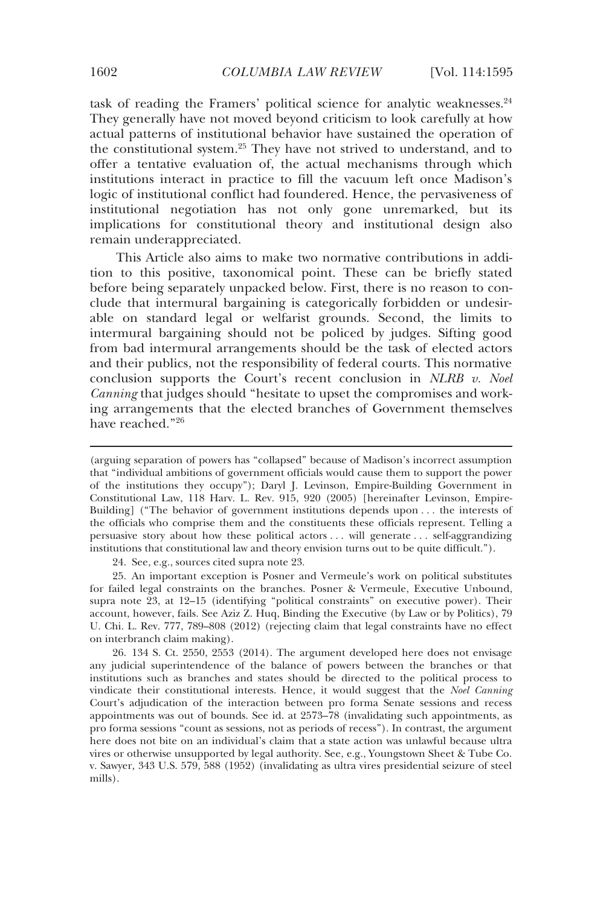task of reading the Framers' political science for analytic weaknesses.<sup>24</sup> They generally have not moved beyond criticism to look carefully at how actual patterns of institutional behavior have sustained the operation of the constitutional system.25 They have not strived to understand, and to offer a tentative evaluation of, the actual mechanisms through which institutions interact in practice to fill the vacuum left once Madison's logic of institutional conflict had foundered. Hence, the pervasiveness of institutional negotiation has not only gone unremarked, but its implications for constitutional theory and institutional design also remain underappreciated.

This Article also aims to make two normative contributions in addition to this positive, taxonomical point. These can be briefly stated before being separately unpacked below. First, there is no reason to conclude that intermural bargaining is categorically forbidden or undesirable on standard legal or welfarist grounds. Second, the limits to intermural bargaining should not be policed by judges. Sifting good from bad intermural arrangements should be the task of elected actors and their publics, not the responsibility of federal courts. This normative conclusion supports the Court's recent conclusion in *NLRB v. Noel Canning* that judges should "hesitate to upset the compromises and working arrangements that the elected branches of Government themselves have reached."26

24. See, e.g., sources cited supra note 23.

 25. An important exception is Posner and Vermeule's work on political substitutes for failed legal constraints on the branches. Posner & Vermeule, Executive Unbound, supra note 23, at 12–15 (identifying "political constraints" on executive power). Their account, however, fails. See Aziz Z. Huq, Binding the Executive (by Law or by Politics), 79 U. Chi. L. Rev. 777, 789–808 (2012) (rejecting claim that legal constraints have no effect on interbranch claim making).

 26. 134 S. Ct. 2550, 2553 (2014). The argument developed here does not envisage any judicial superintendence of the balance of powers between the branches or that institutions such as branches and states should be directed to the political process to vindicate their constitutional interests. Hence, it would suggest that the *Noel Canning*  Court's adjudication of the interaction between pro forma Senate sessions and recess appointments was out of bounds. See id. at 2573–78 (invalidating such appointments, as pro forma sessions "count as sessions, not as periods of recess"). In contrast, the argument here does not bite on an individual's claim that a state action was unlawful because ultra vires or otherwise unsupported by legal authority. See, e.g., Youngstown Sheet & Tube Co. v. Sawyer, 343 U.S. 579, 588 (1952) (invalidating as ultra vires presidential seizure of steel mills).

<sup>(</sup>arguing separation of powers has "collapsed" because of Madison's incorrect assumption that "individual ambitions of government officials would cause them to support the power of the institutions they occupy"); Daryl J. Levinson, Empire-Building Government in Constitutional Law, 118 Harv. L. Rev. 915, 920 (2005) [hereinafter Levinson, Empire-Building] ("The behavior of government institutions depends upon . . . the interests of the officials who comprise them and the constituents these officials represent. Telling a persuasive story about how these political actors . . . will generate . . . self-aggrandizing institutions that constitutional law and theory envision turns out to be quite difficult.").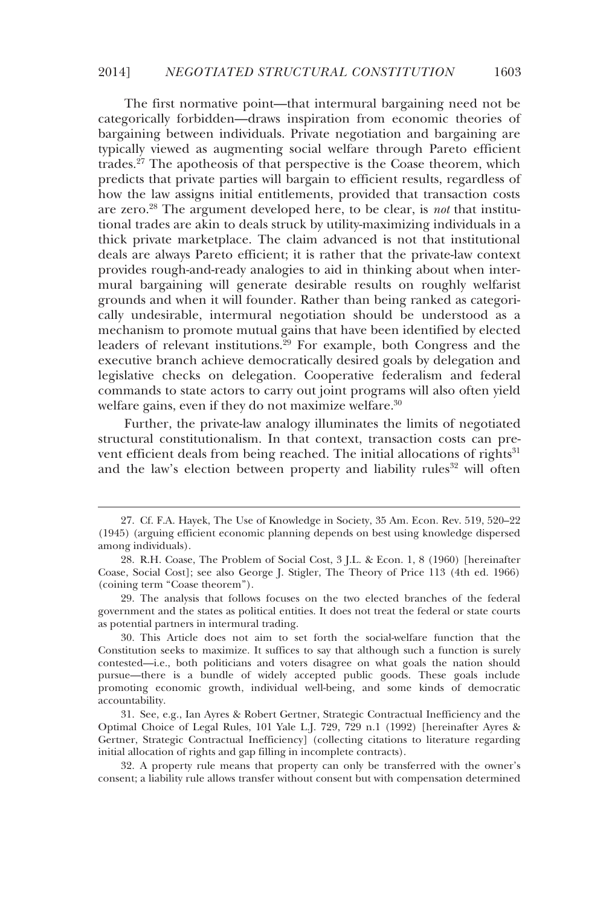#### 2014] *NEGOTIATED STRUCTURAL CONSTITUTION* 1603

The first normative point—that intermural bargaining need not be categorically forbidden—draws inspiration from economic theories of bargaining between individuals. Private negotiation and bargaining are typically viewed as augmenting social welfare through Pareto efficient trades.27 The apotheosis of that perspective is the Coase theorem, which predicts that private parties will bargain to efficient results, regardless of how the law assigns initial entitlements, provided that transaction costs are zero.28 The argument developed here, to be clear, is *not* that institutional trades are akin to deals struck by utility-maximizing individuals in a thick private marketplace. The claim advanced is not that institutional deals are always Pareto efficient; it is rather that the private-law context provides rough-and-ready analogies to aid in thinking about when intermural bargaining will generate desirable results on roughly welfarist grounds and when it will founder. Rather than being ranked as categorically undesirable, intermural negotiation should be understood as a mechanism to promote mutual gains that have been identified by elected leaders of relevant institutions.<sup>29</sup> For example, both Congress and the executive branch achieve democratically desired goals by delegation and legislative checks on delegation. Cooperative federalism and federal commands to state actors to carry out joint programs will also often yield welfare gains, even if they do not maximize welfare.<sup>30</sup>

Further, the private-law analogy illuminates the limits of negotiated structural constitutionalism. In that context, transaction costs can prevent efficient deals from being reached. The initial allocations of rights<sup>31</sup> and the law's election between property and liability rules<sup>32</sup> will often

-

 <sup>27.</sup> Cf. F.A. Hayek, The Use of Knowledge in Society, 35 Am. Econ. Rev. 519, 520–22 (1945) (arguing efficient economic planning depends on best using knowledge dispersed among individuals).

 <sup>28.</sup> R.H. Coase, The Problem of Social Cost, 3 J.L. & Econ. 1, 8 (1960) [hereinafter Coase, Social Cost]; see also George J. Stigler, The Theory of Price 113 (4th ed. 1966) (coining term "Coase theorem").

 <sup>29.</sup> The analysis that follows focuses on the two elected branches of the federal government and the states as political entities. It does not treat the federal or state courts as potential partners in intermural trading.

 <sup>30.</sup> This Article does not aim to set forth the social-welfare function that the Constitution seeks to maximize. It suffices to say that although such a function is surely contested—i.e., both politicians and voters disagree on what goals the nation should pursue—there is a bundle of widely accepted public goods. These goals include promoting economic growth, individual well-being, and some kinds of democratic accountability.

 <sup>31.</sup> See, e.g., Ian Ayres & Robert Gertner, Strategic Contractual Inefficiency and the Optimal Choice of Legal Rules, 101 Yale L.J. 729, 729 n.1 (1992) [hereinafter Ayres & Gertner, Strategic Contractual Inefficiency] (collecting citations to literature regarding initial allocation of rights and gap filling in incomplete contracts).

 <sup>32.</sup> A property rule means that property can only be transferred with the owner's consent; a liability rule allows transfer without consent but with compensation determined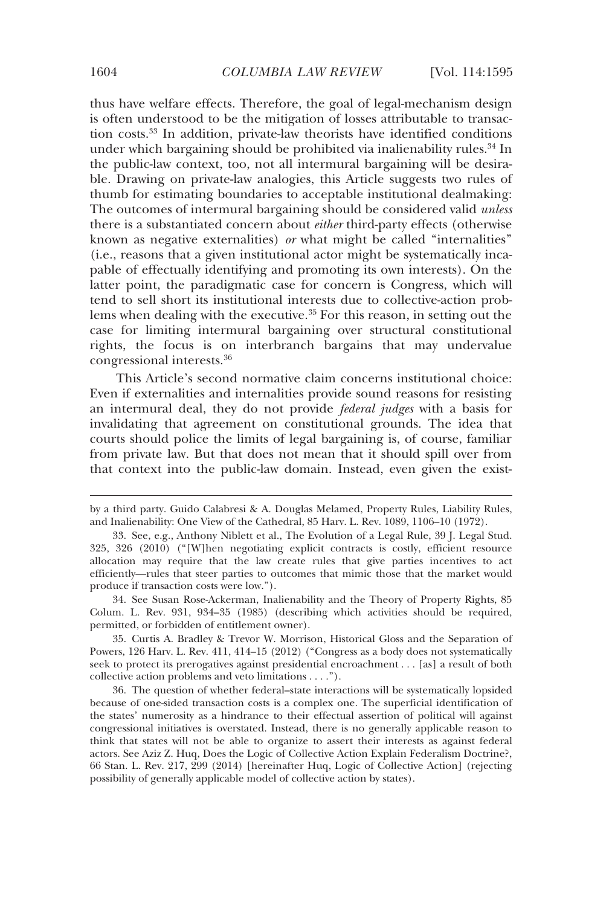thus have welfare effects. Therefore, the goal of legal-mechanism design is often understood to be the mitigation of losses attributable to transaction costs.33 In addition, private-law theorists have identified conditions under which bargaining should be prohibited via inalienability rules.<sup>34</sup> In the public-law context, too, not all intermural bargaining will be desirable. Drawing on private-law analogies, this Article suggests two rules of thumb for estimating boundaries to acceptable institutional dealmaking: The outcomes of intermural bargaining should be considered valid *unless* there is a substantiated concern about *either* third-party effects (otherwise known as negative externalities) *or* what might be called "internalities" (i.e., reasons that a given institutional actor might be systematically incapable of effectually identifying and promoting its own interests). On the latter point, the paradigmatic case for concern is Congress, which will tend to sell short its institutional interests due to collective-action problems when dealing with the executive.<sup>35</sup> For this reason, in setting out the case for limiting intermural bargaining over structural constitutional rights, the focus is on interbranch bargains that may undervalue congressional interests.36

This Article's second normative claim concerns institutional choice: Even if externalities and internalities provide sound reasons for resisting an intermural deal, they do not provide *federal judges* with a basis for invalidating that agreement on constitutional grounds. The idea that courts should police the limits of legal bargaining is, of course, familiar from private law. But that does not mean that it should spill over from that context into the public-law domain. Instead, even given the exist-

 34. See Susan Rose-Ackerman, Inalienability and the Theory of Property Rights, 85 Colum. L. Rev. 931, 934–35 (1985) (describing which activities should be required, permitted, or forbidden of entitlement owner).

 35. Curtis A. Bradley & Trevor W. Morrison, Historical Gloss and the Separation of Powers, 126 Harv. L. Rev. 411, 414–15 (2012) ("Congress as a body does not systematically seek to protect its prerogatives against presidential encroachment . . . [as] a result of both collective action problems and veto limitations . . . .").

 36. The question of whether federal–state interactions will be systematically lopsided because of one-sided transaction costs is a complex one. The superficial identification of the states' numerosity as a hindrance to their effectual assertion of political will against congressional initiatives is overstated. Instead, there is no generally applicable reason to think that states will not be able to organize to assert their interests as against federal actors. See Aziz Z. Huq, Does the Logic of Collective Action Explain Federalism Doctrine?, 66 Stan. L. Rev. 217, 299 (2014) [hereinafter Huq, Logic of Collective Action] (rejecting possibility of generally applicable model of collective action by states).

by a third party. Guido Calabresi & A. Douglas Melamed, Property Rules, Liability Rules, and Inalienability: One View of the Cathedral, 85 Harv. L. Rev. 1089, 1106–10 (1972).

 <sup>33.</sup> See, e.g., Anthony Niblett et al., The Evolution of a Legal Rule, 39 J. Legal Stud. 325, 326 (2010) ("[W]hen negotiating explicit contracts is costly, efficient resource allocation may require that the law create rules that give parties incentives to act efficiently—rules that steer parties to outcomes that mimic those that the market would produce if transaction costs were low.").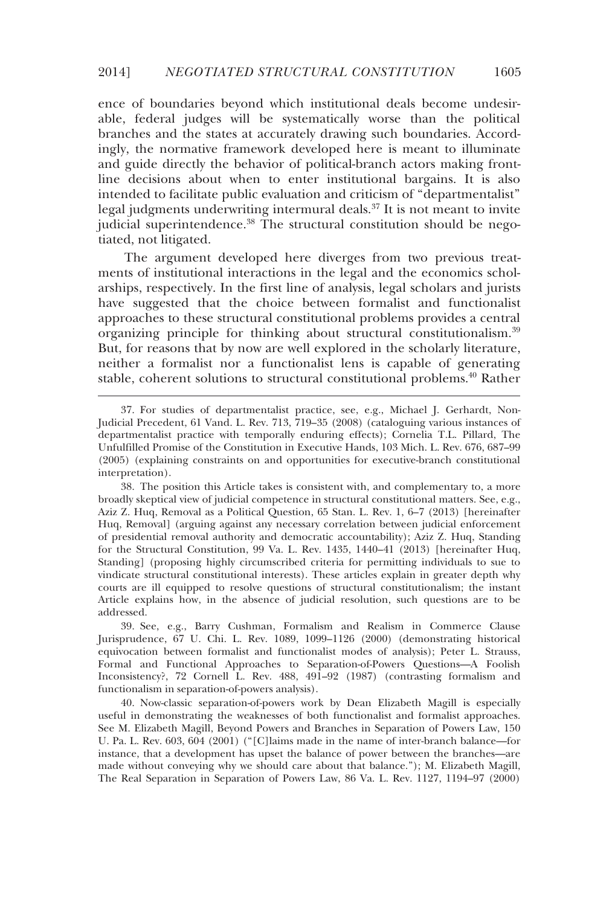ence of boundaries beyond which institutional deals become undesirable, federal judges will be systematically worse than the political branches and the states at accurately drawing such boundaries. Accordingly, the normative framework developed here is meant to illuminate and guide directly the behavior of political-branch actors making frontline decisions about when to enter institutional bargains. It is also intended to facilitate public evaluation and criticism of "departmentalist" legal judgments underwriting intermural deals.<sup>37</sup> It is not meant to invite judicial superintendence.38 The structural constitution should be negotiated, not litigated.

The argument developed here diverges from two previous treatments of institutional interactions in the legal and the economics scholarships, respectively. In the first line of analysis, legal scholars and jurists have suggested that the choice between formalist and functionalist approaches to these structural constitutional problems provides a central organizing principle for thinking about structural constitutionalism.<sup>39</sup> But, for reasons that by now are well explored in the scholarly literature, neither a formalist nor a functionalist lens is capable of generating stable, coherent solutions to structural constitutional problems.<sup>40</sup> Rather

-

 39. See, e.g., Barry Cushman, Formalism and Realism in Commerce Clause Jurisprudence, 67 U. Chi. L. Rev. 1089, 1099–1126 (2000) (demonstrating historical equivocation between formalist and functionalist modes of analysis); Peter L. Strauss, Formal and Functional Approaches to Separation-of-Powers Questions—A Foolish Inconsistency?, 72 Cornell L. Rev. 488, 491–92 (1987) (contrasting formalism and functionalism in separation-of-powers analysis).

 40. Now-classic separation-of-powers work by Dean Elizabeth Magill is especially useful in demonstrating the weaknesses of both functionalist and formalist approaches. See M. Elizabeth Magill, Beyond Powers and Branches in Separation of Powers Law, 150 U. Pa. L. Rev. 603, 604 (2001) ("[C]laims made in the name of inter-branch balance—for instance, that a development has upset the balance of power between the branches—are made without conveying why we should care about that balance."); M. Elizabeth Magill, The Real Separation in Separation of Powers Law, 86 Va. L. Rev. 1127, 1194–97 (2000)

 <sup>37.</sup> For studies of departmentalist practice, see, e.g., Michael J. Gerhardt, Non-Judicial Precedent, 61 Vand. L. Rev. 713, 719–35 (2008) (cataloguing various instances of departmentalist practice with temporally enduring effects); Cornelia T.L. Pillard, The Unfulfilled Promise of the Constitution in Executive Hands, 103 Mich. L. Rev. 676, 687–99 (2005) (explaining constraints on and opportunities for executive-branch constitutional interpretation).

 <sup>38.</sup> The position this Article takes is consistent with, and complementary to, a more broadly skeptical view of judicial competence in structural constitutional matters. See, e.g., Aziz Z. Huq, Removal as a Political Question, 65 Stan. L. Rev. 1, 6–7 (2013) [hereinafter Huq, Removal] (arguing against any necessary correlation between judicial enforcement of presidential removal authority and democratic accountability); Aziz Z. Huq, Standing for the Structural Constitution, 99 Va. L. Rev. 1435, 1440–41 (2013) [hereinafter Huq, Standing] (proposing highly circumscribed criteria for permitting individuals to sue to vindicate structural constitutional interests). These articles explain in greater depth why courts are ill equipped to resolve questions of structural constitutionalism; the instant Article explains how, in the absence of judicial resolution, such questions are to be addressed.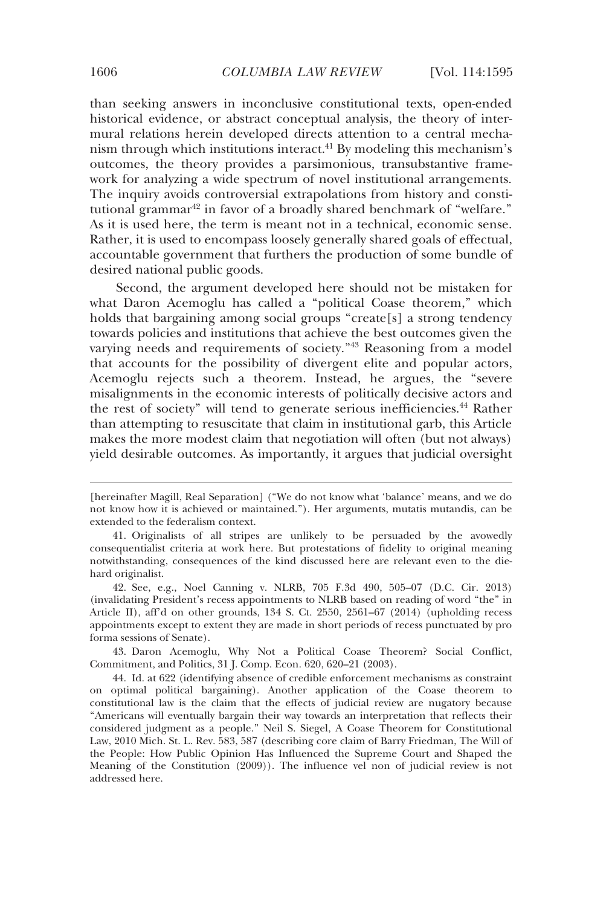than seeking answers in inconclusive constitutional texts, open-ended historical evidence, or abstract conceptual analysis, the theory of intermural relations herein developed directs attention to a central mechanism through which institutions interact.41 By modeling this mechanism's outcomes, the theory provides a parsimonious, transubstantive framework for analyzing a wide spectrum of novel institutional arrangements. The inquiry avoids controversial extrapolations from history and constitutional grammar<sup>42</sup> in favor of a broadly shared benchmark of "welfare." As it is used here, the term is meant not in a technical, economic sense. Rather, it is used to encompass loosely generally shared goals of effectual, accountable government that furthers the production of some bundle of desired national public goods.

Second, the argument developed here should not be mistaken for what Daron Acemoglu has called a "political Coase theorem," which holds that bargaining among social groups "create[s] a strong tendency towards policies and institutions that achieve the best outcomes given the varying needs and requirements of society."43 Reasoning from a model that accounts for the possibility of divergent elite and popular actors, Acemoglu rejects such a theorem. Instead, he argues, the "severe misalignments in the economic interests of politically decisive actors and the rest of society" will tend to generate serious inefficiencies.44 Rather than attempting to resuscitate that claim in institutional garb, this Article makes the more modest claim that negotiation will often (but not always) yield desirable outcomes. As importantly, it argues that judicial oversight

 43. Daron Acemoglu, Why Not a Political Coase Theorem? Social Conflict, Commitment, and Politics, 31 J. Comp. Econ. 620, 620–21 (2003).

<sup>[</sup>hereinafter Magill, Real Separation] ("We do not know what 'balance' means, and we do not know how it is achieved or maintained."). Her arguments, mutatis mutandis, can be extended to the federalism context.

 <sup>41.</sup> Originalists of all stripes are unlikely to be persuaded by the avowedly consequentialist criteria at work here. But protestations of fidelity to original meaning notwithstanding, consequences of the kind discussed here are relevant even to the diehard originalist.

 <sup>42.</sup> See, e.g., Noel Canning v. NLRB, 705 F.3d 490, 505–07 (D.C. Cir. 2013) (invalidating President's recess appointments to NLRB based on reading of word "the" in Article II), aff'd on other grounds, 134 S. Ct. 2550, 2561–67 (2014) (upholding recess appointments except to extent they are made in short periods of recess punctuated by pro forma sessions of Senate).

 <sup>44.</sup> Id. at 622 (identifying absence of credible enforcement mechanisms as constraint on optimal political bargaining). Another application of the Coase theorem to constitutional law is the claim that the effects of judicial review are nugatory because "Americans will eventually bargain their way towards an interpretation that reflects their considered judgment as a people." Neil S. Siegel, A Coase Theorem for Constitutional Law, 2010 Mich. St. L. Rev. 583, 587 (describing core claim of Barry Friedman, The Will of the People: How Public Opinion Has Influenced the Supreme Court and Shaped the Meaning of the Constitution (2009)). The influence vel non of judicial review is not addressed here.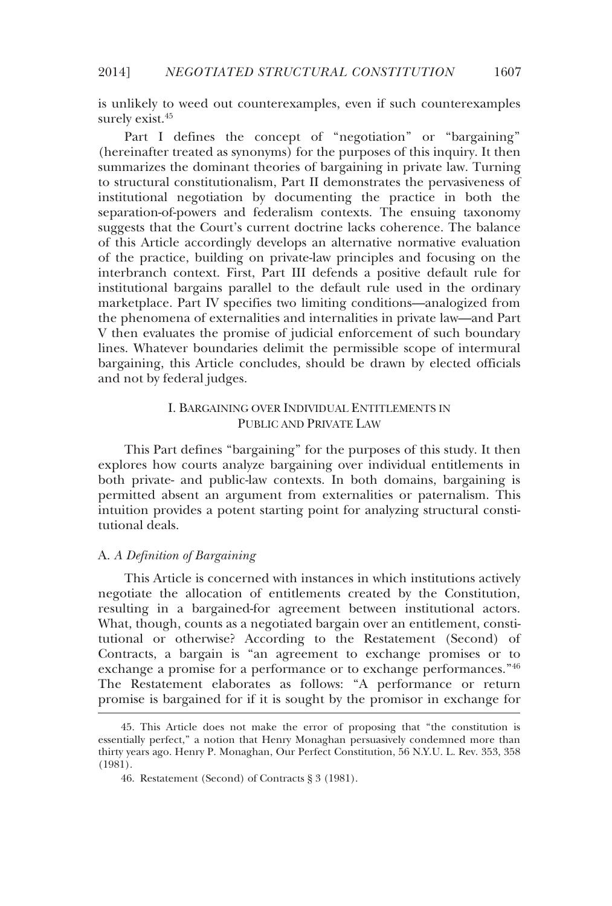is unlikely to weed out counterexamples, even if such counterexamples surely exist.<sup>45</sup>

Part I defines the concept of "negotiation" or "bargaining" (hereinafter treated as synonyms) for the purposes of this inquiry. It then summarizes the dominant theories of bargaining in private law. Turning to structural constitutionalism, Part II demonstrates the pervasiveness of institutional negotiation by documenting the practice in both the separation-of-powers and federalism contexts. The ensuing taxonomy suggests that the Court's current doctrine lacks coherence. The balance of this Article accordingly develops an alternative normative evaluation of the practice, building on private-law principles and focusing on the interbranch context. First, Part III defends a positive default rule for institutional bargains parallel to the default rule used in the ordinary marketplace. Part IV specifies two limiting conditions—analogized from the phenomena of externalities and internalities in private law—and Part V then evaluates the promise of judicial enforcement of such boundary lines. Whatever boundaries delimit the permissible scope of intermural bargaining, this Article concludes, should be drawn by elected officials and not by federal judges.

#### I. BARGAINING OVER INDIVIDUAL ENTITLEMENTS IN PUBLIC AND PRIVATE LAW

This Part defines "bargaining" for the purposes of this study. It then explores how courts analyze bargaining over individual entitlements in both private- and public-law contexts. In both domains, bargaining is permitted absent an argument from externalities or paternalism. This intuition provides a potent starting point for analyzing structural constitutional deals.

#### A. *A Definition of Bargaining*

-

This Article is concerned with instances in which institutions actively negotiate the allocation of entitlements created by the Constitution, resulting in a bargained-for agreement between institutional actors. What, though, counts as a negotiated bargain over an entitlement, constitutional or otherwise? According to the Restatement (Second) of Contracts, a bargain is "an agreement to exchange promises or to exchange a promise for a performance or to exchange performances."<sup>46</sup> The Restatement elaborates as follows: "A performance or return promise is bargained for if it is sought by the promisor in exchange for

 <sup>45.</sup> This Article does not make the error of proposing that "the constitution is essentially perfect," a notion that Henry Monaghan persuasively condemned more than thirty years ago. Henry P. Monaghan, Our Perfect Constitution, 56 N.Y.U. L. Rev. 353, 358 (1981).

 <sup>46.</sup> Restatement (Second) of Contracts § 3 (1981).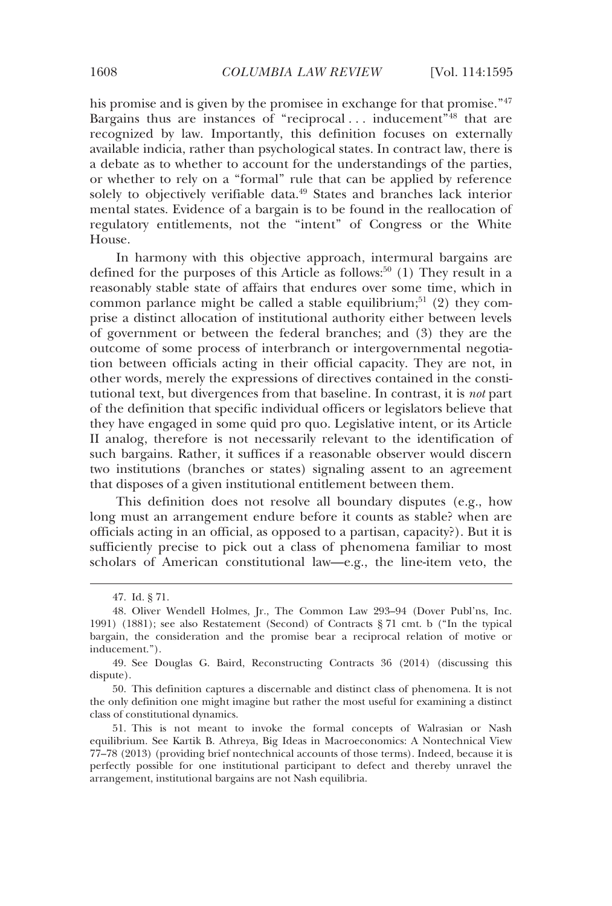his promise and is given by the promisee in exchange for that promise."<sup>47</sup> Bargains thus are instances of "reciprocal  $\ldots$  inducement"<sup>48</sup> that are recognized by law. Importantly, this definition focuses on externally available indicia, rather than psychological states. In contract law, there is a debate as to whether to account for the understandings of the parties, or whether to rely on a "formal" rule that can be applied by reference solely to objectively verifiable data.<sup>49</sup> States and branches lack interior mental states. Evidence of a bargain is to be found in the reallocation of regulatory entitlements, not the "intent" of Congress or the White House.

In harmony with this objective approach, intermural bargains are defined for the purposes of this Article as follows:<sup>50</sup> (1) They result in a reasonably stable state of affairs that endures over some time, which in common parlance might be called a stable equilibrium;<sup>51</sup> (2) they comprise a distinct allocation of institutional authority either between levels of government or between the federal branches; and (3) they are the outcome of some process of interbranch or intergovernmental negotiation between officials acting in their official capacity. They are not, in other words, merely the expressions of directives contained in the constitutional text, but divergences from that baseline. In contrast, it is *not* part of the definition that specific individual officers or legislators believe that they have engaged in some quid pro quo. Legislative intent, or its Article II analog, therefore is not necessarily relevant to the identification of such bargains. Rather, it suffices if a reasonable observer would discern two institutions (branches or states) signaling assent to an agreement that disposes of a given institutional entitlement between them.

This definition does not resolve all boundary disputes (e.g., how long must an arrangement endure before it counts as stable? when are officials acting in an official, as opposed to a partisan, capacity?). But it is sufficiently precise to pick out a class of phenomena familiar to most scholars of American constitutional law—e.g., the line-item veto, the

 <sup>47.</sup> Id. § 71.

 <sup>48.</sup> Oliver Wendell Holmes, Jr., The Common Law 293–94 (Dover Publ'ns, Inc. 1991) (1881); see also Restatement (Second) of Contracts § 71 cmt. b ("In the typical bargain, the consideration and the promise bear a reciprocal relation of motive or inducement.").

 <sup>49.</sup> See Douglas G. Baird, Reconstructing Contracts 36 (2014) (discussing this dispute).

 <sup>50.</sup> This definition captures a discernable and distinct class of phenomena. It is not the only definition one might imagine but rather the most useful for examining a distinct class of constitutional dynamics.

 <sup>51.</sup> This is not meant to invoke the formal concepts of Walrasian or Nash equilibrium. See Kartik B. Athreya, Big Ideas in Macroeconomics: A Nontechnical View 77–78 (2013) (providing brief nontechnical accounts of those terms). Indeed, because it is perfectly possible for one institutional participant to defect and thereby unravel the arrangement, institutional bargains are not Nash equilibria.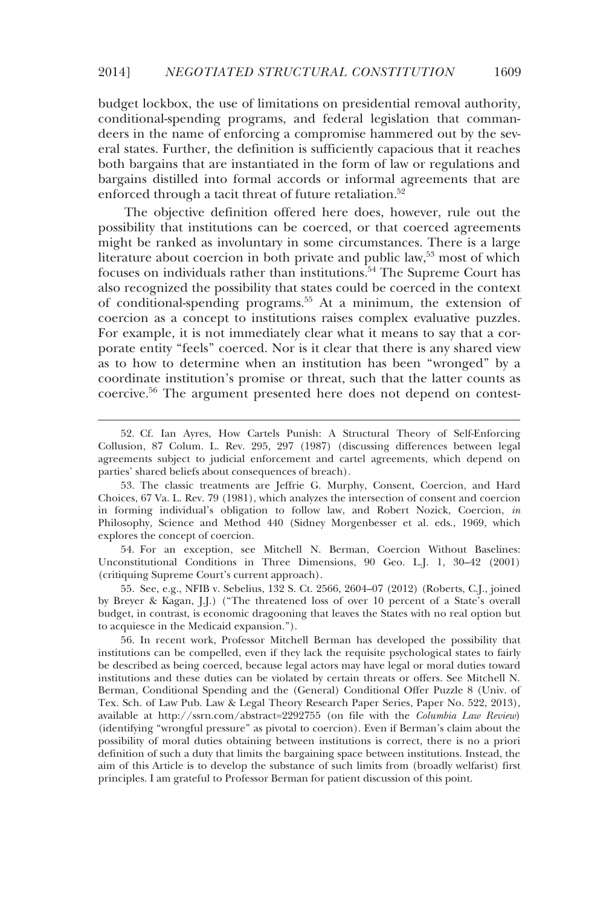budget lockbox, the use of limitations on presidential removal authority, conditional-spending programs, and federal legislation that commandeers in the name of enforcing a compromise hammered out by the several states. Further, the definition is sufficiently capacious that it reaches both bargains that are instantiated in the form of law or regulations and bargains distilled into formal accords or informal agreements that are enforced through a tacit threat of future retaliation.<sup>52</sup>

The objective definition offered here does, however, rule out the possibility that institutions can be coerced, or that coerced agreements might be ranked as involuntary in some circumstances. There is a large literature about coercion in both private and public law, $53 \text{ most of which}$ focuses on individuals rather than institutions.<sup>54</sup> The Supreme Court has also recognized the possibility that states could be coerced in the context of conditional-spending programs.55 At a minimum, the extension of coercion as a concept to institutions raises complex evaluative puzzles. For example, it is not immediately clear what it means to say that a corporate entity "feels" coerced. Nor is it clear that there is any shared view as to how to determine when an institution has been "wronged" by a coordinate institution's promise or threat, such that the latter counts as coercive.56 The argument presented here does not depend on contest-

-

 54. For an exception, see Mitchell N. Berman, Coercion Without Baselines: Unconstitutional Conditions in Three Dimensions, 90 Geo. L.J. 1, 30–42 (2001) (critiquing Supreme Court's current approach).

 55. See, e.g., NFIB v. Sebelius, 132 S. Ct. 2566, 2604–07 (2012) (Roberts, C.J., joined by Breyer & Kagan, J.J.) ("The threatened loss of over 10 percent of a State's overall budget, in contrast, is economic dragooning that leaves the States with no real option but to acquiesce in the Medicaid expansion.").

 56. In recent work, Professor Mitchell Berman has developed the possibility that institutions can be compelled, even if they lack the requisite psychological states to fairly be described as being coerced, because legal actors may have legal or moral duties toward institutions and these duties can be violated by certain threats or offers. See Mitchell N. Berman, Conditional Spending and the (General) Conditional Offer Puzzle 8 (Univ. of Tex. Sch. of Law Pub. Law & Legal Theory Research Paper Series, Paper No. 522, 2013), available at http://ssrn.com/abstract=2292755 (on file with the *Columbia Law Review*) (identifying "wrongful pressure" as pivotal to coercion). Even if Berman's claim about the possibility of moral duties obtaining between institutions is correct, there is no a priori definition of such a duty that limits the bargaining space between institutions. Instead, the aim of this Article is to develop the substance of such limits from (broadly welfarist) first principles. I am grateful to Professor Berman for patient discussion of this point.

 <sup>52.</sup> Cf. Ian Ayres, How Cartels Punish: A Structural Theory of Self-Enforcing Collusion, 87 Colum. L. Rev. 295, 297 (1987) (discussing differences between legal agreements subject to judicial enforcement and cartel agreements, which depend on parties' shared beliefs about consequences of breach).

 <sup>53.</sup> The classic treatments are Jeffrie G. Murphy, Consent, Coercion, and Hard Choices, 67 Va. L. Rev. 79 (1981), which analyzes the intersection of consent and coercion in forming individual's obligation to follow law, and Robert Nozick, Coercion, *in* Philosophy, Science and Method 440 (Sidney Morgenbesser et al. eds., 1969, which explores the concept of coercion.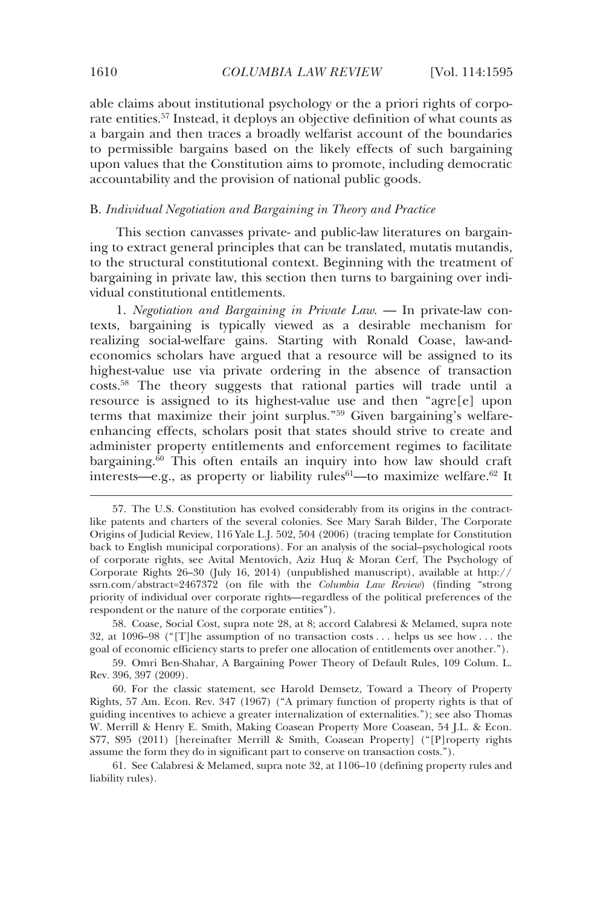able claims about institutional psychology or the a priori rights of corporate entities.<sup>57</sup> Instead, it deploys an objective definition of what counts as a bargain and then traces a broadly welfarist account of the boundaries to permissible bargains based on the likely effects of such bargaining upon values that the Constitution aims to promote, including democratic accountability and the provision of national public goods.

#### B. *Individual Negotiation and Bargaining in Theory and Practice*

This section canvasses private- and public-law literatures on bargaining to extract general principles that can be translated, mutatis mutandis, to the structural constitutional context. Beginning with the treatment of bargaining in private law, this section then turns to bargaining over individual constitutional entitlements.

1. *Negotiation and Bargaining in Private Law*. — In private-law contexts, bargaining is typically viewed as a desirable mechanism for realizing social-welfare gains. Starting with Ronald Coase, law-andeconomics scholars have argued that a resource will be assigned to its highest-value use via private ordering in the absence of transaction costs.58 The theory suggests that rational parties will trade until a resource is assigned to its highest-value use and then "agre[e] upon terms that maximize their joint surplus."59 Given bargaining's welfareenhancing effects, scholars posit that states should strive to create and administer property entitlements and enforcement regimes to facilitate bargaining.60 This often entails an inquiry into how law should craft interests—e.g., as property or liability rules<sup>61</sup>—to maximize welfare.<sup>62</sup> It

 <sup>57.</sup> The U.S. Constitution has evolved considerably from its origins in the contractlike patents and charters of the several colonies. See Mary Sarah Bilder, The Corporate Origins of Judicial Review, 116 Yale L.J. 502, 504 (2006) (tracing template for Constitution back to English municipal corporations). For an analysis of the social–psychological roots of corporate rights, see Avital Mentovich, Aziz Huq & Moran Cerf, The Psychology of Corporate Rights 26–30 (July 16, 2014) (unpublished manuscript), available at http:// ssrn.com/abstract=2467372 (on file with the *Columbia Law Review*) (finding "strong priority of individual over corporate rights—regardless of the political preferences of the respondent or the nature of the corporate entities").

 <sup>58.</sup> Coase, Social Cost, supra note 28, at 8; accord Calabresi & Melamed, supra note 32, at 1096–98 ("[T]he assumption of no transaction costs . . . helps us see how . . . the goal of economic efficiency starts to prefer one allocation of entitlements over another.").

 <sup>59.</sup> Omri Ben-Shahar, A Bargaining Power Theory of Default Rules, 109 Colum. L. Rev. 396, 397 (2009).

 <sup>60.</sup> For the classic statement, see Harold Demsetz, Toward a Theory of Property Rights, 57 Am. Econ. Rev. 347 (1967) ("A primary function of property rights is that of guiding incentives to achieve a greater internalization of externalities."); see also Thomas W. Merrill & Henry E. Smith, Making Coasean Property More Coasean, 54 J.L. & Econ. S77, S95 (2011) [hereinafter Merrill & Smith, Coasean Property] ("[P]roperty rights assume the form they do in significant part to conserve on transaction costs.").

 <sup>61.</sup> See Calabresi & Melamed, supra note 32, at 1106–10 (defining property rules and liability rules).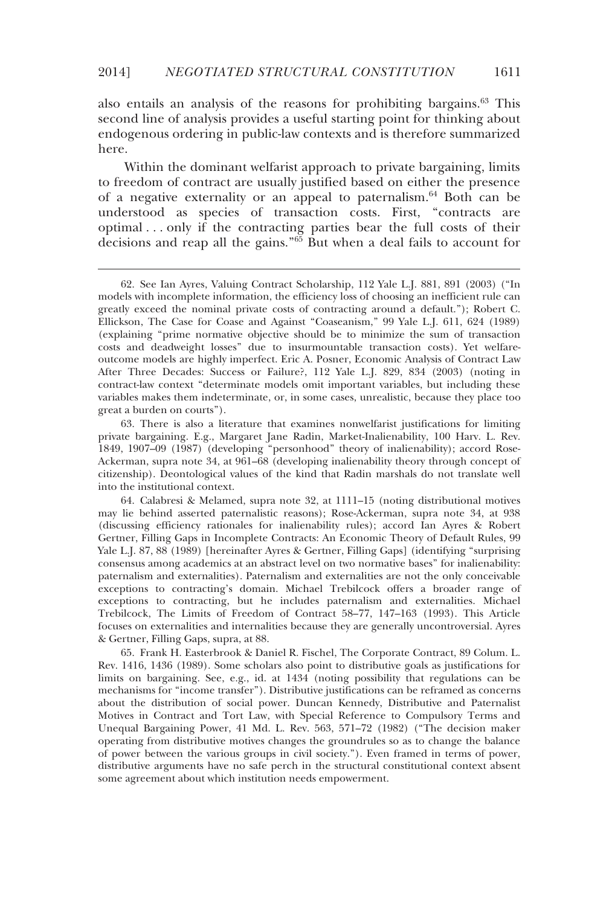also entails an analysis of the reasons for prohibiting bargains.63 This second line of analysis provides a useful starting point for thinking about endogenous ordering in public-law contexts and is therefore summarized here.

Within the dominant welfarist approach to private bargaining, limits to freedom of contract are usually justified based on either the presence of a negative externality or an appeal to paternalism.<sup>64</sup> Both can be understood as species of transaction costs. First, "contracts are optimal . . . only if the contracting parties bear the full costs of their decisions and reap all the gains."65 But when a deal fails to account for

-

 65. Frank H. Easterbrook & Daniel R. Fischel, The Corporate Contract, 89 Colum. L. Rev. 1416, 1436 (1989). Some scholars also point to distributive goals as justifications for limits on bargaining. See, e.g., id. at 1434 (noting possibility that regulations can be mechanisms for "income transfer"). Distributive justifications can be reframed as concerns about the distribution of social power. Duncan Kennedy, Distributive and Paternalist Motives in Contract and Tort Law, with Special Reference to Compulsory Terms and Unequal Bargaining Power, 41 Md. L. Rev. 563, 571–72 (1982) ("The decision maker operating from distributive motives changes the groundrules so as to change the balance of power between the various groups in civil society."). Even framed in terms of power, distributive arguments have no safe perch in the structural constitutional context absent some agreement about which institution needs empowerment.

 <sup>62.</sup> See Ian Ayres, Valuing Contract Scholarship, 112 Yale L.J. 881, 891 (2003) ("In models with incomplete information, the efficiency loss of choosing an inefficient rule can greatly exceed the nominal private costs of contracting around a default."); Robert C. Ellickson, The Case for Coase and Against "Coaseanism," 99 Yale L.J. 611, 624 (1989) (explaining "prime normative objective should be to minimize the sum of transaction costs and deadweight losses" due to insurmountable transaction costs). Yet welfareoutcome models are highly imperfect. Eric A. Posner, Economic Analysis of Contract Law After Three Decades: Success or Failure?, 112 Yale L.J. 829, 834 (2003) (noting in contract-law context "determinate models omit important variables, but including these variables makes them indeterminate, or, in some cases, unrealistic, because they place too great a burden on courts").

 <sup>63.</sup> There is also a literature that examines nonwelfarist justifications for limiting private bargaining. E.g., Margaret Jane Radin, Market-Inalienability, 100 Harv. L. Rev. 1849, 1907–09 (1987) (developing "personhood" theory of inalienability); accord Rose-Ackerman, supra note 34, at 961–68 (developing inalienability theory through concept of citizenship). Deontological values of the kind that Radin marshals do not translate well into the institutional context.

 <sup>64.</sup> Calabresi & Melamed, supra note 32, at 1111–15 (noting distributional motives may lie behind asserted paternalistic reasons); Rose-Ackerman, supra note 34, at 938 (discussing efficiency rationales for inalienability rules); accord Ian Ayres & Robert Gertner, Filling Gaps in Incomplete Contracts: An Economic Theory of Default Rules, 99 Yale L.J. 87, 88 (1989) [hereinafter Ayres & Gertner, Filling Gaps] (identifying "surprising consensus among academics at an abstract level on two normative bases" for inalienability: paternalism and externalities). Paternalism and externalities are not the only conceivable exceptions to contracting's domain. Michael Trebilcock offers a broader range of exceptions to contracting, but he includes paternalism and externalities. Michael Trebilcock, The Limits of Freedom of Contract 58–77, 147–163 (1993). This Article focuses on externalities and internalities because they are generally uncontroversial. Ayres & Gertner, Filling Gaps, supra, at 88.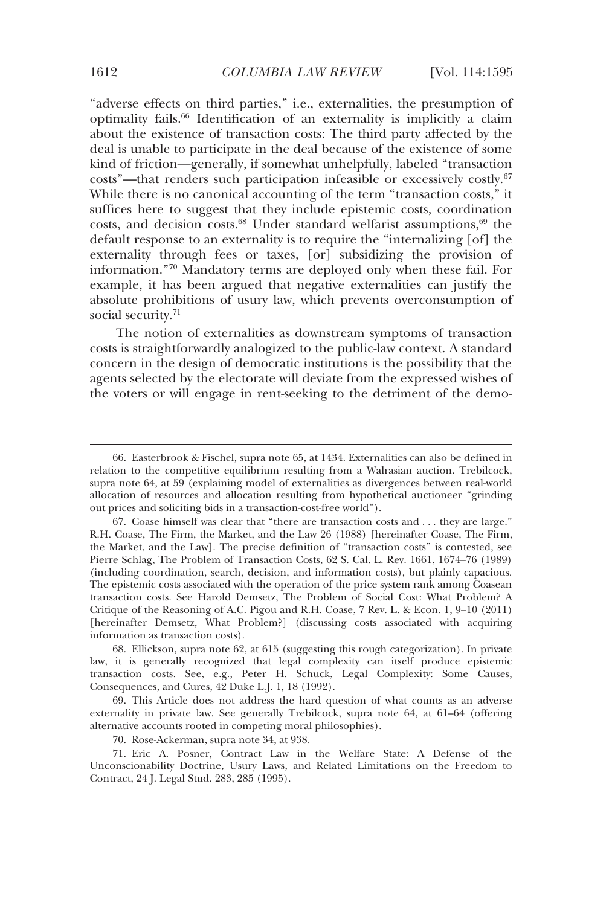"adverse effects on third parties," i.e., externalities, the presumption of optimality fails.66 Identification of an externality is implicitly a claim about the existence of transaction costs: The third party affected by the deal is unable to participate in the deal because of the existence of some kind of friction—generally, if somewhat unhelpfully, labeled "transaction costs"—that renders such participation infeasible or excessively costly.67 While there is no canonical accounting of the term "transaction costs," it suffices here to suggest that they include epistemic costs, coordination costs, and decision costs. $68$  Under standard welfarist assumptions,  $69$  the default response to an externality is to require the "internalizing [of] the externality through fees or taxes, [or] subsidizing the provision of information."70 Mandatory terms are deployed only when these fail. For example, it has been argued that negative externalities can justify the absolute prohibitions of usury law, which prevents overconsumption of social security.<sup>71</sup>

The notion of externalities as downstream symptoms of transaction costs is straightforwardly analogized to the public-law context. A standard concern in the design of democratic institutions is the possibility that the agents selected by the electorate will deviate from the expressed wishes of the voters or will engage in rent-seeking to the detriment of the demo-

 <sup>66.</sup> Easterbrook & Fischel, supra note 65, at 1434. Externalities can also be defined in relation to the competitive equilibrium resulting from a Walrasian auction. Trebilcock, supra note 64, at 59 (explaining model of externalities as divergences between real-world allocation of resources and allocation resulting from hypothetical auctioneer "grinding out prices and soliciting bids in a transaction-cost-free world").

 <sup>67.</sup> Coase himself was clear that "there are transaction costs and . . . they are large." R.H. Coase, The Firm, the Market, and the Law 26 (1988) [hereinafter Coase, The Firm, the Market, and the Law]. The precise definition of "transaction costs" is contested, see Pierre Schlag, The Problem of Transaction Costs, 62 S. Cal. L. Rev. 1661, 1674–76 (1989) (including coordination, search, decision, and information costs), but plainly capacious. The epistemic costs associated with the operation of the price system rank among Coasean transaction costs. See Harold Demsetz, The Problem of Social Cost: What Problem? A Critique of the Reasoning of A.C. Pigou and R.H. Coase, 7 Rev. L. & Econ. 1, 9–10 (2011) [hereinafter Demsetz, What Problem?] (discussing costs associated with acquiring information as transaction costs).

 <sup>68.</sup> Ellickson, supra note 62, at 615 (suggesting this rough categorization). In private law, it is generally recognized that legal complexity can itself produce epistemic transaction costs. See, e.g., Peter H. Schuck, Legal Complexity: Some Causes, Consequences, and Cures, 42 Duke L.J. 1, 18 (1992).

 <sup>69.</sup> This Article does not address the hard question of what counts as an adverse externality in private law. See generally Trebilcock, supra note 64, at 61–64 (offering alternative accounts rooted in competing moral philosophies).

 <sup>70.</sup> Rose-Ackerman, supra note 34, at 938.

 <sup>71.</sup> Eric A. Posner, Contract Law in the Welfare State: A Defense of the Unconscionability Doctrine, Usury Laws, and Related Limitations on the Freedom to Contract, 24 J. Legal Stud. 283, 285 (1995).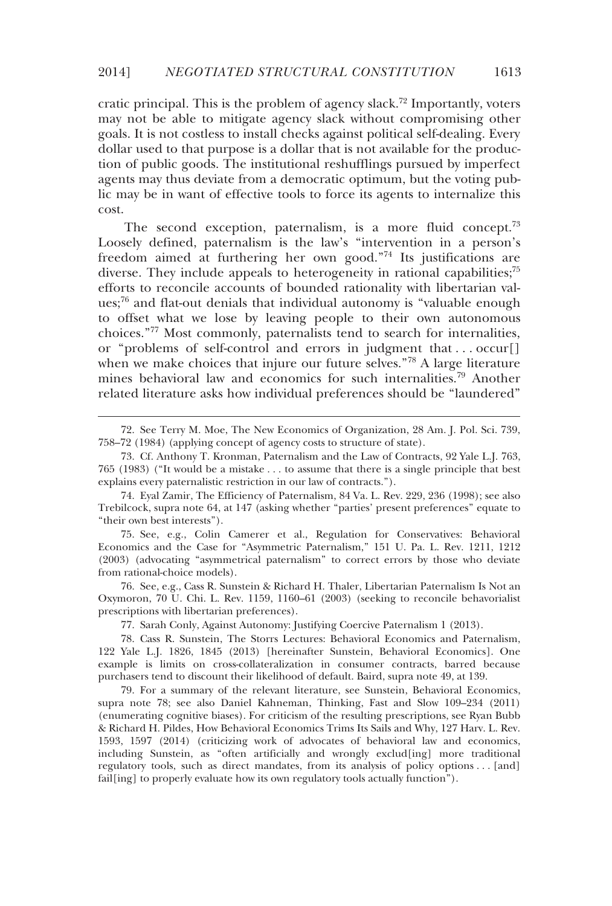cratic principal. This is the problem of agency slack.<sup>72</sup> Importantly, voters may not be able to mitigate agency slack without compromising other goals. It is not costless to install checks against political self-dealing. Every dollar used to that purpose is a dollar that is not available for the production of public goods. The institutional reshufflings pursued by imperfect agents may thus deviate from a democratic optimum, but the voting public may be in want of effective tools to force its agents to internalize this cost.

The second exception, paternalism, is a more fluid concept.<sup>73</sup> Loosely defined, paternalism is the law's "intervention in a person's freedom aimed at furthering her own good."74 Its justifications are diverse. They include appeals to heterogeneity in rational capabilities;<sup>75</sup> efforts to reconcile accounts of bounded rationality with libertarian values;76 and flat-out denials that individual autonomy is "valuable enough to offset what we lose by leaving people to their own autonomous choices."77 Most commonly, paternalists tend to search for internalities, or "problems of self-control and errors in judgment that . . . occur[] when we make choices that injure our future selves."78 A large literature mines behavioral law and economics for such internalities.<sup>79</sup> Another related literature asks how individual preferences should be "laundered"

-

 75. See, e.g., Colin Camerer et al., Regulation for Conservatives: Behavioral Economics and the Case for "Asymmetric Paternalism," 151 U. Pa. L. Rev. 1211, 1212 (2003) (advocating "asymmetrical paternalism" to correct errors by those who deviate from rational-choice models).

 76. See, e.g., Cass R. Sunstein & Richard H. Thaler, Libertarian Paternalism Is Not an Oxymoron, 70 U. Chi. L. Rev. 1159, 1160–61 (2003) (seeking to reconcile behavorialist prescriptions with libertarian preferences).

77. Sarah Conly, Against Autonomy: Justifying Coercive Paternalism 1 (2013).

 78. Cass R. Sunstein, The Storrs Lectures: Behavioral Economics and Paternalism, 122 Yale L.J. 1826, 1845 (2013) [hereinafter Sunstein, Behavioral Economics]. One example is limits on cross-collateralization in consumer contracts, barred because purchasers tend to discount their likelihood of default. Baird, supra note 49, at 139.

 79. For a summary of the relevant literature, see Sunstein, Behavioral Economics, supra note 78; see also Daniel Kahneman, Thinking, Fast and Slow 109–234 (2011) (enumerating cognitive biases). For criticism of the resulting prescriptions, see Ryan Bubb & Richard H. Pildes, How Behavioral Economics Trims Its Sails and Why, 127 Harv. L. Rev. 1593, 1597 (2014) (criticizing work of advocates of behavioral law and economics, including Sunstein, as "often artificially and wrongly exclud[ing] more traditional regulatory tools, such as direct mandates, from its analysis of policy options . . . [and] fail[ing] to properly evaluate how its own regulatory tools actually function").

 <sup>72.</sup> See Terry M. Moe, The New Economics of Organization, 28 Am. J. Pol. Sci. 739, 758–72 (1984) (applying concept of agency costs to structure of state).

 <sup>73.</sup> Cf. Anthony T. Kronman, Paternalism and the Law of Contracts, 92 Yale L.J. 763, 765 (1983) ("It would be a mistake . . . to assume that there is a single principle that best explains every paternalistic restriction in our law of contracts.").

 <sup>74.</sup> Eyal Zamir, The Efficiency of Paternalism, 84 Va. L. Rev. 229, 236 (1998); see also Trebilcock, supra note 64, at 147 (asking whether "parties' present preferences" equate to "their own best interests").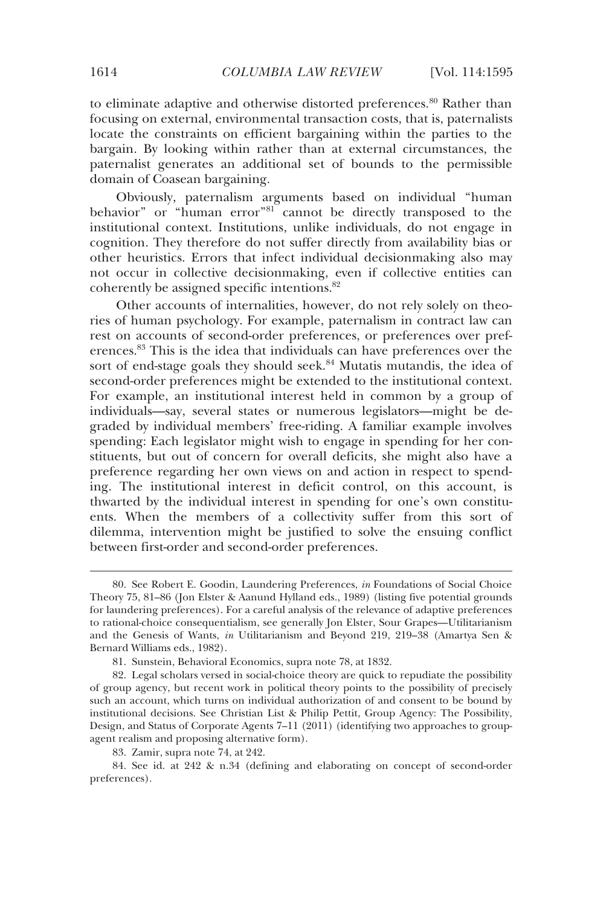to eliminate adaptive and otherwise distorted preferences.<sup>80</sup> Rather than focusing on external, environmental transaction costs, that is, paternalists locate the constraints on efficient bargaining within the parties to the bargain. By looking within rather than at external circumstances, the paternalist generates an additional set of bounds to the permissible domain of Coasean bargaining.

Obviously, paternalism arguments based on individual "human behavior" or "human error"<sup>81</sup> cannot be directly transposed to the institutional context. Institutions, unlike individuals, do not engage in cognition. They therefore do not suffer directly from availability bias or other heuristics. Errors that infect individual decisionmaking also may not occur in collective decisionmaking, even if collective entities can coherently be assigned specific intentions.82

Other accounts of internalities, however, do not rely solely on theories of human psychology. For example, paternalism in contract law can rest on accounts of second-order preferences, or preferences over preferences.83 This is the idea that individuals can have preferences over the sort of end-stage goals they should seek.<sup>84</sup> Mutatis mutandis, the idea of second-order preferences might be extended to the institutional context. For example, an institutional interest held in common by a group of individuals—say, several states or numerous legislators—might be degraded by individual members' free-riding. A familiar example involves spending: Each legislator might wish to engage in spending for her constituents, but out of concern for overall deficits, she might also have a preference regarding her own views on and action in respect to spending. The institutional interest in deficit control, on this account, is thwarted by the individual interest in spending for one's own constituents. When the members of a collectivity suffer from this sort of dilemma, intervention might be justified to solve the ensuing conflict between first-order and second-order preferences.

 <sup>80.</sup> See Robert E. Goodin, Laundering Preferences, *in* Foundations of Social Choice Theory 75, 81–86 (Jon Elster & Aanund Hylland eds., 1989) (listing five potential grounds for laundering preferences). For a careful analysis of the relevance of adaptive preferences to rational-choice consequentialism, see generally Jon Elster, Sour Grapes—Utilitarianism and the Genesis of Wants, *in* Utilitarianism and Beyond 219, 219–38 (Amartya Sen & Bernard Williams eds., 1982).

 <sup>81.</sup> Sunstein, Behavioral Economics, supra note 78, at 1832.

 <sup>82.</sup> Legal scholars versed in social-choice theory are quick to repudiate the possibility of group agency, but recent work in political theory points to the possibility of precisely such an account, which turns on individual authorization of and consent to be bound by institutional decisions. See Christian List & Philip Pettit, Group Agency: The Possibility, Design, and Status of Corporate Agents 7–11 (2011) (identifying two approaches to groupagent realism and proposing alternative form).

 <sup>83.</sup> Zamir, supra note 74, at 242.

 <sup>84.</sup> See id. at 242 & n.34 (defining and elaborating on concept of second-order preferences).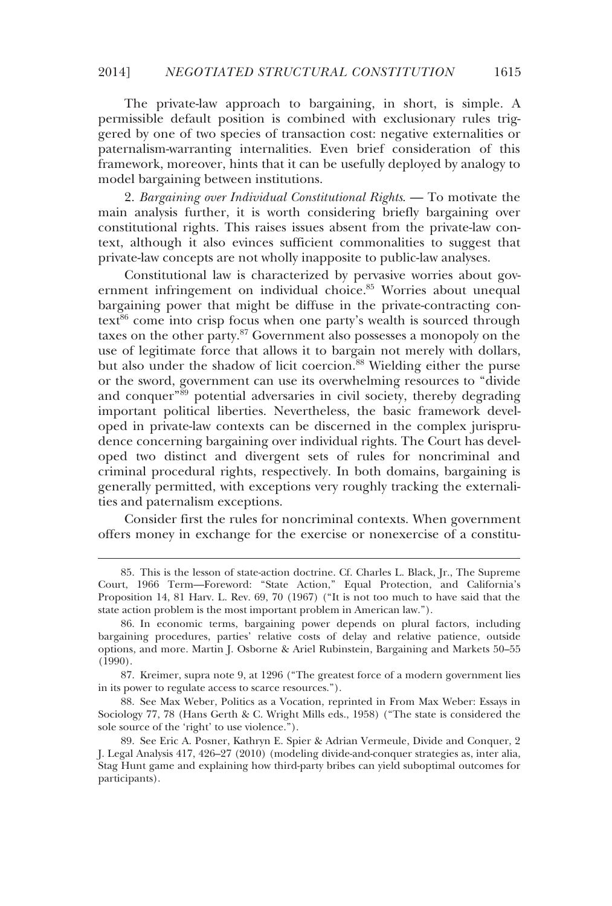The private-law approach to bargaining, in short, is simple. A permissible default position is combined with exclusionary rules triggered by one of two species of transaction cost: negative externalities or paternalism-warranting internalities. Even brief consideration of this framework, moreover, hints that it can be usefully deployed by analogy to model bargaining between institutions.

2. *Bargaining over Individual Constitutional Rights*. — To motivate the main analysis further, it is worth considering briefly bargaining over constitutional rights. This raises issues absent from the private-law context, although it also evinces sufficient commonalities to suggest that private-law concepts are not wholly inapposite to public-law analyses.

Constitutional law is characterized by pervasive worries about government infringement on individual choice.<sup>85</sup> Worries about unequal bargaining power that might be diffuse in the private-contracting con $text{text}^8$  come into crisp focus when one party's wealth is sourced through taxes on the other party.87 Government also possesses a monopoly on the use of legitimate force that allows it to bargain not merely with dollars, but also under the shadow of licit coercion.<sup>88</sup> Wielding either the purse or the sword, government can use its overwhelming resources to "divide and conquer"<sup>89</sup> potential adversaries in civil society, thereby degrading important political liberties. Nevertheless, the basic framework developed in private-law contexts can be discerned in the complex jurisprudence concerning bargaining over individual rights. The Court has developed two distinct and divergent sets of rules for noncriminal and criminal procedural rights, respectively. In both domains, bargaining is generally permitted, with exceptions very roughly tracking the externalities and paternalism exceptions.

Consider first the rules for noncriminal contexts. When government offers money in exchange for the exercise or nonexercise of a constitu-

-

 <sup>85.</sup> This is the lesson of state-action doctrine. Cf. Charles L. Black, Jr., The Supreme Court, 1966 Term—Foreword: "State Action," Equal Protection, and California's Proposition 14, 81 Harv. L. Rev. 69, 70 (1967) ("It is not too much to have said that the state action problem is the most important problem in American law.").

 <sup>86.</sup> In economic terms, bargaining power depends on plural factors, including bargaining procedures, parties' relative costs of delay and relative patience, outside options, and more. Martin J. Osborne & Ariel Rubinstein, Bargaining and Markets 50–55 (1990).

 <sup>87.</sup> Kreimer, supra note 9, at 1296 ("The greatest force of a modern government lies in its power to regulate access to scarce resources.").

 <sup>88.</sup> See Max Weber, Politics as a Vocation, reprinted in From Max Weber: Essays in Sociology 77, 78 (Hans Gerth & C. Wright Mills eds., 1958) ("The state is considered the sole source of the 'right' to use violence.").

 <sup>89.</sup> See Eric A. Posner, Kathryn E. Spier & Adrian Vermeule, Divide and Conquer, 2 J. Legal Analysis 417, 426–27 (2010) (modeling divide-and-conquer strategies as, inter alia, Stag Hunt game and explaining how third-party bribes can yield suboptimal outcomes for participants).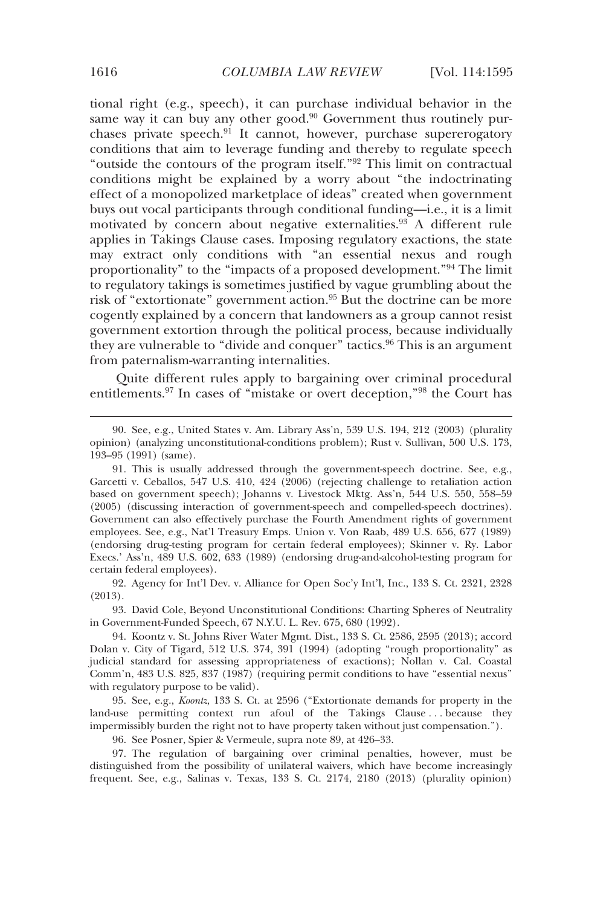tional right (e.g., speech), it can purchase individual behavior in the same way it can buy any other good. $90$  Government thus routinely purchases private speech. $91$  It cannot, however, purchase supererogatory conditions that aim to leverage funding and thereby to regulate speech "outside the contours of the program itself."92 This limit on contractual conditions might be explained by a worry about "the indoctrinating effect of a monopolized marketplace of ideas" created when government buys out vocal participants through conditional funding—i.e., it is a limit motivated by concern about negative externalities.<sup>93</sup> A different rule applies in Takings Clause cases. Imposing regulatory exactions, the state may extract only conditions with "an essential nexus and rough proportionality" to the "impacts of a proposed development."94 The limit to regulatory takings is sometimes justified by vague grumbling about the risk of "extortionate" government action.<sup>95</sup> But the doctrine can be more cogently explained by a concern that landowners as a group cannot resist government extortion through the political process, because individually they are vulnerable to "divide and conquer" tactics.<sup>96</sup> This is an argument from paternalism-warranting internalities.

Quite different rules apply to bargaining over criminal procedural entitlements.97 In cases of "mistake or overt deception,"98 the Court has

 92. Agency for Int'l Dev. v. Alliance for Open Soc'y Int'l, Inc., 133 S. Ct. 2321, 2328 (2013).

 93. David Cole, Beyond Unconstitutional Conditions: Charting Spheres of Neutrality in Government-Funded Speech, 67 N.Y.U. L. Rev. 675, 680 (1992).

 94. Koontz v. St. Johns River Water Mgmt. Dist., 133 S. Ct. 2586, 2595 (2013); accord Dolan v. City of Tigard, 512 U.S. 374, 391 (1994) (adopting "rough proportionality" as judicial standard for assessing appropriateness of exactions); Nollan v. Cal. Coastal Comm'n, 483 U.S. 825, 837 (1987) (requiring permit conditions to have "essential nexus" with regulatory purpose to be valid).

 95. See, e.g., *Koontz*, 133 S. Ct. at 2596 ("Extortionate demands for property in the land-use permitting context run afoul of the Takings Clause ... because they impermissibly burden the right not to have property taken without just compensation.").

96. See Posner, Spier & Vermeule, supra note 89, at 426–33.

 97. The regulation of bargaining over criminal penalties, however, must be distinguished from the possibility of unilateral waivers, which have become increasingly frequent. See, e.g., Salinas v. Texas, 133 S. Ct. 2174, 2180 (2013) (plurality opinion)

 <sup>90.</sup> See, e.g., United States v. Am. Library Ass'n, 539 U.S. 194, 212 (2003) (plurality opinion) (analyzing unconstitutional-conditions problem); Rust v. Sullivan, 500 U.S. 173, 193–95 (1991) (same).

 <sup>91.</sup> This is usually addressed through the government-speech doctrine. See, e.g., Garcetti v. Ceballos, 547 U.S. 410, 424 (2006) (rejecting challenge to retaliation action based on government speech); Johanns v. Livestock Mktg. Ass'n, 544 U.S. 550, 558–59 (2005) (discussing interaction of government-speech and compelled-speech doctrines). Government can also effectively purchase the Fourth Amendment rights of government employees. See, e.g., Nat'l Treasury Emps. Union v. Von Raab, 489 U.S. 656, 677 (1989) (endorsing drug-testing program for certain federal employees); Skinner v. Ry. Labor Execs.' Ass'n, 489 U.S. 602, 633 (1989) (endorsing drug-and-alcohol-testing program for certain federal employees).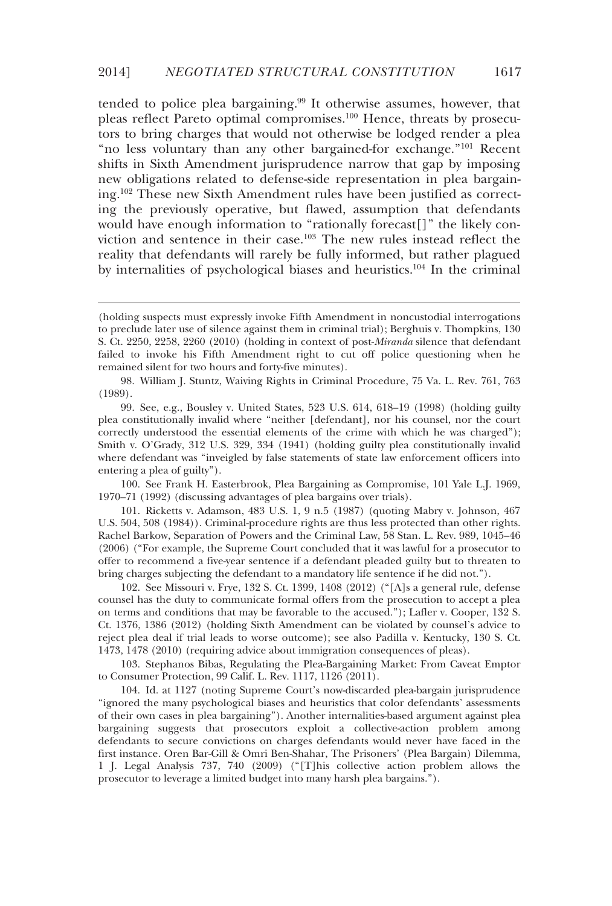tended to police plea bargaining.<sup>99</sup> It otherwise assumes, however, that pleas reflect Pareto optimal compromises.100 Hence, threats by prosecutors to bring charges that would not otherwise be lodged render a plea "no less voluntary than any other bargained-for exchange."101 Recent shifts in Sixth Amendment jurisprudence narrow that gap by imposing new obligations related to defense-side representation in plea bargaining.102 These new Sixth Amendment rules have been justified as correcting the previously operative, but flawed, assumption that defendants would have enough information to "rationally forecast[]" the likely conviction and sentence in their case.103 The new rules instead reflect the reality that defendants will rarely be fully informed, but rather plagued by internalities of psychological biases and heuristics.104 In the criminal

-

 98. William J. Stuntz, Waiving Rights in Criminal Procedure, 75 Va. L. Rev. 761, 763 (1989).

 99. See, e.g., Bousley v. United States, 523 U.S. 614, 618–19 (1998) (holding guilty plea constitutionally invalid where "neither [defendant], nor his counsel, nor the court correctly understood the essential elements of the crime with which he was charged"); Smith v. O'Grady, 312 U.S. 329, 334 (1941) (holding guilty plea constitutionally invalid where defendant was "inveigled by false statements of state law enforcement officers into entering a plea of guilty").

 100. See Frank H. Easterbrook, Plea Bargaining as Compromise, 101 Yale L.J. 1969, 1970–71 (1992) (discussing advantages of plea bargains over trials).

 101. Ricketts v. Adamson, 483 U.S. 1, 9 n.5 (1987) (quoting Mabry v. Johnson, 467 U.S. 504, 508 (1984)). Criminal-procedure rights are thus less protected than other rights. Rachel Barkow, Separation of Powers and the Criminal Law, 58 Stan. L. Rev. 989, 1045–46 (2006) ("For example, the Supreme Court concluded that it was lawful for a prosecutor to offer to recommend a five-year sentence if a defendant pleaded guilty but to threaten to bring charges subjecting the defendant to a mandatory life sentence if he did not.").

 102. See Missouri v. Frye, 132 S. Ct. 1399, 1408 (2012) ("[A]s a general rule, defense counsel has the duty to communicate formal offers from the prosecution to accept a plea on terms and conditions that may be favorable to the accused."); Lafler v. Cooper, 132 S. Ct. 1376, 1386 (2012) (holding Sixth Amendment can be violated by counsel's advice to reject plea deal if trial leads to worse outcome); see also Padilla v. Kentucky, 130 S. Ct. 1473, 1478 (2010) (requiring advice about immigration consequences of pleas).

 103. Stephanos Bibas, Regulating the Plea-Bargaining Market: From Caveat Emptor to Consumer Protection, 99 Calif. L. Rev. 1117, 1126 (2011).

 104. Id. at 1127 (noting Supreme Court's now-discarded plea-bargain jurisprudence "ignored the many psychological biases and heuristics that color defendants' assessments of their own cases in plea bargaining"). Another internalities-based argument against plea bargaining suggests that prosecutors exploit a collective-action problem among defendants to secure convictions on charges defendants would never have faced in the first instance. Oren Bar-Gill & Omri Ben-Shahar, The Prisoners' (Plea Bargain) Dilemma, 1 J. Legal Analysis 737, 740 (2009) ("[T]his collective action problem allows the prosecutor to leverage a limited budget into many harsh plea bargains.").

<sup>(</sup>holding suspects must expressly invoke Fifth Amendment in noncustodial interrogations to preclude later use of silence against them in criminal trial); Berghuis v. Thompkins, 130 S. Ct. 2250, 2258, 2260 (2010) (holding in context of post-*Miranda* silence that defendant failed to invoke his Fifth Amendment right to cut off police questioning when he remained silent for two hours and forty-five minutes).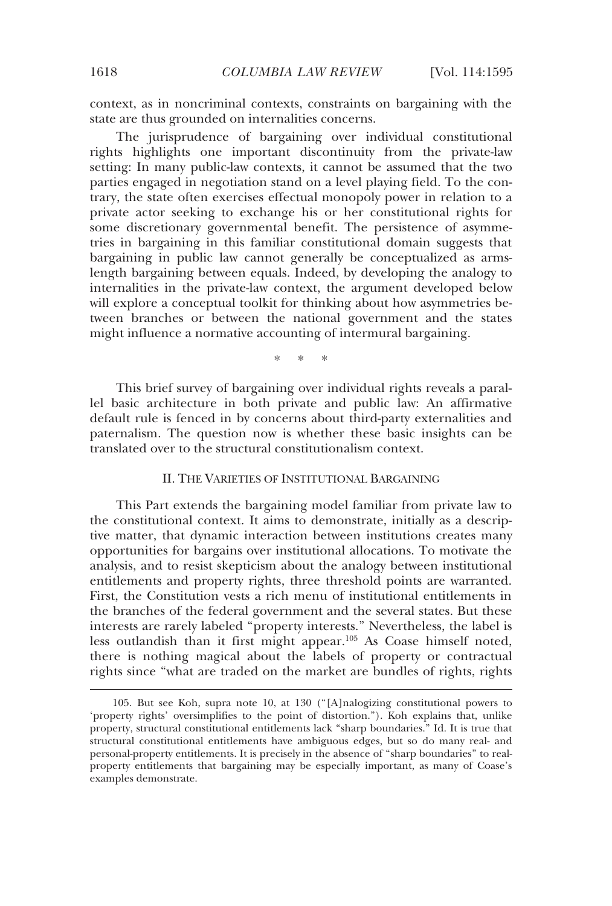context, as in noncriminal contexts, constraints on bargaining with the state are thus grounded on internalities concerns.

The jurisprudence of bargaining over individual constitutional rights highlights one important discontinuity from the private-law setting: In many public-law contexts, it cannot be assumed that the two parties engaged in negotiation stand on a level playing field. To the contrary, the state often exercises effectual monopoly power in relation to a private actor seeking to exchange his or her constitutional rights for some discretionary governmental benefit. The persistence of asymmetries in bargaining in this familiar constitutional domain suggests that bargaining in public law cannot generally be conceptualized as armslength bargaining between equals. Indeed, by developing the analogy to internalities in the private-law context, the argument developed below will explore a conceptual toolkit for thinking about how asymmetries between branches or between the national government and the states might influence a normative accounting of intermural bargaining.

\* \* \*

This brief survey of bargaining over individual rights reveals a parallel basic architecture in both private and public law: An affirmative default rule is fenced in by concerns about third-party externalities and paternalism. The question now is whether these basic insights can be translated over to the structural constitutionalism context.

#### II. THE VARIETIES OF INSTITUTIONAL BARGAINING

This Part extends the bargaining model familiar from private law to the constitutional context. It aims to demonstrate, initially as a descriptive matter, that dynamic interaction between institutions creates many opportunities for bargains over institutional allocations. To motivate the analysis, and to resist skepticism about the analogy between institutional entitlements and property rights, three threshold points are warranted. First, the Constitution vests a rich menu of institutional entitlements in the branches of the federal government and the several states. But these interests are rarely labeled "property interests." Nevertheless, the label is less outlandish than it first might appear.<sup>105</sup> As Coase himself noted, there is nothing magical about the labels of property or contractual rights since "what are traded on the market are bundles of rights, rights

 <sup>105.</sup> But see Koh, supra note 10, at 130 ("[A]nalogizing constitutional powers to 'property rights' oversimplifies to the point of distortion."). Koh explains that, unlike property, structural constitutional entitlements lack "sharp boundaries." Id. It is true that structural constitutional entitlements have ambiguous edges, but so do many real- and personal-property entitlements. It is precisely in the absence of "sharp boundaries" to realproperty entitlements that bargaining may be especially important, as many of Coase's examples demonstrate.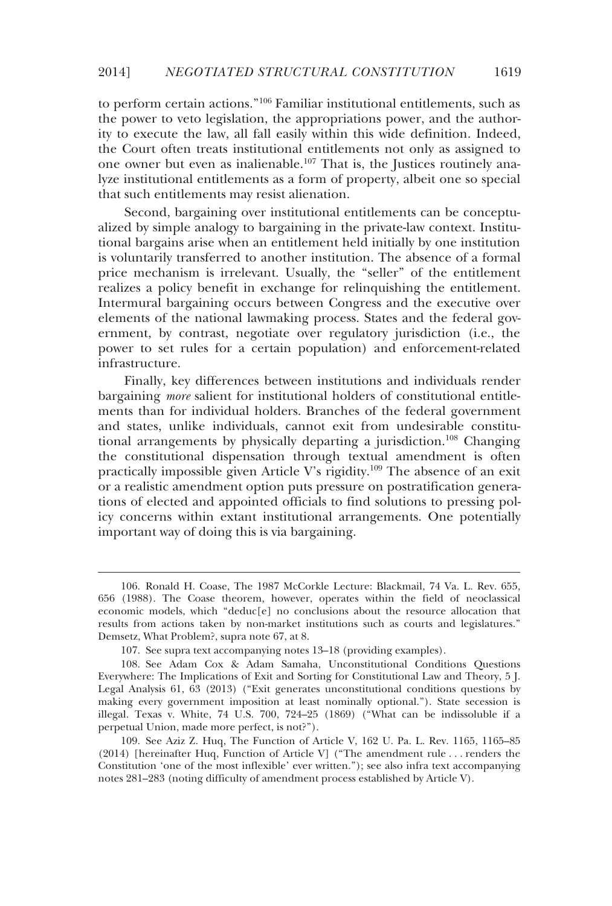to perform certain actions."106 Familiar institutional entitlements, such as the power to veto legislation, the appropriations power, and the authority to execute the law, all fall easily within this wide definition. Indeed, the Court often treats institutional entitlements not only as assigned to one owner but even as inalienable.107 That is, the Justices routinely analyze institutional entitlements as a form of property, albeit one so special that such entitlements may resist alienation.

Second, bargaining over institutional entitlements can be conceptualized by simple analogy to bargaining in the private-law context. Institutional bargains arise when an entitlement held initially by one institution is voluntarily transferred to another institution. The absence of a formal price mechanism is irrelevant. Usually, the "seller" of the entitlement realizes a policy benefit in exchange for relinquishing the entitlement. Intermural bargaining occurs between Congress and the executive over elements of the national lawmaking process. States and the federal government, by contrast, negotiate over regulatory jurisdiction (i.e., the power to set rules for a certain population) and enforcement-related infrastructure.

Finally, key differences between institutions and individuals render bargaining *more* salient for institutional holders of constitutional entitlements than for individual holders. Branches of the federal government and states, unlike individuals, cannot exit from undesirable constitutional arrangements by physically departing a jurisdiction.108 Changing the constitutional dispensation through textual amendment is often practically impossible given Article V's rigidity.109 The absence of an exit or a realistic amendment option puts pressure on postratification generations of elected and appointed officials to find solutions to pressing policy concerns within extant institutional arrangements. One potentially important way of doing this is via bargaining.

-

 <sup>106.</sup> Ronald H. Coase, The 1987 McCorkle Lecture: Blackmail, 74 Va. L. Rev. 655, 656 (1988). The Coase theorem, however, operates within the field of neoclassical economic models, which "deduc[e] no conclusions about the resource allocation that results from actions taken by non-market institutions such as courts and legislatures." Demsetz, What Problem?, supra note 67, at 8.

 <sup>107.</sup> See supra text accompanying notes 13–18 (providing examples).

 <sup>108.</sup> See Adam Cox & Adam Samaha, Unconstitutional Conditions Questions Everywhere: The Implications of Exit and Sorting for Constitutional Law and Theory, 5 J. Legal Analysis 61, 63 (2013) ("Exit generates unconstitutional conditions questions by making every government imposition at least nominally optional."). State secession is illegal. Texas v. White, 74 U.S. 700, 724–25 (1869) ("What can be indissoluble if a perpetual Union, made more perfect, is not?").

 <sup>109.</sup> See Aziz Z. Huq, The Function of Article V, 162 U. Pa. L. Rev. 1165, 1165–85 (2014) [hereinafter Huq, Function of Article V] ("The amendment rule . . . renders the Constitution 'one of the most inflexible' ever written."); see also infra text accompanying notes 281–283 (noting difficulty of amendment process established by Article V).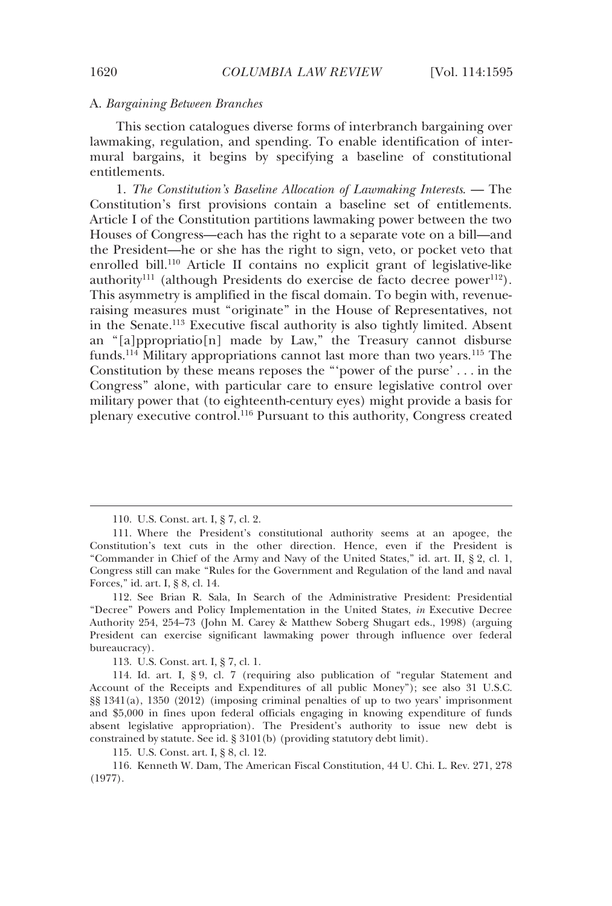#### A. *Bargaining Between Branches*

This section catalogues diverse forms of interbranch bargaining over lawmaking, regulation, and spending. To enable identification of intermural bargains, it begins by specifying a baseline of constitutional entitlements.

1. *The Constitution's Baseline Allocation of Lawmaking Interests*. — The Constitution's first provisions contain a baseline set of entitlements. Article I of the Constitution partitions lawmaking power between the two Houses of Congress—each has the right to a separate vote on a bill—and the President—he or she has the right to sign, veto, or pocket veto that enrolled bill.110 Article II contains no explicit grant of legislative-like authority<sup>111</sup> (although Presidents do exercise de facto decree power<sup>112</sup>). This asymmetry is amplified in the fiscal domain. To begin with, revenueraising measures must "originate" in the House of Representatives, not in the Senate.113 Executive fiscal authority is also tightly limited. Absent an "[a]ppropriatio[n] made by Law," the Treasury cannot disburse funds.<sup>114</sup> Military appropriations cannot last more than two years.<sup>115</sup> The Constitution by these means reposes the "'power of the purse' . . . in the Congress" alone, with particular care to ensure legislative control over military power that (to eighteenth-century eyes) might provide a basis for plenary executive control.116 Pursuant to this authority, Congress created

113. U.S. Const. art. I, § 7, cl. 1.

115. U.S. Const. art. I, § 8, cl. 12.

 116. Kenneth W. Dam, The American Fiscal Constitution, 44 U. Chi. L. Rev. 271, 278 (1977).

 <sup>110.</sup> U.S. Const. art. I, § 7, cl. 2.

 <sup>111.</sup> Where the President's constitutional authority seems at an apogee, the Constitution's text cuts in the other direction. Hence, even if the President is "Commander in Chief of the Army and Navy of the United States," id. art. II, § 2, cl. 1, Congress still can make "Rules for the Government and Regulation of the land and naval Forces," id. art. I, § 8, cl. 14.

 <sup>112.</sup> See Brian R. Sala, In Search of the Administrative President: Presidential "Decree" Powers and Policy Implementation in the United States, *in* Executive Decree Authority 254, 254–73 (John M. Carey & Matthew Soberg Shugart eds., 1998) (arguing President can exercise significant lawmaking power through influence over federal bureaucracy).

 <sup>114.</sup> Id. art. I, § 9, cl. 7 (requiring also publication of "regular Statement and Account of the Receipts and Expenditures of all public Money"); see also 31 U.S.C. §§ 1341(a), 1350 (2012) (imposing criminal penalties of up to two years' imprisonment and \$5,000 in fines upon federal officials engaging in knowing expenditure of funds absent legislative appropriation). The President's authority to issue new debt is constrained by statute. See id. § 3101(b) (providing statutory debt limit).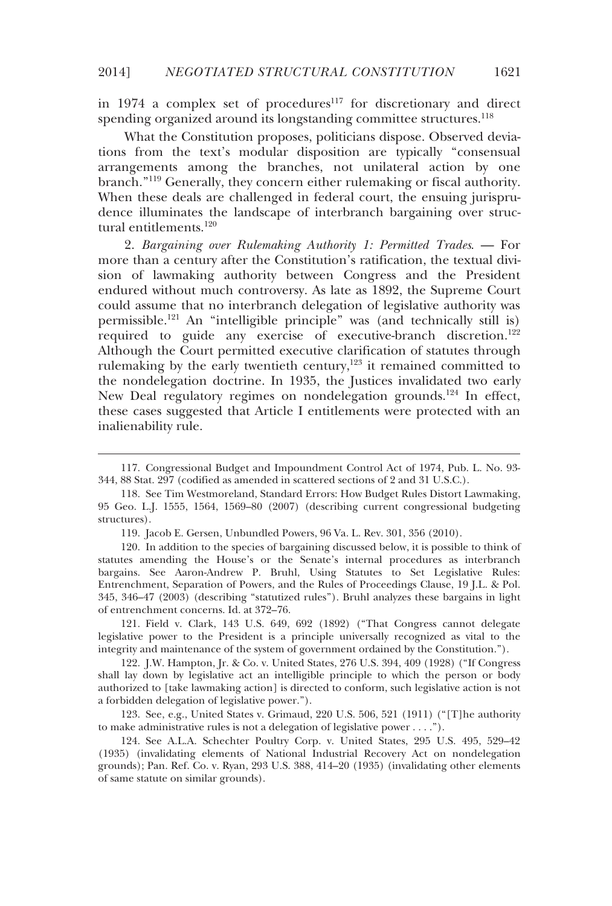in  $1974$  a complex set of procedures<sup>117</sup> for discretionary and direct spending organized around its longstanding committee structures.<sup>118</sup>

What the Constitution proposes, politicians dispose. Observed deviations from the text's modular disposition are typically "consensual arrangements among the branches, not unilateral action by one branch."119 Generally, they concern either rulemaking or fiscal authority. When these deals are challenged in federal court, the ensuing jurisprudence illuminates the landscape of interbranch bargaining over structural entitlements.120

2. *Bargaining over Rulemaking Authority 1: Permitted Trades*. — For more than a century after the Constitution's ratification, the textual division of lawmaking authority between Congress and the President endured without much controversy. As late as 1892, the Supreme Court could assume that no interbranch delegation of legislative authority was permissible.121 An "intelligible principle" was (and technically still is) required to guide any exercise of executive-branch discretion.<sup>122</sup> Although the Court permitted executive clarification of statutes through rulemaking by the early twentieth century, $123$  it remained committed to the nondelegation doctrine. In 1935, the Justices invalidated two early New Deal regulatory regimes on nondelegation grounds.<sup>124</sup> In effect, these cases suggested that Article I entitlements were protected with an inalienability rule.

-

 121. Field v. Clark, 143 U.S. 649, 692 (1892) ("That Congress cannot delegate legislative power to the President is a principle universally recognized as vital to the integrity and maintenance of the system of government ordained by the Constitution.").

 122. J.W. Hampton, Jr. & Co. v. United States, 276 U.S. 394, 409 (1928) ("If Congress shall lay down by legislative act an intelligible principle to which the person or body authorized to [take lawmaking action] is directed to conform, such legislative action is not a forbidden delegation of legislative power.").

 123. See, e.g., United States v. Grimaud, 220 U.S. 506, 521 (1911) ("[T]he authority to make administrative rules is not a delegation of legislative power . . . .").

 124. See A.L.A. Schechter Poultry Corp. v. United States, 295 U.S. 495, 529–42 (1935) (invalidating elements of National Industrial Recovery Act on nondelegation grounds); Pan. Ref. Co. v. Ryan, 293 U.S. 388, 414–20 (1935) (invalidating other elements of same statute on similar grounds).

 <sup>117.</sup> Congressional Budget and Impoundment Control Act of 1974, Pub. L. No. 93- 344, 88 Stat. 297 (codified as amended in scattered sections of 2 and 31 U.S.C.).

 <sup>118.</sup> See Tim Westmoreland, Standard Errors: How Budget Rules Distort Lawmaking, 95 Geo. L.J. 1555, 1564, 1569–80 (2007) (describing current congressional budgeting structures).

 <sup>119.</sup> Jacob E. Gersen, Unbundled Powers, 96 Va. L. Rev. 301, 356 (2010).

 <sup>120.</sup> In addition to the species of bargaining discussed below, it is possible to think of statutes amending the House's or the Senate's internal procedures as interbranch bargains. See Aaron-Andrew P. Bruhl, Using Statutes to Set Legislative Rules: Entrenchment, Separation of Powers, and the Rules of Proceedings Clause, 19 J.L. & Pol. 345, 346–47 (2003) (describing "statutized rules"). Bruhl analyzes these bargains in light of entrenchment concerns. Id. at 372–76.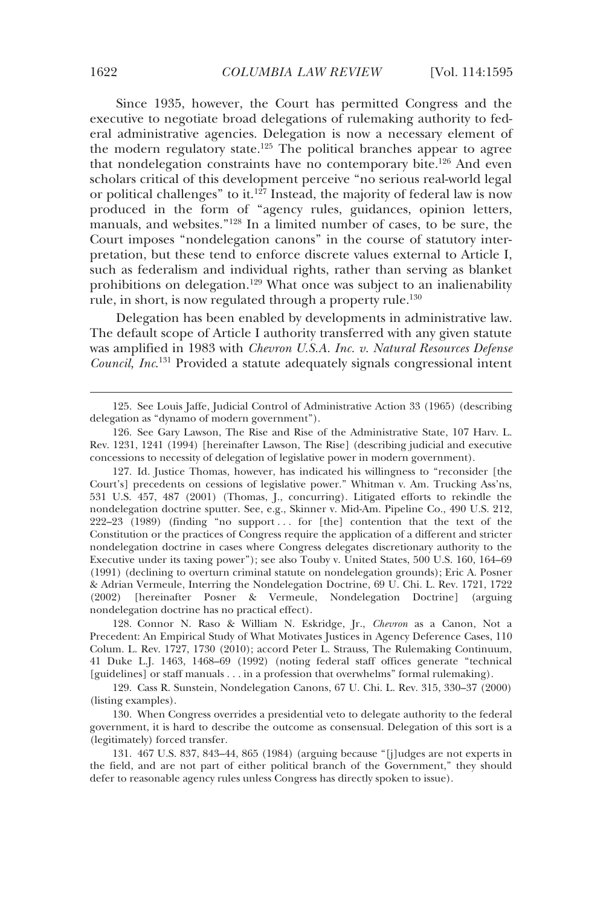Since 1935, however, the Court has permitted Congress and the executive to negotiate broad delegations of rulemaking authority to federal administrative agencies. Delegation is now a necessary element of the modern regulatory state.<sup>125</sup> The political branches appear to agree that nondelegation constraints have no contemporary bite.126 And even scholars critical of this development perceive "no serious real-world legal or political challenges" to it.<sup>127</sup> Instead, the majority of federal law is now produced in the form of "agency rules, guidances, opinion letters, manuals, and websites."128 In a limited number of cases, to be sure, the Court imposes "nondelegation canons" in the course of statutory interpretation, but these tend to enforce discrete values external to Article I, such as federalism and individual rights, rather than serving as blanket prohibitions on delegation.129 What once was subject to an inalienability rule, in short, is now regulated through a property rule.<sup>130</sup>

Delegation has been enabled by developments in administrative law. The default scope of Article I authority transferred with any given statute was amplified in 1983 with *Chevron U.S.A. Inc. v. Natural Resources Defense Council, Inc*. 131 Provided a statute adequately signals congressional intent

 128. Connor N. Raso & William N. Eskridge, Jr., *Chevron* as a Canon, Not a Precedent: An Empirical Study of What Motivates Justices in Agency Deference Cases, 110 Colum. L. Rev. 1727, 1730 (2010); accord Peter L. Strauss, The Rulemaking Continuum, 41 Duke L.J. 1463, 1468–69 (1992) (noting federal staff offices generate "technical [guidelines] or staff manuals . . . in a profession that overwhelms" formal rulemaking).

 129. Cass R. Sunstein, Nondelegation Canons, 67 U. Chi. L. Rev. 315, 330–37 (2000) (listing examples).

 130. When Congress overrides a presidential veto to delegate authority to the federal government, it is hard to describe the outcome as consensual. Delegation of this sort is a (legitimately) forced transfer.

 131. 467 U.S. 837, 843–44, 865 (1984) (arguing because "[j]udges are not experts in the field, and are not part of either political branch of the Government," they should defer to reasonable agency rules unless Congress has directly spoken to issue).

 <sup>125.</sup> See Louis Jaffe, Judicial Control of Administrative Action 33 (1965) (describing delegation as "dynamo of modern government").

 <sup>126.</sup> See Gary Lawson, The Rise and Rise of the Administrative State, 107 Harv. L. Rev. 1231, 1241 (1994) [hereinafter Lawson, The Rise] (describing judicial and executive concessions to necessity of delegation of legislative power in modern government).

 <sup>127.</sup> Id. Justice Thomas, however, has indicated his willingness to "reconsider [the Court's] precedents on cessions of legislative power." Whitman v. Am. Trucking Ass'ns, 531 U.S. 457, 487 (2001) (Thomas, J., concurring). Litigated efforts to rekindle the nondelegation doctrine sputter. See, e.g., Skinner v. Mid-Am. Pipeline Co., 490 U.S. 212, 222–23 (1989) (finding "no support . . . for [the] contention that the text of the Constitution or the practices of Congress require the application of a different and stricter nondelegation doctrine in cases where Congress delegates discretionary authority to the Executive under its taxing power"); see also Touby v. United States, 500 U.S. 160, 164–69 (1991) (declining to overturn criminal statute on nondelegation grounds); Eric A. Posner & Adrian Vermeule, Interring the Nondelegation Doctrine, 69 U. Chi. L. Rev. 1721, 1722 (2002) [hereinafter Posner & Vermeule, Nondelegation Doctrine] (arguing nondelegation doctrine has no practical effect).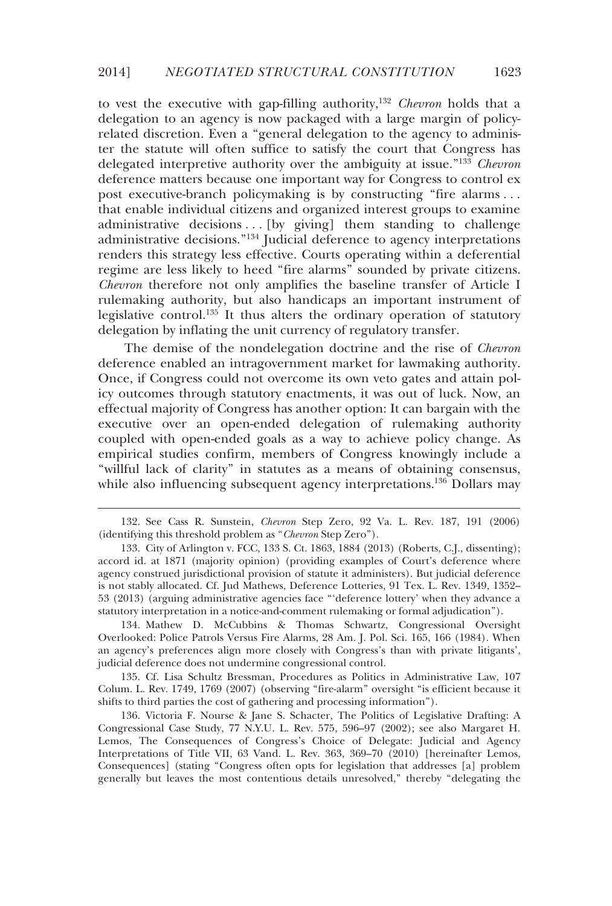to vest the executive with gap-filling authority,132 *Chevron* holds that a delegation to an agency is now packaged with a large margin of policyrelated discretion. Even a "general delegation to the agency to administer the statute will often suffice to satisfy the court that Congress has delegated interpretive authority over the ambiguity at issue."133 *Chevron* deference matters because one important way for Congress to control ex post executive-branch policymaking is by constructing "fire alarms . . . that enable individual citizens and organized interest groups to examine administrative decisions . . . [by giving] them standing to challenge administrative decisions."134 Judicial deference to agency interpretations renders this strategy less effective. Courts operating within a deferential regime are less likely to heed "fire alarms" sounded by private citizens. *Chevron* therefore not only amplifies the baseline transfer of Article I rulemaking authority, but also handicaps an important instrument of legislative control.<sup>135</sup> It thus alters the ordinary operation of statutory delegation by inflating the unit currency of regulatory transfer.

The demise of the nondelegation doctrine and the rise of *Chevron* deference enabled an intragovernment market for lawmaking authority. Once, if Congress could not overcome its own veto gates and attain policy outcomes through statutory enactments, it was out of luck. Now, an effectual majority of Congress has another option: It can bargain with the executive over an open-ended delegation of rulemaking authority coupled with open-ended goals as a way to achieve policy change. As empirical studies confirm, members of Congress knowingly include a "willful lack of clarity" in statutes as a means of obtaining consensus, while also influencing subsequent agency interpretations.<sup>136</sup> Dollars may

-

 134. Mathew D. McCubbins & Thomas Schwartz, Congressional Oversight Overlooked: Police Patrols Versus Fire Alarms, 28 Am. J. Pol. Sci. 165, 166 (1984). When an agency's preferences align more closely with Congress's than with private litigants', judicial deference does not undermine congressional control.

 135. Cf. Lisa Schultz Bressman, Procedures as Politics in Administrative Law, 107 Colum. L. Rev. 1749, 1769 (2007) (observing "fire-alarm" oversight "is efficient because it shifts to third parties the cost of gathering and processing information").

 136. Victoria F. Nourse & Jane S. Schacter, The Politics of Legislative Drafting: A Congressional Case Study, 77 N.Y.U. L. Rev. 575, 596–97 (2002); see also Margaret H. Lemos, The Consequences of Congress's Choice of Delegate: Judicial and Agency Interpretations of Title VII, 63 Vand. L. Rev. 363, 369–70 (2010) [hereinafter Lemos, Consequences] (stating "Congress often opts for legislation that addresses [a] problem generally but leaves the most contentious details unresolved," thereby "delegating the

 <sup>132.</sup> See Cass R. Sunstein, *Chevron* Step Zero, 92 Va. L. Rev. 187, 191 (2006) (identifying this threshold problem as "*Chevron* Step Zero").

 <sup>133.</sup> City of Arlington v. FCC, 133 S. Ct. 1863, 1884 (2013) (Roberts, C.J., dissenting); accord id. at 1871 (majority opinion) (providing examples of Court's deference where agency construed jurisdictional provision of statute it administers). But judicial deference is not stably allocated. Cf. Jud Mathews, Deference Lotteries, 91 Tex. L. Rev. 1349, 1352– 53 (2013) (arguing administrative agencies face "'deference lottery' when they advance a statutory interpretation in a notice-and-comment rulemaking or formal adjudication").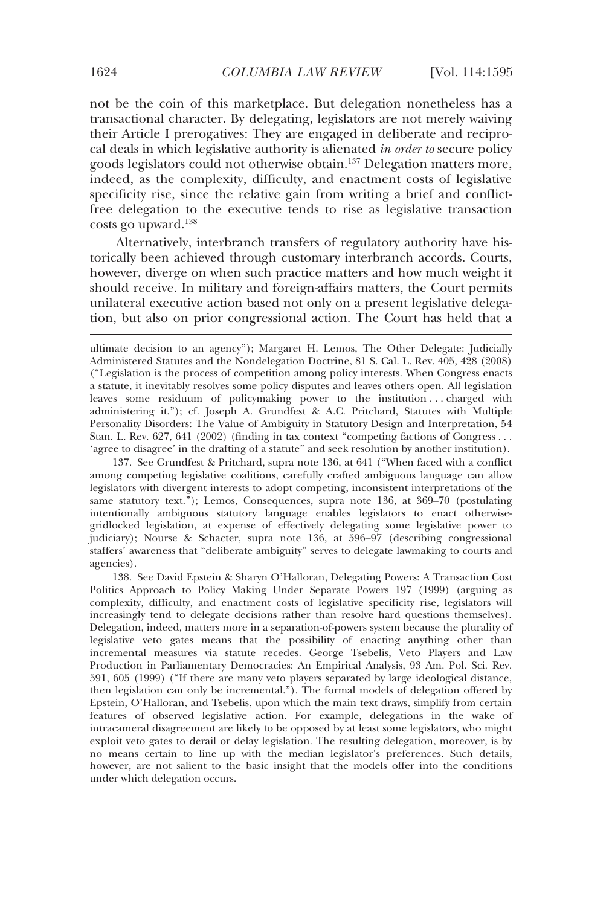not be the coin of this marketplace. But delegation nonetheless has a transactional character. By delegating, legislators are not merely waiving their Article I prerogatives: They are engaged in deliberate and reciprocal deals in which legislative authority is alienated *in order to* secure policy goods legislators could not otherwise obtain.137 Delegation matters more, indeed, as the complexity, difficulty, and enactment costs of legislative specificity rise, since the relative gain from writing a brief and conflictfree delegation to the executive tends to rise as legislative transaction costs go upward.138

Alternatively, interbranch transfers of regulatory authority have historically been achieved through customary interbranch accords. Courts, however, diverge on when such practice matters and how much weight it should receive. In military and foreign-affairs matters, the Court permits unilateral executive action based not only on a present legislative delegation, but also on prior congressional action. The Court has held that a

 137. See Grundfest & Pritchard, supra note 136, at 641 ("When faced with a conflict among competing legislative coalitions, carefully crafted ambiguous language can allow legislators with divergent interests to adopt competing, inconsistent interpretations of the same statutory text."); Lemos, Consequences, supra note 136, at 369–70 (postulating intentionally ambiguous statutory language enables legislators to enact otherwisegridlocked legislation, at expense of effectively delegating some legislative power to judiciary); Nourse & Schacter, supra note 136, at 596–97 (describing congressional staffers' awareness that "deliberate ambiguity" serves to delegate lawmaking to courts and agencies).

 138. See David Epstein & Sharyn O'Halloran, Delegating Powers: A Transaction Cost Politics Approach to Policy Making Under Separate Powers 197 (1999) (arguing as complexity, difficulty, and enactment costs of legislative specificity rise, legislators will increasingly tend to delegate decisions rather than resolve hard questions themselves). Delegation, indeed, matters more in a separation-of-powers system because the plurality of legislative veto gates means that the possibility of enacting anything other than incremental measures via statute recedes. George Tsebelis, Veto Players and Law Production in Parliamentary Democracies: An Empirical Analysis, 93 Am. Pol. Sci. Rev. 591, 605 (1999) ("If there are many veto players separated by large ideological distance, then legislation can only be incremental."). The formal models of delegation offered by Epstein, O'Halloran, and Tsebelis, upon which the main text draws, simplify from certain features of observed legislative action. For example, delegations in the wake of intracameral disagreement are likely to be opposed by at least some legislators, who might exploit veto gates to derail or delay legislation. The resulting delegation, moreover, is by no means certain to line up with the median legislator's preferences. Such details, however, are not salient to the basic insight that the models offer into the conditions under which delegation occurs.

ultimate decision to an agency"); Margaret H. Lemos, The Other Delegate: Judicially Administered Statutes and the Nondelegation Doctrine, 81 S. Cal. L. Rev. 405, 428 (2008) ("Legislation is the process of competition among policy interests. When Congress enacts a statute, it inevitably resolves some policy disputes and leaves others open. All legislation leaves some residuum of policymaking power to the institution . . . charged with administering it."); cf. Joseph A. Grundfest & A.C. Pritchard, Statutes with Multiple Personality Disorders: The Value of Ambiguity in Statutory Design and Interpretation, 54 Stan. L. Rev. 627, 641 (2002) (finding in tax context "competing factions of Congress . . . 'agree to disagree' in the drafting of a statute" and seek resolution by another institution).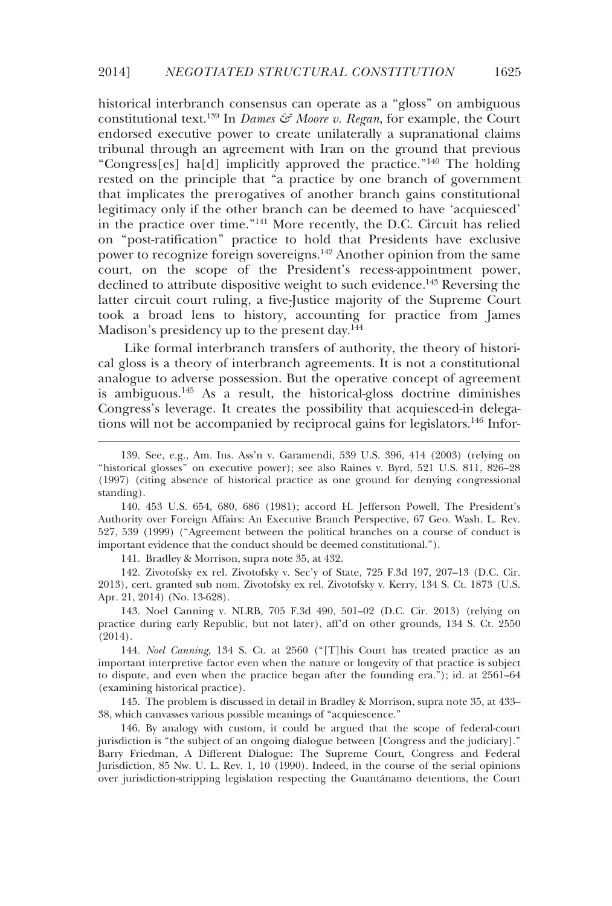historical interbranch consensus can operate as a "gloss" on ambiguous constitutional text.<sup>139</sup> In *Dames & Moore v. Regan*, for example, the Court endorsed executive power to create unilaterally a supranational claims tribunal through an agreement with Iran on the ground that previous "Congress[es] ha[d] implicitly approved the practice."140 The holding rested on the principle that "a practice by one branch of government that implicates the prerogatives of another branch gains constitutional legitimacy only if the other branch can be deemed to have 'acquiesced' in the practice over time."141 More recently, the D.C. Circuit has relied on "post-ratification" practice to hold that Presidents have exclusive power to recognize foreign sovereigns.142 Another opinion from the same court, on the scope of the President's recess-appointment power, declined to attribute dispositive weight to such evidence.<sup>143</sup> Reversing the latter circuit court ruling, a five-Justice majority of the Supreme Court took a broad lens to history, accounting for practice from James Madison's presidency up to the present day.<sup>144</sup>

Like formal interbranch transfers of authority, the theory of historical gloss is a theory of interbranch agreements. It is not a constitutional analogue to adverse possession. But the operative concept of agreement is ambiguous.<sup>145</sup> As  $a$  result, the historical-gloss doctrine diminishes Congress's leverage. It creates the possibility that acquiesced-in delegations will not be accompanied by reciprocal gains for legislators.<sup>146</sup> Infor-

141. Bradley & Morrison, supra note 35, at 432.

-

 142. Zivotofsky ex rel. Zivotofsky v. Sec'y of State, 725 F.3d 197, 207–13 (D.C. Cir. 2013), cert. granted sub nom. Zivotofsky ex rel. Zivotofsky v. Kerry, 134 S. Ct. 1873 (U.S. Apr. 21, 2014) (No. 13-628).

 143. Noel Canning v. NLRB, 705 F.3d 490, 501–02 (D.C. Cir. 2013) (relying on practice during early Republic, but not later), aff'd on other grounds, 134 S. Ct. 2550 (2014).

144*. Noel Canning*, 134 S. Ct. at 2560 ("[T]his Court has treated practice as an important interpretive factor even when the nature or longevity of that practice is subject to dispute, and even when the practice began after the founding era."); id. at 2561–64 (examining historical practice).

 145. The problem is discussed in detail in Bradley & Morrison, supra note 35, at 433– 38, which canvasses various possible meanings of "acquiescence."

 146. By analogy with custom, it could be argued that the scope of federal-court jurisdiction is "the subject of an ongoing dialogue between [Congress and the judiciary]." Barry Friedman, A Different Dialogue: The Supreme Court, Congress and Federal Jurisdiction, 85 Nw. U. L. Rev. 1, 10 (1990). Indeed, in the course of the serial opinions over jurisdiction-stripping legislation respecting the Guantánamo detentions, the Court

 <sup>139.</sup> See, e.g., Am. Ins. Ass'n v. Garamendi, 539 U.S. 396, 414 (2003) (relying on "historical glosses" on executive power); see also Raines v. Byrd, 521 U.S. 811, 826–28 (1997) (citing absence of historical practice as one ground for denying congressional standing).

 <sup>140. 453</sup> U.S. 654, 680, 686 (1981); accord H. Jefferson Powell, The President's Authority over Foreign Affairs: An Executive Branch Perspective, 67 Geo. Wash. L. Rev. 527, 539 (1999) ("Agreement between the political branches on a course of conduct is important evidence that the conduct should be deemed constitutional.").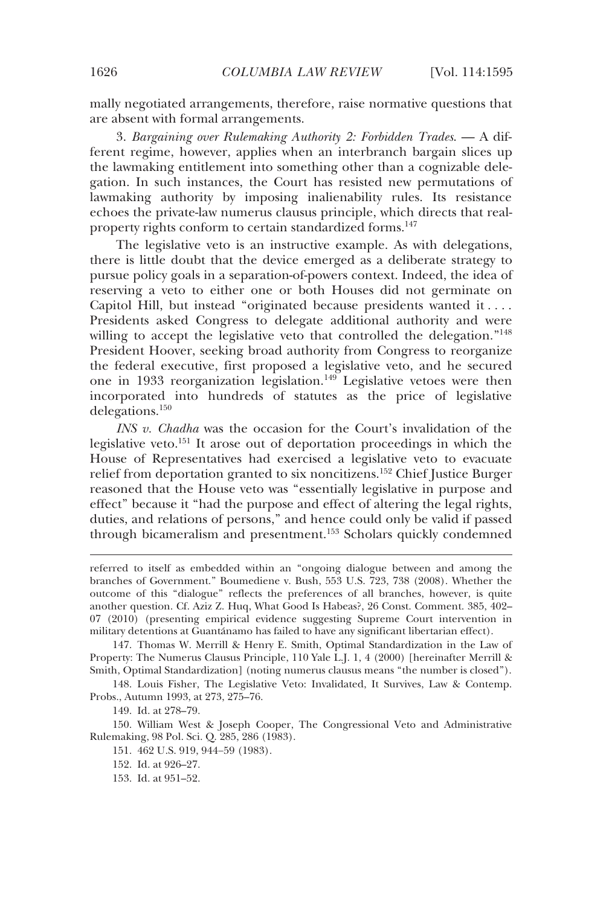mally negotiated arrangements, therefore, raise normative questions that are absent with formal arrangements.

3. *Bargaining over Rulemaking Authority 2: Forbidden Trades*. — A different regime, however, applies when an interbranch bargain slices up the lawmaking entitlement into something other than a cognizable delegation. In such instances, the Court has resisted new permutations of lawmaking authority by imposing inalienability rules. Its resistance echoes the private-law numerus clausus principle, which directs that realproperty rights conform to certain standardized forms.<sup>147</sup>

The legislative veto is an instructive example. As with delegations, there is little doubt that the device emerged as a deliberate strategy to pursue policy goals in a separation-of-powers context. Indeed, the idea of reserving a veto to either one or both Houses did not germinate on Capitol Hill, but instead "originated because presidents wanted it . . . . Presidents asked Congress to delegate additional authority and were willing to accept the legislative veto that controlled the delegation."<sup>148</sup> President Hoover, seeking broad authority from Congress to reorganize the federal executive, first proposed a legislative veto, and he secured one in 1933 reorganization legislation.<sup>149</sup> Legislative vetoes were then incorporated into hundreds of statutes as the price of legislative delegations.150

*INS v. Chadha* was the occasion for the Court's invalidation of the legislative veto.151 It arose out of deportation proceedings in which the House of Representatives had exercised a legislative veto to evacuate relief from deportation granted to six noncitizens.152 Chief Justice Burger reasoned that the House veto was "essentially legislative in purpose and effect" because it "had the purpose and effect of altering the legal rights, duties, and relations of persons," and hence could only be valid if passed through bicameralism and presentment.153 Scholars quickly condemned

149. Id. at 278–79.

j

151. 462 U.S. 919, 944−59 (1983).

referred to itself as embedded within an "ongoing dialogue between and among the branches of Government." Boumediene v. Bush, 553 U.S. 723, 738 (2008). Whether the outcome of this "dialogue" reflects the preferences of all branches, however, is quite another question. Cf. Aziz Z. Huq, What Good Is Habeas?, 26 Const. Comment. 385, 402– 07 (2010) (presenting empirical evidence suggesting Supreme Court intervention in military detentions at Guantánamo has failed to have any significant libertarian effect).

 <sup>147.</sup> Thomas W. Merrill & Henry E. Smith, Optimal Standardization in the Law of Property: The Numerus Clausus Principle, 110 Yale L.J. 1, 4 (2000) [hereinafter Merrill & Smith, Optimal Standardization] (noting numerus clausus means "the number is closed").

 <sup>148.</sup> Louis Fisher, The Legislative Veto: Invalidated, It Survives, Law & Contemp. Probs., Autumn 1993, at 273, 275–76.

 <sup>150.</sup> William West & Joseph Cooper, The Congressional Veto and Administrative Rulemaking, 98 Pol. Sci. Q. 285, 286 (1983).

 <sup>152.</sup> Id. at 926–27.

 <sup>153.</sup> Id. at 951–52.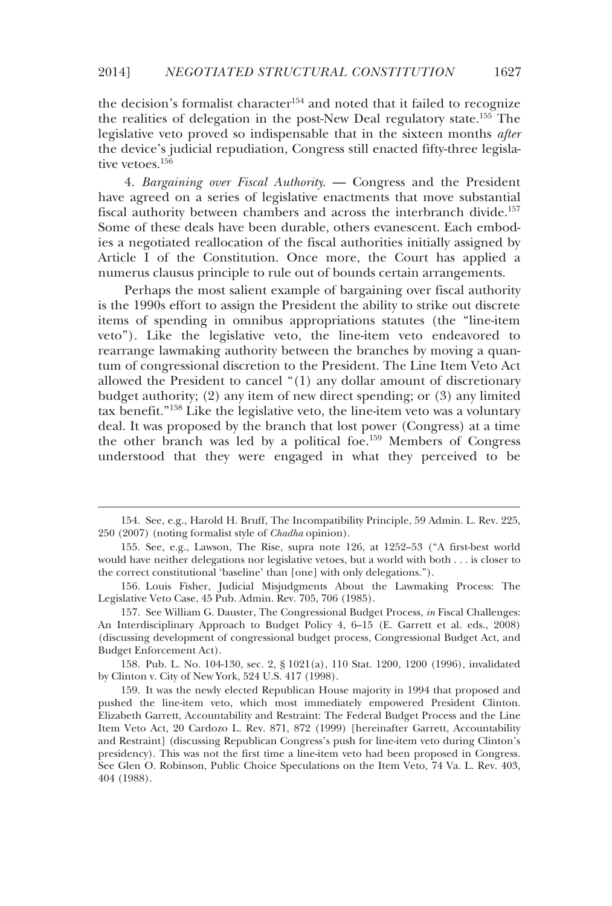the decision's formalist character<sup>154</sup> and noted that it failed to recognize the realities of delegation in the post-New Deal regulatory state.155 The legislative veto proved so indispensable that in the sixteen months *after* the device's judicial repudiation, Congress still enacted fifty-three legislative vetoes.<sup>156</sup>

4. *Bargaining over Fiscal Authority*. — Congress and the President have agreed on a series of legislative enactments that move substantial fiscal authority between chambers and across the interbranch divide.<sup>157</sup> Some of these deals have been durable, others evanescent. Each embodies a negotiated reallocation of the fiscal authorities initially assigned by Article I of the Constitution. Once more, the Court has applied a numerus clausus principle to rule out of bounds certain arrangements.

Perhaps the most salient example of bargaining over fiscal authority is the 1990s effort to assign the President the ability to strike out discrete items of spending in omnibus appropriations statutes (the "line-item veto"). Like the legislative veto, the line-item veto endeavored to rearrange lawmaking authority between the branches by moving a quantum of congressional discretion to the President. The Line Item Veto Act allowed the President to cancel "(1) any dollar amount of discretionary budget authority; (2) any item of new direct spending; or (3) any limited tax benefit."158 Like the legislative veto, the line-item veto was a voluntary deal. It was proposed by the branch that lost power (Congress) at a time the other branch was led by a political foe.159 Members of Congress understood that they were engaged in what they perceived to be

-

 158. Pub. L. No. 104-130, sec. 2, § 1021(a), 110 Stat. 1200, 1200 (1996), invalidated by Clinton v. City of New York, 524 U.S. 417 (1998).

 <sup>154.</sup> See, e.g., Harold H. Bruff, The Incompatibility Principle, 59 Admin. L. Rev. 225, 250 (2007) (noting formalist style of *Chadha* opinion).

 <sup>155.</sup> See, e.g., Lawson, The Rise, supra note 126, at 1252–53 ("A first-best world would have neither delegations nor legislative vetoes, but a world with both . . . is closer to the correct constitutional 'baseline' than [one] with only delegations.").

 <sup>156.</sup> Louis Fisher, Judicial Misjudgments About the Lawmaking Process: The Legislative Veto Case, 45 Pub. Admin. Rev. 705, 706 (1985).

 <sup>157.</sup> See William G. Dauster, The Congressional Budget Process, *in* Fiscal Challenges: An Interdisciplinary Approach to Budget Policy 4, 6–15 (E. Garrett et al. eds., 2008) (discussing development of congressional budget process, Congressional Budget Act, and Budget Enforcement Act).

 <sup>159.</sup> It was the newly elected Republican House majority in 1994 that proposed and pushed the line-item veto, which most immediately empowered President Clinton. Elizabeth Garrett, Accountability and Restraint: The Federal Budget Process and the Line Item Veto Act, 20 Cardozo L. Rev. 871, 872 (1999) [hereinafter Garrett, Accountability and Restraint] (discussing Republican Congress's push for line-item veto during Clinton's presidency). This was not the first time a line-item veto had been proposed in Congress. See Glen O. Robinson, Public Choice Speculations on the Item Veto, 74 Va. L. Rev. 403, 404 (1988).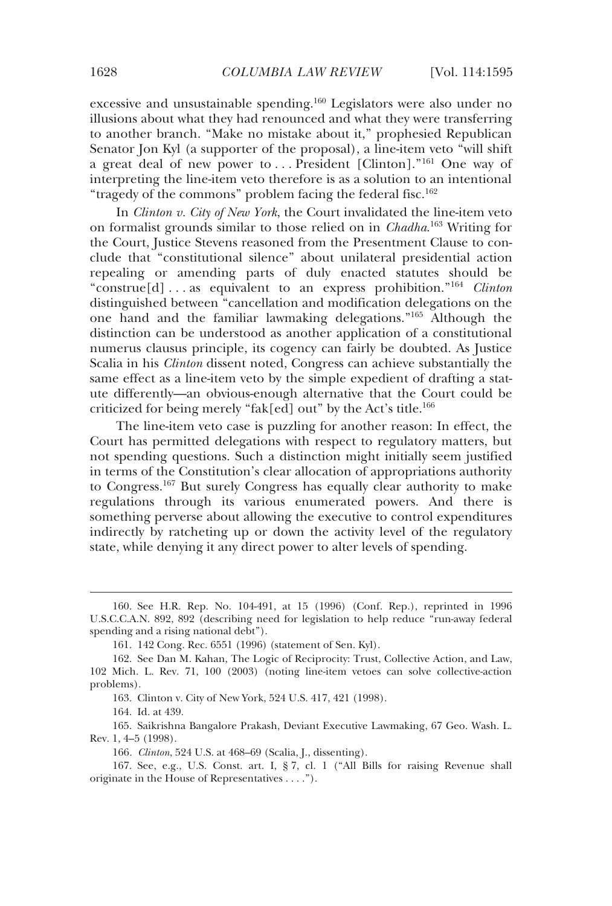excessive and unsustainable spending.160 Legislators were also under no illusions about what they had renounced and what they were transferring to another branch. "Make no mistake about it," prophesied Republican Senator Jon Kyl (a supporter of the proposal), a line-item veto "will shift a great deal of new power to ... President [Clinton]."<sup>161</sup> One way of interpreting the line-item veto therefore is as a solution to an intentional "tragedy of the commons" problem facing the federal fisc.<sup>162</sup>

In *Clinton v. City of New York*, the Court invalidated the line-item veto on formalist grounds similar to those relied on in *Chadha*. 163 Writing for the Court, Justice Stevens reasoned from the Presentment Clause to conclude that "constitutional silence" about unilateral presidential action repealing or amending parts of duly enacted statutes should be "construe[d] . . . as equivalent to an express prohibition."164 *Clinton* distinguished between "cancellation and modification delegations on the one hand and the familiar lawmaking delegations."165 Although the distinction can be understood as another application of a constitutional numerus clausus principle, its cogency can fairly be doubted. As Justice Scalia in his *Clinton* dissent noted, Congress can achieve substantially the same effect as a line-item veto by the simple expedient of drafting a statute differently—an obvious-enough alternative that the Court could be criticized for being merely "fak[ed] out" by the Act's title.166

The line-item veto case is puzzling for another reason: In effect, the Court has permitted delegations with respect to regulatory matters, but not spending questions. Such a distinction might initially seem justified in terms of the Constitution's clear allocation of appropriations authority to Congress.167 But surely Congress has equally clear authority to make regulations through its various enumerated powers. And there is something perverse about allowing the executive to control expenditures indirectly by ratcheting up or down the activity level of the regulatory state, while denying it any direct power to alter levels of spending.

163. Clinton v. City of New York, 524 U.S. 417, 421 (1998).

164. Id. at 439.

j

 165. Saikrishna Bangalore Prakash, Deviant Executive Lawmaking, 67 Geo. Wash. L. Rev. 1, 4–5 (1998).

 167. See, e.g., U.S. Const. art. I, § 7, cl. 1 ("All Bills for raising Revenue shall originate in the House of Representatives . . . .").

 <sup>160.</sup> See H.R. Rep. No. 104-491, at 15 (1996) (Conf. Rep.), reprinted in 1996 U.S.C.C.A.N. 892, 892 (describing need for legislation to help reduce "run-away federal spending and a rising national debt").

 <sup>161. 142</sup> Cong. Rec. 6551 (1996) (statement of Sen. Kyl).

 <sup>162.</sup> See Dan M. Kahan, The Logic of Reciprocity: Trust, Collective Action, and Law, 102 Mich. L. Rev. 71, 100 (2003) (noting line-item vetoes can solve collective-action problems).

<sup>166</sup>*. Clinton*, 524 U.S. at 468–69 (Scalia, J., dissenting).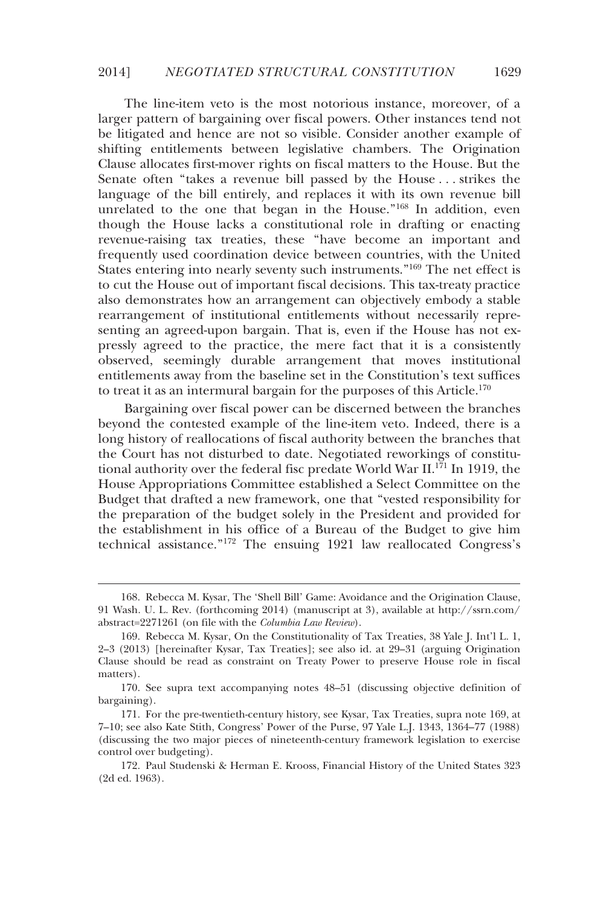The line-item veto is the most notorious instance, moreover, of a larger pattern of bargaining over fiscal powers. Other instances tend not be litigated and hence are not so visible. Consider another example of shifting entitlements between legislative chambers. The Origination Clause allocates first-mover rights on fiscal matters to the House. But the Senate often "takes a revenue bill passed by the House . . . strikes the language of the bill entirely, and replaces it with its own revenue bill unrelated to the one that began in the House."168 In addition, even though the House lacks a constitutional role in drafting or enacting revenue-raising tax treaties, these "have become an important and frequently used coordination device between countries, with the United States entering into nearly seventy such instruments."169 The net effect is to cut the House out of important fiscal decisions. This tax-treaty practice also demonstrates how an arrangement can objectively embody a stable rearrangement of institutional entitlements without necessarily representing an agreed-upon bargain. That is, even if the House has not expressly agreed to the practice, the mere fact that it is a consistently observed, seemingly durable arrangement that moves institutional entitlements away from the baseline set in the Constitution's text suffices to treat it as an intermural bargain for the purposes of this Article.<sup>170</sup>

Bargaining over fiscal power can be discerned between the branches beyond the contested example of the line-item veto. Indeed, there is a long history of reallocations of fiscal authority between the branches that the Court has not disturbed to date. Negotiated reworkings of constitutional authority over the federal fisc predate World War II.<sup>171</sup> In 1919, the House Appropriations Committee established a Select Committee on the Budget that drafted a new framework, one that "vested responsibility for the preparation of the budget solely in the President and provided for the establishment in his office of a Bureau of the Budget to give him technical assistance."172 The ensuing 1921 law reallocated Congress's

-

 <sup>168.</sup> Rebecca M. Kysar, The 'Shell Bill' Game: Avoidance and the Origination Clause, 91 Wash. U. L. Rev. (forthcoming 2014) (manuscript at 3), available at http://ssrn.com/ abstract=2271261 (on file with the *Columbia Law Review*).

 <sup>169.</sup> Rebecca M. Kysar, On the Constitutionality of Tax Treaties, 38 Yale J. Int'l L. 1, 2–3 (2013) [hereinafter Kysar, Tax Treaties]; see also id. at 29–31 (arguing Origination Clause should be read as constraint on Treaty Power to preserve House role in fiscal matters).

 <sup>170.</sup> See supra text accompanying notes 48–51 (discussing objective definition of bargaining).

 <sup>171.</sup> For the pre-twentieth-century history, see Kysar, Tax Treaties, supra note 169, at 7–10; see also Kate Stith, Congress' Power of the Purse, 97 Yale L.J. 1343, 1364–77 (1988) (discussing the two major pieces of nineteenth-century framework legislation to exercise control over budgeting).

 <sup>172.</sup> Paul Studenski & Herman E. Krooss, Financial History of the United States 323 (2d ed. 1963).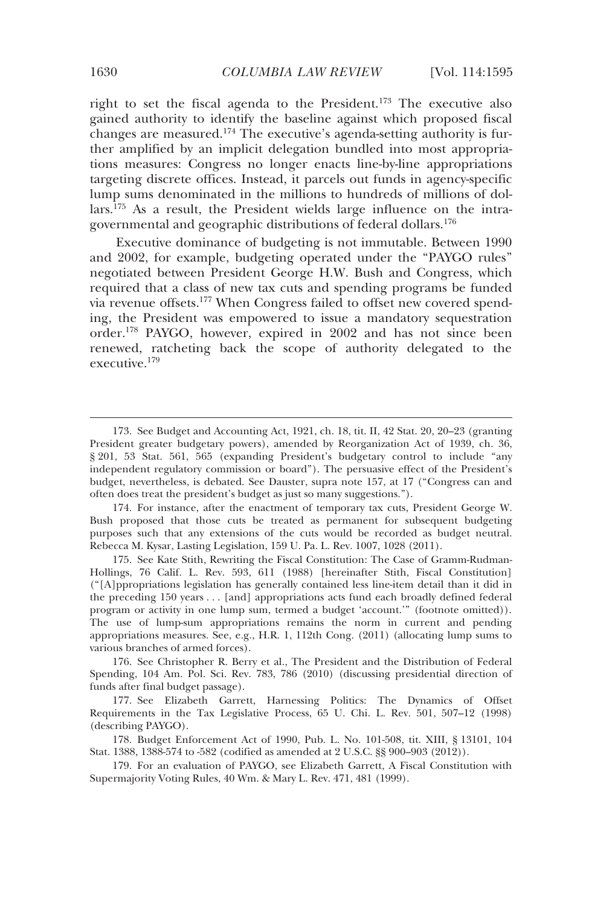right to set the fiscal agenda to the President.173 The executive also gained authority to identify the baseline against which proposed fiscal changes are measured.174 The executive's agenda-setting authority is further amplified by an implicit delegation bundled into most appropriations measures: Congress no longer enacts line-by-line appropriations targeting discrete offices. Instead, it parcels out funds in agency-specific lump sums denominated in the millions to hundreds of millions of dol- $\arcsin 175$  As a result, the President wields large influence on the intragovernmental and geographic distributions of federal dollars.176

Executive dominance of budgeting is not immutable. Between 1990 and 2002, for example, budgeting operated under the "PAYGO rules" negotiated between President George H.W. Bush and Congress, which required that a class of new tax cuts and spending programs be funded via revenue offsets.177 When Congress failed to offset new covered spending, the President was empowered to issue a mandatory sequestration order.178 PAYGO, however, expired in 2002 and has not since been renewed, ratcheting back the scope of authority delegated to the executive.179

 175. See Kate Stith, Rewriting the Fiscal Constitution: The Case of Gramm-Rudman-Hollings, 76 Calif. L. Rev. 593, 611 (1988) [hereinafter Stith, Fiscal Constitution] ("[A]ppropriations legislation has generally contained less line-item detail than it did in the preceding 150 years . . . [and] appropriations acts fund each broadly defined federal program or activity in one lump sum, termed a budget 'account.'" (footnote omitted)). The use of lump-sum appropriations remains the norm in current and pending appropriations measures. See, e.g., H.R. 1, 112th Cong. (2011) (allocating lump sums to various branches of armed forces).

 176. See Christopher R. Berry et al., The President and the Distribution of Federal Spending, 104 Am. Pol. Sci. Rev. 783, 786 (2010) (discussing presidential direction of funds after final budget passage).

 177. See Elizabeth Garrett, Harnessing Politics: The Dynamics of Offset Requirements in the Tax Legislative Process, 65 U. Chi. L. Rev. 501, 507–12 (1998) (describing PAYGO).

 178. Budget Enforcement Act of 1990, Pub. L. No. 101-508, tit. XIII, § 13101, 104 Stat. 1388, 1388-574 to -582 (codified as amended at 2 U.S.C. §§ 900–903 (2012)).

 179. For an evaluation of PAYGO, see Elizabeth Garrett, A Fiscal Constitution with Supermajority Voting Rules, 40 Wm. & Mary L. Rev. 471, 481 (1999).

 <sup>173.</sup> See Budget and Accounting Act, 1921, ch. 18, tit. II, 42 Stat. 20, 20–23 (granting President greater budgetary powers), amended by Reorganization Act of 1939, ch. 36, § 201, 53 Stat. 561, 565 (expanding President's budgetary control to include "any independent regulatory commission or board"). The persuasive effect of the President's budget, nevertheless, is debated. See Dauster, supra note 157, at 17 ("Congress can and often does treat the president's budget as just so many suggestions.").

 <sup>174.</sup> For instance, after the enactment of temporary tax cuts, President George W. Bush proposed that those cuts be treated as permanent for subsequent budgeting purposes such that any extensions of the cuts would be recorded as budget neutral. Rebecca M. Kysar, Lasting Legislation, 159 U. Pa. L. Rev. 1007, 1028 (2011).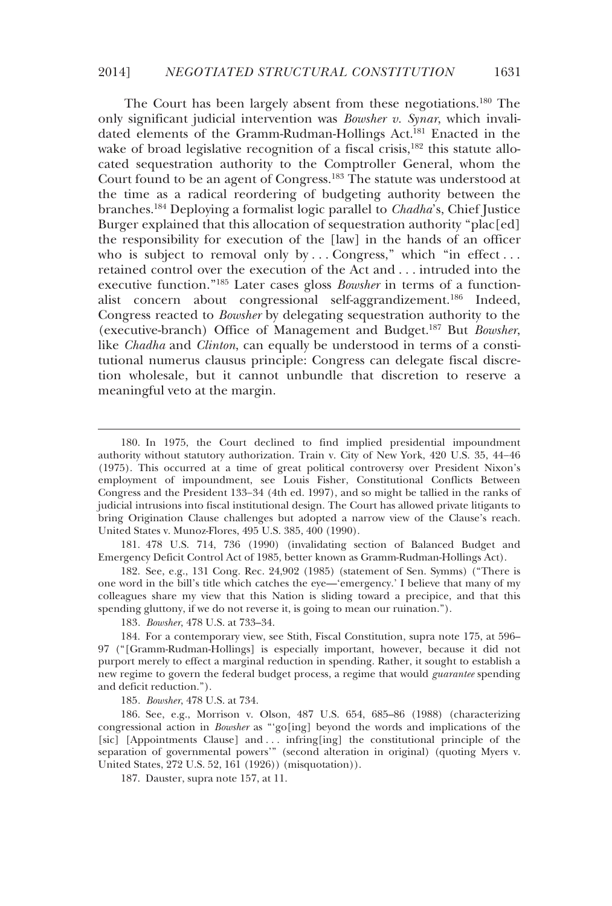### 2014] *NEGOTIATED STRUCTURAL CONSTITUTION* 1631

The Court has been largely absent from these negotiations.<sup>180</sup> The only significant judicial intervention was *Bowsher v. Synar*, which invalidated elements of the Gramm-Rudman-Hollings Act.<sup>181</sup> Enacted in the wake of broad legislative recognition of a fiscal crisis,<sup>182</sup> this statute allocated sequestration authority to the Comptroller General, whom the Court found to be an agent of Congress.183 The statute was understood at the time as a radical reordering of budgeting authority between the branches.184 Deploying a formalist logic parallel to *Chadha*'s, Chief Justice Burger explained that this allocation of sequestration authority "plac[ed] the responsibility for execution of the [law] in the hands of an officer who is subject to removal only by ... Congress," which "in effect... retained control over the execution of the Act and . . . intruded into the executive function."185 Later cases gloss *Bowsher* in terms of a functionalist concern about congressional self-aggrandizement.186 Indeed, Congress reacted to *Bowsher* by delegating sequestration authority to the (executive-branch) Office of Management and Budget.187 But *Bowsher*, like *Chadha* and *Clinton*, can equally be understood in terms of a constitutional numerus clausus principle: Congress can delegate fiscal discretion wholesale, but it cannot unbundle that discretion to reserve a meaningful veto at the margin.

 181. 478 U.S. 714, 736 (1990) (invalidating section of Balanced Budget and Emergency Deficit Control Act of 1985, better known as Gramm-Rudman-Hollings Act).

 182. See, e.g., 131 Cong. Rec. 24,902 (1985) (statement of Sen. Symms) ("There is one word in the bill's title which catches the eye—'emergency.' I believe that many of my colleagues share my view that this Nation is sliding toward a precipice, and that this spending gluttony, if we do not reverse it, is going to mean our ruination.").

183*. Bowsher*, 478 U.S. at 733–34.

-

185*. Bowsher*, 478 U.S. at 734.

 186. See, e.g., Morrison v. Olson, 487 U.S. 654, 685–86 (1988) (characterizing congressional action in *Bowsher* as "'go[ing] beyond the words and implications of the [sic] [Appointments Clause] and . . . infring[ing] the constitutional principle of the separation of governmental powers'" (second alteration in original) (quoting Myers v. United States, 272 U.S. 52, 161 (1926)) (misquotation)).

187. Dauster, supra note 157, at 11.

 <sup>180.</sup> In 1975, the Court declined to find implied presidential impoundment authority without statutory authorization. Train v. City of New York, 420 U.S. 35, 44−46 (1975). This occurred at a time of great political controversy over President Nixon's employment of impoundment, see Louis Fisher, Constitutional Conflicts Between Congress and the President 133−34 (4th ed. 1997), and so might be tallied in the ranks of judicial intrusions into fiscal institutional design. The Court has allowed private litigants to bring Origination Clause challenges but adopted a narrow view of the Clause's reach. United States v. Munoz-Flores, 495 U.S. 385, 400 (1990).

 <sup>184.</sup> For a contemporary view, see Stith, Fiscal Constitution, supra note 175, at 596– 97 ("[Gramm-Rudman-Hollings] is especially important, however, because it did not purport merely to effect a marginal reduction in spending. Rather, it sought to establish a new regime to govern the federal budget process, a regime that would *guarantee* spending and deficit reduction.").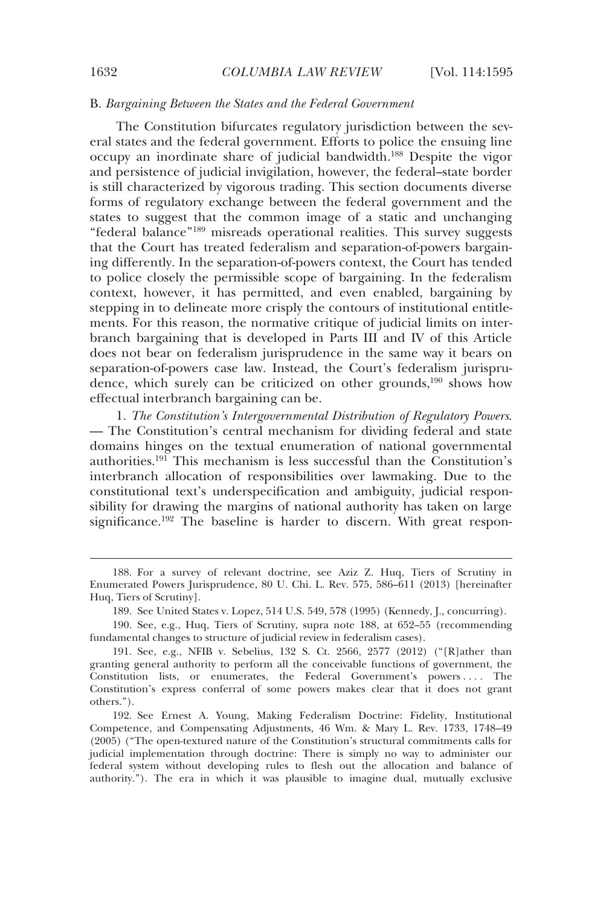# B. *Bargaining Between the States and the Federal Government*

The Constitution bifurcates regulatory jurisdiction between the several states and the federal government. Efforts to police the ensuing line occupy an inordinate share of judicial bandwidth.188 Despite the vigor and persistence of judicial invigilation, however, the federal–state border is still characterized by vigorous trading. This section documents diverse forms of regulatory exchange between the federal government and the states to suggest that the common image of a static and unchanging "federal balance"189 misreads operational realities. This survey suggests that the Court has treated federalism and separation-of-powers bargaining differently. In the separation-of-powers context, the Court has tended to police closely the permissible scope of bargaining. In the federalism context, however, it has permitted, and even enabled, bargaining by stepping in to delineate more crisply the contours of institutional entitlements. For this reason, the normative critique of judicial limits on interbranch bargaining that is developed in Parts III and IV of this Article does not bear on federalism jurisprudence in the same way it bears on separation-of-powers case law. Instead, the Court's federalism jurisprudence, which surely can be criticized on other grounds, $190$  shows how effectual interbranch bargaining can be.

1. *The Constitution's Intergovernmental Distribution of Regulatory Powers*. — The Constitution's central mechanism for dividing federal and state domains hinges on the textual enumeration of national governmental authorities.<sup>191</sup> This mechanism is less successful than the Constitution's interbranch allocation of responsibilities over lawmaking. Due to the constitutional text's underspecification and ambiguity, judicial responsibility for drawing the margins of national authority has taken on large significance.<sup>192</sup> The baseline is harder to discern. With great respon-

 <sup>188.</sup> For a survey of relevant doctrine, see Aziz Z. Huq, Tiers of Scrutiny in Enumerated Powers Jurisprudence, 80 U. Chi. L. Rev. 575, 586–611 (2013) [hereinafter Huq, Tiers of Scrutiny].

 <sup>189.</sup> See United States v. Lopez, 514 U.S. 549, 578 (1995) (Kennedy, J., concurring).

 <sup>190.</sup> See, e.g., Huq, Tiers of Scrutiny, supra note 188, at 652–55 (recommending fundamental changes to structure of judicial review in federalism cases).

 <sup>191.</sup> See, e.g., NFIB v. Sebelius, 132 S. Ct. 2566, 2577 (2012) ("[R]ather than granting general authority to perform all the conceivable functions of government, the Constitution lists, or enumerates, the Federal Government's powers .... The Constitution's express conferral of some powers makes clear that it does not grant others.").

 <sup>192.</sup> See Ernest A. Young, Making Federalism Doctrine: Fidelity, Institutional Competence, and Compensating Adjustments, 46 Wm. & Mary L. Rev. 1733, 1748–49 (2005) ("The open-textured nature of the Constitution's structural commitments calls for judicial implementation through doctrine: There is simply no way to administer our federal system without developing rules to flesh out the allocation and balance of authority."). The era in which it was plausible to imagine dual, mutually exclusive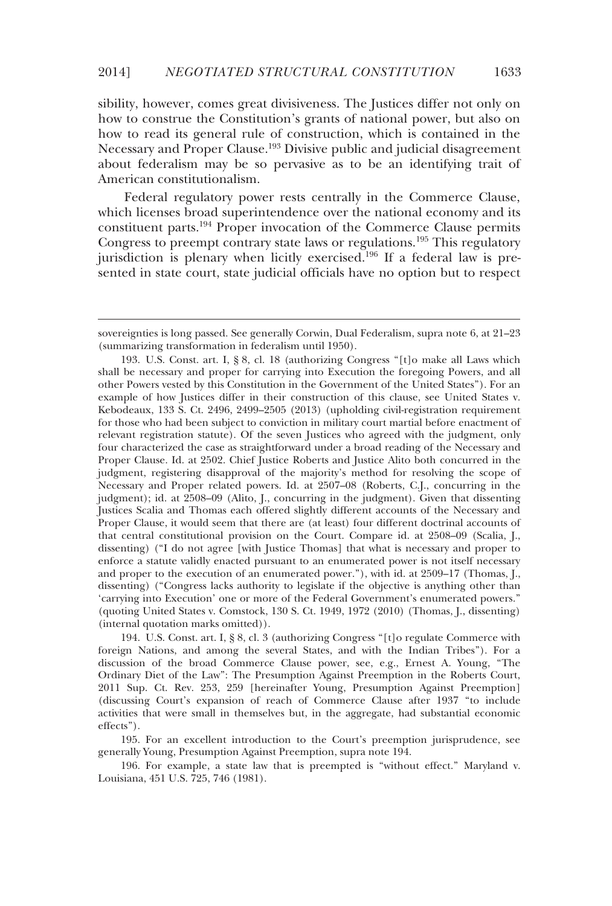sibility, however, comes great divisiveness. The Justices differ not only on how to construe the Constitution's grants of national power, but also on how to read its general rule of construction, which is contained in the Necessary and Proper Clause.<sup>193</sup> Divisive public and judicial disagreement about federalism may be so pervasive as to be an identifying trait of American constitutionalism.

Federal regulatory power rests centrally in the Commerce Clause, which licenses broad superintendence over the national economy and its constituent parts.194 Proper invocation of the Commerce Clause permits Congress to preempt contrary state laws or regulations.<sup>195</sup> This regulatory jurisdiction is plenary when licitly exercised.<sup>196</sup> If a federal law is presented in state court, state judicial officials have no option but to respect

-

 194. U.S. Const. art. I, § 8, cl. 3 (authorizing Congress "[t]o regulate Commerce with foreign Nations, and among the several States, and with the Indian Tribes"). For a discussion of the broad Commerce Clause power, see, e.g., Ernest A. Young, "The Ordinary Diet of the Law": The Presumption Against Preemption in the Roberts Court, 2011 Sup. Ct. Rev. 253, 259 [hereinafter Young, Presumption Against Preemption] (discussing Court's expansion of reach of Commerce Clause after 1937 "to include activities that were small in themselves but, in the aggregate, had substantial economic effects").

 195. For an excellent introduction to the Court's preemption jurisprudence, see generally Young, Presumption Against Preemption, supra note 194.

 196. For example, a state law that is preempted is "without effect." Maryland v. Louisiana, 451 U.S. 725, 746 (1981).

sovereignties is long passed. See generally Corwin, Dual Federalism, supra note 6, at 21–23 (summarizing transformation in federalism until 1950).

 <sup>193.</sup> U.S. Const. art. I, § 8, cl. 18 (authorizing Congress "[t]o make all Laws which shall be necessary and proper for carrying into Execution the foregoing Powers, and all other Powers vested by this Constitution in the Government of the United States"). For an example of how Justices differ in their construction of this clause, see United States v. Kebodeaux, 133 S. Ct. 2496, 2499–2505 (2013) (upholding civil-registration requirement for those who had been subject to conviction in military court martial before enactment of relevant registration statute). Of the seven Justices who agreed with the judgment, only four characterized the case as straightforward under a broad reading of the Necessary and Proper Clause. Id. at 2502. Chief Justice Roberts and Justice Alito both concurred in the judgment, registering disapproval of the majority's method for resolving the scope of Necessary and Proper related powers. Id. at 2507–08 (Roberts, C.J., concurring in the judgment); id. at 2508–09 (Alito, J., concurring in the judgment). Given that dissenting Justices Scalia and Thomas each offered slightly different accounts of the Necessary and Proper Clause, it would seem that there are (at least) four different doctrinal accounts of that central constitutional provision on the Court. Compare id. at 2508–09 (Scalia, J., dissenting) ("I do not agree [with Justice Thomas] that what is necessary and proper to enforce a statute validly enacted pursuant to an enumerated power is not itself necessary and proper to the execution of an enumerated power."), with id. at 2509–17 (Thomas, J., dissenting) ("Congress lacks authority to legislate if the objective is anything other than 'carrying into Execution' one or more of the Federal Government's enumerated powers." (quoting United States v. Comstock, 130 S. Ct. 1949, 1972 (2010) (Thomas, J., dissenting) (internal quotation marks omitted)).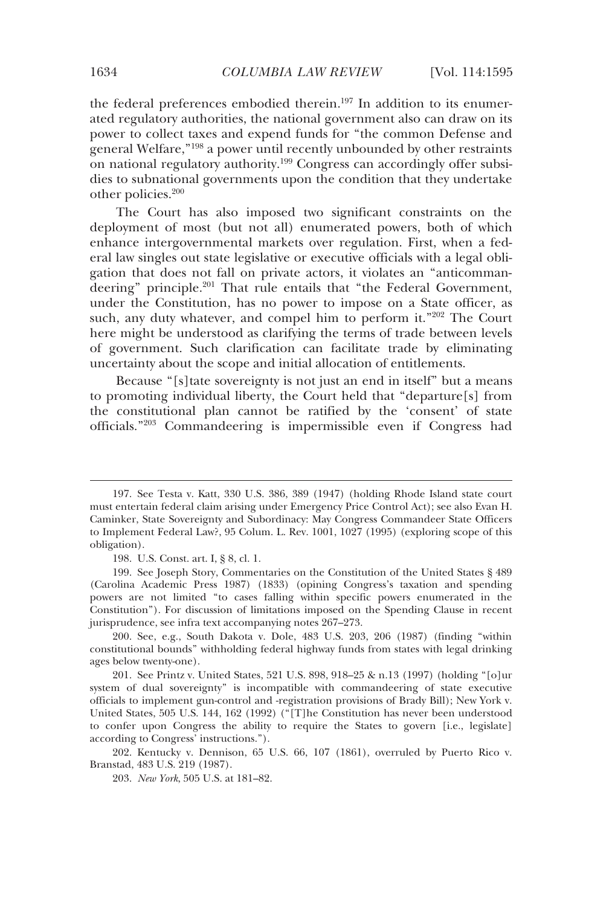the federal preferences embodied therein.197 In addition to its enumerated regulatory authorities, the national government also can draw on its power to collect taxes and expend funds for "the common Defense and general Welfare,"198 a power until recently unbounded by other restraints on national regulatory authority.199 Congress can accordingly offer subsidies to subnational governments upon the condition that they undertake other policies.200

The Court has also imposed two significant constraints on the deployment of most (but not all) enumerated powers, both of which enhance intergovernmental markets over regulation. First, when a federal law singles out state legislative or executive officials with a legal obligation that does not fall on private actors, it violates an "anticommandeering" principle.<sup>201</sup> That rule entails that "the Federal Government, under the Constitution, has no power to impose on a State officer, as such, any duty whatever, and compel him to perform it."202 The Court here might be understood as clarifying the terms of trade between levels of government. Such clarification can facilitate trade by eliminating uncertainty about the scope and initial allocation of entitlements.

Because "[s]tate sovereignty is not just an end in itself" but a means to promoting individual liberty, the Court held that "departure[s] from the constitutional plan cannot be ratified by the 'consent' of state officials."203 Commandeering is impermissible even if Congress had

198. U.S. Const. art. I, § 8, cl. 1.

 199. See Joseph Story, Commentaries on the Constitution of the United States § 489 (Carolina Academic Press 1987) (1833) (opining Congress's taxation and spending powers are not limited "to cases falling within specific powers enumerated in the Constitution"). For discussion of limitations imposed on the Spending Clause in recent jurisprudence, see infra text accompanying notes 267–273.

 200. See, e.g., South Dakota v. Dole, 483 U.S. 203, 206 (1987) (finding "within constitutional bounds" withholding federal highway funds from states with legal drinking ages below twenty-one).

 201. See Printz v. United States, 521 U.S. 898, 918–25 & n.13 (1997) (holding "[o]ur system of dual sovereignty" is incompatible with commandeering of state executive officials to implement gun-control and -registration provisions of Brady Bill); New York v. United States, 505 U.S. 144, 162 (1992) ("[T]he Constitution has never been understood to confer upon Congress the ability to require the States to govern [i.e., legislate] according to Congress' instructions.").

 202. Kentucky v. Dennison, 65 U.S. 66, 107 (1861), overruled by Puerto Rico v. Branstad, 483 U.S. 219 (1987).

203. *New York*, 505 U.S. at 181–82.

 <sup>197.</sup> See Testa v. Katt, 330 U.S. 386, 389 (1947) (holding Rhode Island state court must entertain federal claim arising under Emergency Price Control Act); see also Evan H. Caminker, State Sovereignty and Subordinacy: May Congress Commandeer State Officers to Implement Federal Law?, 95 Colum. L. Rev. 1001, 1027 (1995) (exploring scope of this obligation).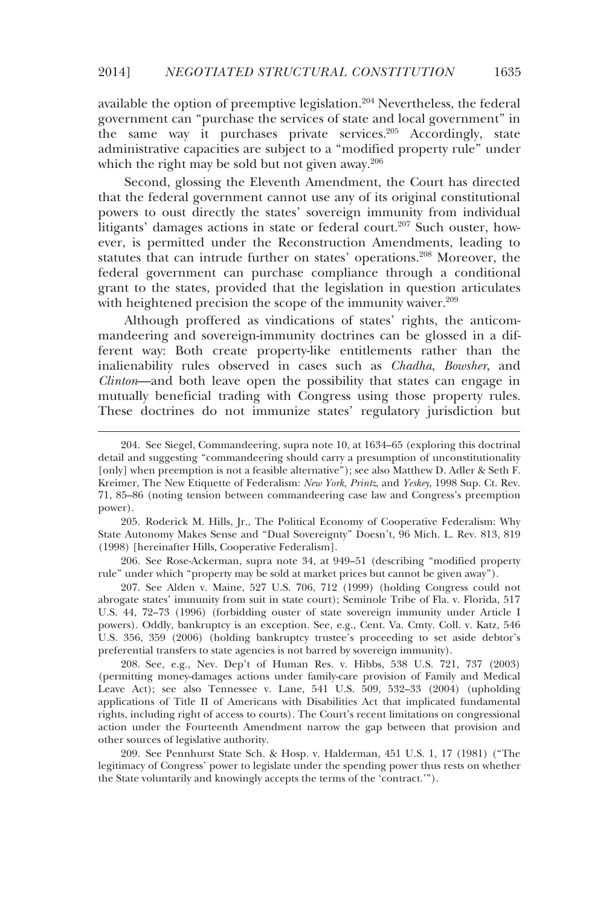available the option of preemptive legislation.<sup>204</sup> Nevertheless, the federal government can "purchase the services of state and local government" in the same way it purchases private services.<sup>205</sup> Accordingly, state administrative capacities are subject to a "modified property rule" under which the right may be sold but not given away.<sup>206</sup>

Second, glossing the Eleventh Amendment, the Court has directed that the federal government cannot use any of its original constitutional powers to oust directly the states' sovereign immunity from individual litigants' damages actions in state or federal court.<sup>207</sup> Such ouster, however, is permitted under the Reconstruction Amendments, leading to statutes that can intrude further on states' operations.<sup>208</sup> Moreover, the federal government can purchase compliance through a conditional grant to the states, provided that the legislation in question articulates with heightened precision the scope of the immunity waiver.<sup>209</sup>

Although proffered as vindications of states' rights, the anticommandeering and sovereign-immunity doctrines can be glossed in a different way: Both create property-like entitlements rather than the inalienability rules observed in cases such as *Chadha*, *Bowsher*, and *Clinton*—and both leave open the possibility that states can engage in mutually beneficial trading with Congress using those property rules. These doctrines do not immunize states' regulatory jurisdiction but

-

 206. See Rose-Ackerman, supra note 34, at 949–51 (describing "modified property rule" under which "property may be sold at market prices but cannot be given away").

 207. See Alden v. Maine, 527 U.S. 706, 712 (1999) (holding Congress could not abrogate states' immunity from suit in state court); Seminole Tribe of Fla. v. Florida, 517 U.S. 44, 72–73 (1996) (forbidding ouster of state sovereign immunity under Article I powers). Oddly, bankruptcy is an exception. See, e.g., Cent. Va. Cmty. Coll. v*.* Katz*,* 546 U.S. 356, 359 (2006) (holding bankruptcy trustee's proceeding to set aside debtor's preferential transfers to state agencies is not barred by sovereign immunity).

 208. See, e.g., Nev. Dep't of Human Res. v. Hibbs, 538 U.S. 721, 737 (2003) (permitting money-damages actions under family-care provision of Family and Medical Leave Act); see also Tennessee v. Lane, 541 U.S. 509, 532–33 (2004) (upholding applications of Title II of Americans with Disabilities Act that implicated fundamental rights, including right of access to courts). The Court's recent limitations on congressional action under the Fourteenth Amendment narrow the gap between that provision and other sources of legislative authority.

 209. See Pennhurst State Sch. & Hosp. v. Halderman, 451 U.S. 1, 17 (1981) ("The legitimacy of Congress' power to legislate under the spending power thus rests on whether the State voluntarily and knowingly accepts the terms of the 'contract.'").

 <sup>204.</sup> See Siegel, Commandeering, supra note 10, at 1634–65 (exploring this doctrinal detail and suggesting "commandeering should carry a presumption of unconstitutionality [only] when preemption is not a feasible alternative"); see also Matthew D. Adler & Seth F. Kreimer, The New Etiquette of Federalism: *New York*, *Printz*, and *Yeskey*, 1998 Sup. Ct. Rev. 71, 85–86 (noting tension between commandeering case law and Congress's preemption power).

 <sup>205.</sup> Roderick M. Hills, Jr., The Political Economy of Cooperative Federalism: Why State Autonomy Makes Sense and "Dual Sovereignty" Doesn't, 96 Mich. L. Rev. 813, 819 (1998) [hereinafter Hills, Cooperative Federalism].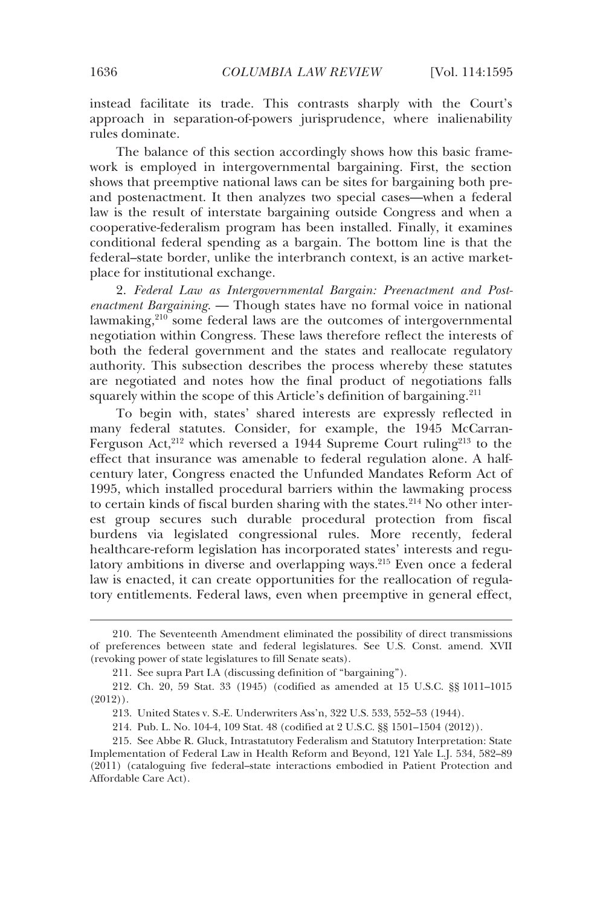instead facilitate its trade. This contrasts sharply with the Court's approach in separation-of-powers jurisprudence, where inalienability rules dominate.

The balance of this section accordingly shows how this basic framework is employed in intergovernmental bargaining. First, the section shows that preemptive national laws can be sites for bargaining both preand postenactment. It then analyzes two special cases—when a federal law is the result of interstate bargaining outside Congress and when a cooperative-federalism program has been installed. Finally, it examines conditional federal spending as a bargain. The bottom line is that the federal–state border, unlike the interbranch context, is an active marketplace for institutional exchange.

2. *Federal Law as Intergovernmental Bargain: Preenactment and Postenactment Bargaining*. — Though states have no formal voice in national lawmaking, $210$  some federal laws are the outcomes of intergovernmental negotiation within Congress. These laws therefore reflect the interests of both the federal government and the states and reallocate regulatory authority. This subsection describes the process whereby these statutes are negotiated and notes how the final product of negotiations falls squarely within the scope of this Article's definition of bargaining.<sup>211</sup>

To begin with, states' shared interests are expressly reflected in many federal statutes. Consider, for example, the 1945 McCarran-Ferguson Act,<sup>212</sup> which reversed a 1944 Supreme Court ruling<sup>213</sup> to the effect that insurance was amenable to federal regulation alone. A halfcentury later, Congress enacted the Unfunded Mandates Reform Act of 1995, which installed procedural barriers within the lawmaking process to certain kinds of fiscal burden sharing with the states.<sup>214</sup> No other interest group secures such durable procedural protection from fiscal burdens via legislated congressional rules. More recently, federal healthcare-reform legislation has incorporated states' interests and regulatory ambitions in diverse and overlapping ways.215 Even once a federal law is enacted, it can create opportunities for the reallocation of regulatory entitlements. Federal laws, even when preemptive in general effect,

 <sup>210.</sup> The Seventeenth Amendment eliminated the possibility of direct transmissions of preferences between state and federal legislatures. See U.S. Const. amend. XVII (revoking power of state legislatures to fill Senate seats).

 <sup>211.</sup> See supra Part I.A (discussing definition of "bargaining").

 <sup>212.</sup> Ch. 20, 59 Stat. 33 (1945) (codified as amended at 15 U.S.C. §§ 1011–1015 (2012)).

 <sup>213.</sup> United States v. S.-E. Underwriters Ass'n, 322 U.S. 533, 552–53 (1944).

 <sup>214.</sup> Pub. L. No. 104-4, 109 Stat. 48 (codified at 2 U.S.C. §§ 1501–1504 (2012)).

 <sup>215.</sup> See Abbe R. Gluck, Intrastatutory Federalism and Statutory Interpretation: State Implementation of Federal Law in Health Reform and Beyond, 121 Yale L.J. 534, 582–89 (2011) (cataloguing five federal–state interactions embodied in Patient Protection and Affordable Care Act).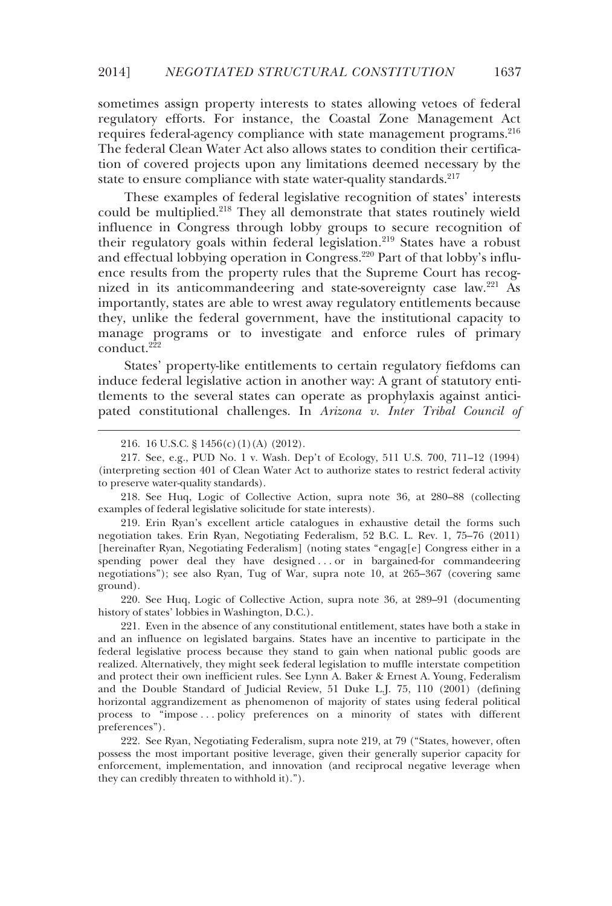sometimes assign property interests to states allowing vetoes of federal regulatory efforts. For instance, the Coastal Zone Management Act requires federal-agency compliance with state management programs.<sup>216</sup> The federal Clean Water Act also allows states to condition their certification of covered projects upon any limitations deemed necessary by the state to ensure compliance with state water-quality standards.<sup>217</sup>

These examples of federal legislative recognition of states' interests could be multiplied.<sup>218</sup> They all demonstrate that states routinely wield influence in Congress through lobby groups to secure recognition of their regulatory goals within federal legislation.219 States have a robust and effectual lobbying operation in Congress.<sup>220</sup> Part of that lobby's influence results from the property rules that the Supreme Court has recognized in its anticommandeering and state-sovereignty case law.221 As importantly, states are able to wrest away regulatory entitlements because they, unlike the federal government, have the institutional capacity to manage programs or to investigate and enforce rules of primary  $\overline{\text{conduct.}}^{222}$ 

States' property-like entitlements to certain regulatory fiefdoms can induce federal legislative action in another way: A grant of statutory entitlements to the several states can operate as prophylaxis against anticipated constitutional challenges. In *Arizona v. Inter Tribal Council of* 

-

 218. See Huq, Logic of Collective Action, supra note 36, at 280–88 (collecting examples of federal legislative solicitude for state interests).

 219. Erin Ryan's excellent article catalogues in exhaustive detail the forms such negotiation takes. Erin Ryan, Negotiating Federalism, 52 B.C. L. Rev. 1, 75–76 (2011) [hereinafter Ryan, Negotiating Federalism] (noting states "engag[e] Congress either in a spending power deal they have designed . . . or in bargained-for commandeering negotiations"); see also Ryan, Tug of War, supra note 10, at 265–367 (covering same ground).

 220. See Huq, Logic of Collective Action, supra note 36, at 289–91 (documenting history of states' lobbies in Washington, D.C.).

 221. Even in the absence of any constitutional entitlement, states have both a stake in and an influence on legislated bargains. States have an incentive to participate in the federal legislative process because they stand to gain when national public goods are realized. Alternatively, they might seek federal legislation to muffle interstate competition and protect their own inefficient rules. See Lynn A. Baker & Ernest A. Young, Federalism and the Double Standard of Judicial Review, 51 Duke L.J. 75, 110 (2001) (defining horizontal aggrandizement as phenomenon of majority of states using federal political process to "impose . . . policy preferences on a minority of states with different preferences").

 222. See Ryan, Negotiating Federalism, supra note 219, at 79 ("States, however, often possess the most important positive leverage, given their generally superior capacity for enforcement, implementation, and innovation (and reciprocal negative leverage when they can credibly threaten to withhold it).").

 <sup>216. 16</sup> U.S.C. § 1456(c)(1)(A) (2012).

 <sup>217.</sup> See, e.g., PUD No. 1 v. Wash. Dep't of Ecology, 511 U.S. 700, 711–12 (1994) (interpreting section 401 of Clean Water Act to authorize states to restrict federal activity to preserve water-quality standards).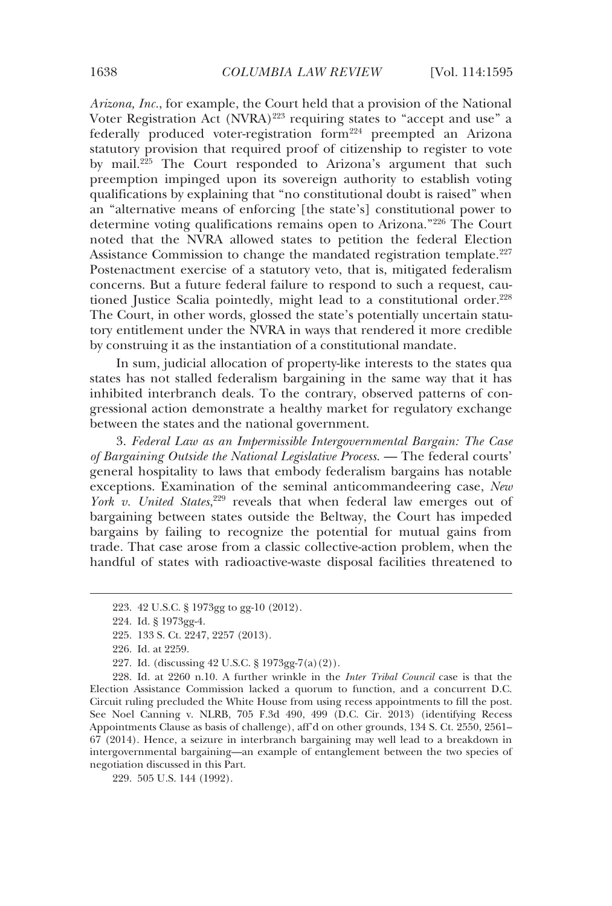*Arizona, Inc.*, for example, the Court held that a provision of the National Voter Registration Act  $(NVRA)^{223}$  requiring states to "accept and use" a federally produced voter-registration form<sup>224</sup> preempted an Arizona statutory provision that required proof of citizenship to register to vote by mail.<sup>225</sup> The Court responded to Arizona's argument that such preemption impinged upon its sovereign authority to establish voting qualifications by explaining that "no constitutional doubt is raised" when an "alternative means of enforcing [the state's] constitutional power to determine voting qualifications remains open to Arizona."226 The Court noted that the NVRA allowed states to petition the federal Election Assistance Commission to change the mandated registration template.<sup>227</sup> Postenactment exercise of a statutory veto, that is, mitigated federalism concerns. But a future federal failure to respond to such a request, cautioned Justice Scalia pointedly, might lead to a constitutional order.<sup>228</sup> The Court, in other words, glossed the state's potentially uncertain statutory entitlement under the NVRA in ways that rendered it more credible by construing it as the instantiation of a constitutional mandate.

In sum, judicial allocation of property-like interests to the states qua states has not stalled federalism bargaining in the same way that it has inhibited interbranch deals. To the contrary, observed patterns of congressional action demonstrate a healthy market for regulatory exchange between the states and the national government.

3. *Federal Law as an Impermissible Intergovernmental Bargain: The Case of Bargaining Outside the National Legislative Process*. — The federal courts' general hospitality to laws that embody federalism bargains has notable exceptions. Examination of the seminal anticommandeering case, *New*  York v. United States,<sup>229</sup> reveals that when federal law emerges out of bargaining between states outside the Beltway, the Court has impeded bargains by failing to recognize the potential for mutual gains from trade. That case arose from a classic collective-action problem, when the handful of states with radioactive-waste disposal facilities threatened to

j

229. 505 U.S. 144 (1992).

 <sup>223. 42</sup> U.S.C. § 1973gg to gg-10 (2012).

 <sup>224.</sup> Id. § 1973gg-4.

 <sup>225. 133</sup> S. Ct. 2247, 2257 (2013).

 <sup>226.</sup> Id. at 2259.

 <sup>227.</sup> Id. (discussing 42 U.S.C. § 1973gg-7(a)(2)).

 <sup>228.</sup> Id. at 2260 n.10. A further wrinkle in the *Inter Tribal Council* case is that the Election Assistance Commission lacked a quorum to function, and a concurrent D.C. Circuit ruling precluded the White House from using recess appointments to fill the post. See Noel Canning v. NLRB, 705 F.3d 490, 499 (D.C. Cir. 2013) (identifying Recess Appointments Clause as basis of challenge), aff'd on other grounds, 134 S. Ct. 2550, 2561– 67 (2014). Hence, a seizure in interbranch bargaining may well lead to a breakdown in intergovernmental bargaining—an example of entanglement between the two species of negotiation discussed in this Part.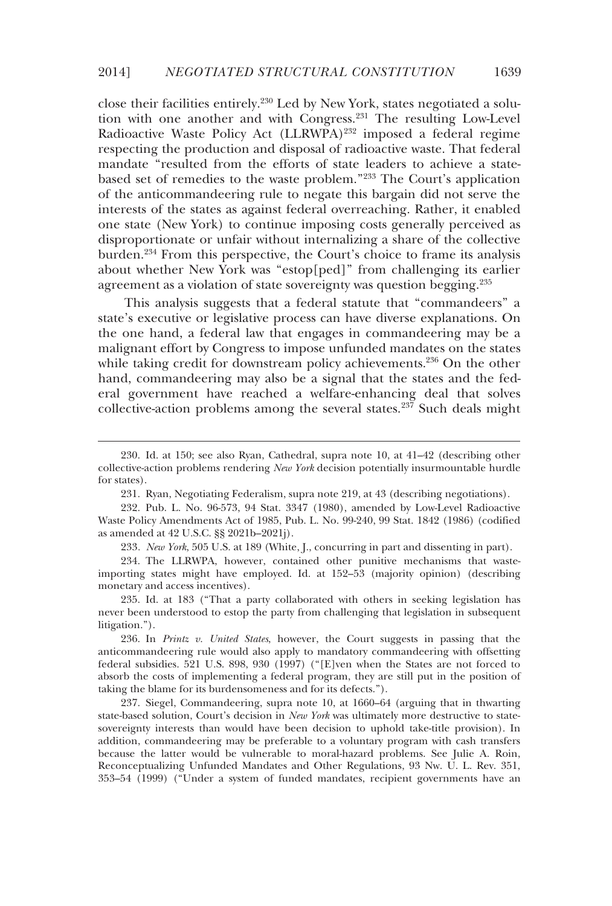close their facilities entirely.230 Led by New York, states negotiated a solution with one another and with Congress.231 The resulting Low-Level Radioactive Waste Policy Act (LLRWPA)<sup>232</sup> imposed a federal regime respecting the production and disposal of radioactive waste. That federal mandate "resulted from the efforts of state leaders to achieve a statebased set of remedies to the waste problem."233 The Court's application of the anticommandeering rule to negate this bargain did not serve the interests of the states as against federal overreaching. Rather, it enabled one state (New York) to continue imposing costs generally perceived as disproportionate or unfair without internalizing a share of the collective burden.234 From this perspective, the Court's choice to frame its analysis about whether New York was "estop[ped]" from challenging its earlier agreement as a violation of state sovereignty was question begging.<sup>235</sup>

This analysis suggests that a federal statute that "commandeers" a state's executive or legislative process can have diverse explanations. On the one hand, a federal law that engages in commandeering may be a malignant effort by Congress to impose unfunded mandates on the states while taking credit for downstream policy achievements.<sup>236</sup> On the other hand, commandeering may also be a signal that the states and the federal government have reached a welfare-enhancing deal that solves collective-action problems among the several states.237 Such deals might

-

233*. New York*, 505 U.S. at 189 (White, J., concurring in part and dissenting in part).

 <sup>230.</sup> Id. at 150; see also Ryan, Cathedral, supra note 10, at 41–42 (describing other collective-action problems rendering *New York* decision potentially insurmountable hurdle for states).

 <sup>231.</sup> Ryan, Negotiating Federalism, supra note 219, at 43 (describing negotiations).

 <sup>232.</sup> Pub. L. No. 96-573, 94 Stat. 3347 (1980), amended by Low-Level Radioactive Waste Policy Amendments Act of 1985, Pub. L. No. 99-240, 99 Stat. 1842 (1986) (codified as amended at 42 U.S.C. §§ 2021b–2021j).

 <sup>234.</sup> The LLRWPA, however, contained other punitive mechanisms that wasteimporting states might have employed. Id. at 152–53 (majority opinion) (describing monetary and access incentives).

 <sup>235.</sup> Id. at 183 ("That a party collaborated with others in seeking legislation has never been understood to estop the party from challenging that legislation in subsequent litigation.").

 <sup>236.</sup> In *Printz v. United States*, however, the Court suggests in passing that the anticommandeering rule would also apply to mandatory commandeering with offsetting federal subsidies. 521 U.S. 898, 930 (1997) ("[E]ven when the States are not forced to absorb the costs of implementing a federal program, they are still put in the position of taking the blame for its burdensomeness and for its defects.").

 <sup>237.</sup> Siegel, Commandeering, supra note 10, at 1660–64 (arguing that in thwarting state-based solution, Court's decision in *New York* was ultimately more destructive to statesovereignty interests than would have been decision to uphold take-title provision). In addition, commandeering may be preferable to a voluntary program with cash transfers because the latter would be vulnerable to moral-hazard problems. See Julie A. Roin, Reconceptualizing Unfunded Mandates and Other Regulations, 93 Nw. U. L. Rev. 351, 353–54 (1999) ("Under a system of funded mandates, recipient governments have an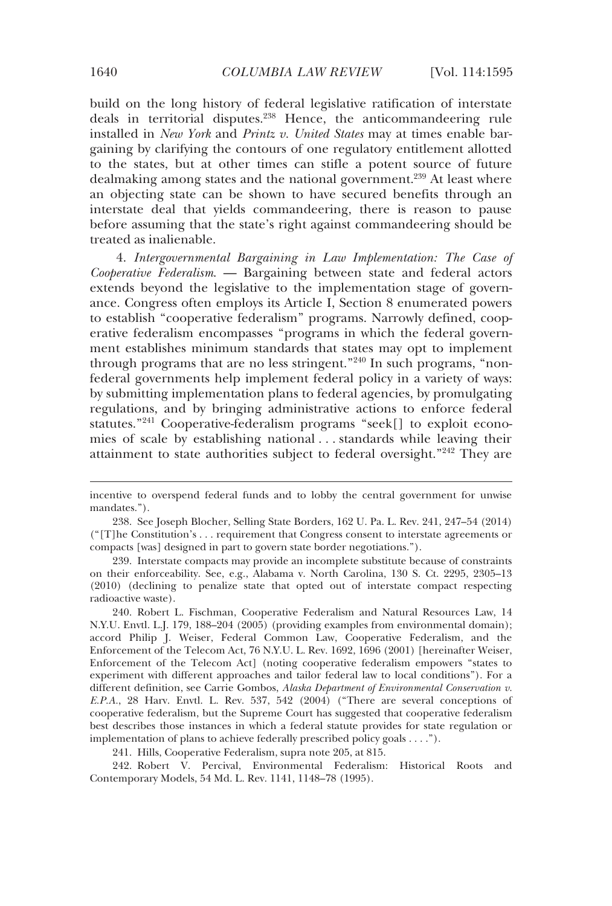build on the long history of federal legislative ratification of interstate deals in territorial disputes.238 Hence, the anticommandeering rule installed in *New York* and *Printz v. United States* may at times enable bargaining by clarifying the contours of one regulatory entitlement allotted to the states, but at other times can stifle a potent source of future dealmaking among states and the national government.<sup>239</sup> At least where an objecting state can be shown to have secured benefits through an interstate deal that yields commandeering, there is reason to pause before assuming that the state's right against commandeering should be treated as inalienable.

4. *Intergovernmental Bargaining in Law Implementation: The Case of Cooperative Federalism*. — Bargaining between state and federal actors extends beyond the legislative to the implementation stage of governance. Congress often employs its Article I, Section 8 enumerated powers to establish "cooperative federalism" programs. Narrowly defined, cooperative federalism encompasses "programs in which the federal government establishes minimum standards that states may opt to implement through programs that are no less stringent."240 In such programs, "nonfederal governments help implement federal policy in a variety of ways: by submitting implementation plans to federal agencies, by promulgating regulations, and by bringing administrative actions to enforce federal statutes."241 Cooperative-federalism programs "seek[] to exploit economies of scale by establishing national . . . standards while leaving their attainment to state authorities subject to federal oversight."242 They are

 242. Robert V. Percival, Environmental Federalism: Historical Roots and Contemporary Models, 54 Md. L. Rev. 1141, 1148–78 (1995).

incentive to overspend federal funds and to lobby the central government for unwise mandates.").

 <sup>238.</sup> See Joseph Blocher, Selling State Borders, 162 U. Pa. L. Rev. 241, 247–54 (2014) ("[T]he Constitution's . . . requirement that Congress consent to interstate agreements or compacts [was] designed in part to govern state border negotiations.").

 <sup>239.</sup> Interstate compacts may provide an incomplete substitute because of constraints on their enforceability. See, e.g., Alabama v. North Carolina, 130 S. Ct. 2295, 2305–13 (2010) (declining to penalize state that opted out of interstate compact respecting radioactive waste).

 <sup>240.</sup> Robert L. Fischman, Cooperative Federalism and Natural Resources Law, 14 N.Y.U. Envtl. L.J. 179, 188–204 (2005) (providing examples from environmental domain); accord Philip J. Weiser, Federal Common Law, Cooperative Federalism, and the Enforcement of the Telecom Act, 76 N.Y.U. L. Rev. 1692, 1696 (2001) [hereinafter Weiser, Enforcement of the Telecom Act] (noting cooperative federalism empowers "states to experiment with different approaches and tailor federal law to local conditions"). For a different definition, see Carrie Gombos, *Alaska Department of Environmental Conservation v. E.P.A.*, 28 Harv. Envtl. L. Rev. 537, 542 (2004) ("There are several conceptions of cooperative federalism, but the Supreme Court has suggested that cooperative federalism best describes those instances in which a federal statute provides for state regulation or implementation of plans to achieve federally prescribed policy goals . . . .").

 <sup>241.</sup> Hills, Cooperative Federalism, supra note 205, at 815.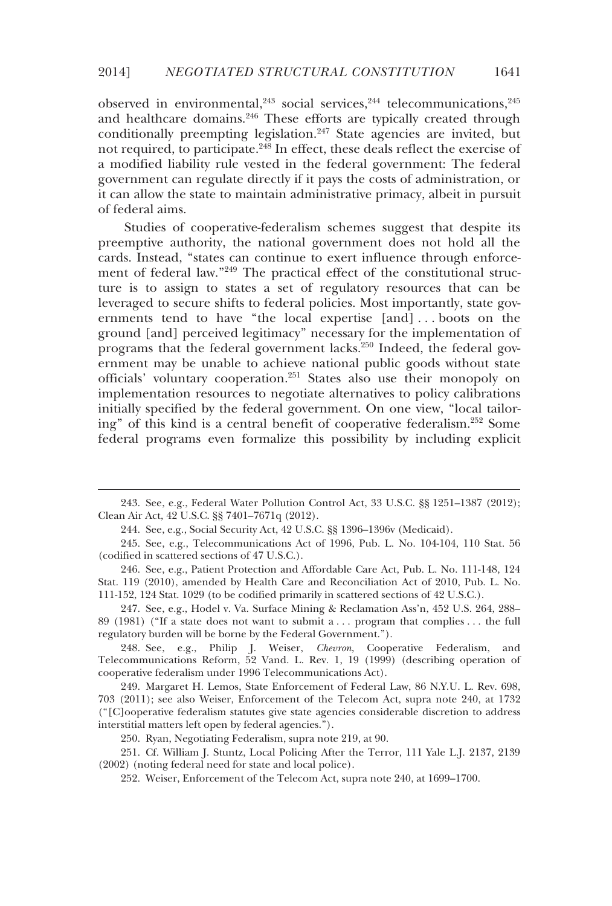observed in environmental,  $243$  social services,  $244$  telecommunications,  $245$ and healthcare domains.<sup>246</sup> These efforts are typically created through conditionally preempting legislation.<sup>247</sup> State agencies are invited, but not required, to participate.<sup>248</sup> In effect, these deals reflect the exercise of a modified liability rule vested in the federal government: The federal government can regulate directly if it pays the costs of administration, or it can allow the state to maintain administrative primacy, albeit in pursuit of federal aims.

Studies of cooperative-federalism schemes suggest that despite its preemptive authority, the national government does not hold all the cards. Instead, "states can continue to exert influence through enforcement of federal law."<sup>249</sup> The practical effect of the constitutional structure is to assign to states a set of regulatory resources that can be leveraged to secure shifts to federal policies. Most importantly, state governments tend to have "the local expertise [and] . . . boots on the ground [and] perceived legitimacy" necessary for the implementation of programs that the federal government lacks.<sup>250</sup> Indeed, the federal government may be unable to achieve national public goods without state officials' voluntary cooperation.251 States also use their monopoly on implementation resources to negotiate alternatives to policy calibrations initially specified by the federal government. On one view, "local tailoring" of this kind is a central benefit of cooperative federalism.252 Some federal programs even formalize this possibility by including explicit

-

 246. See, e.g., Patient Protection and Affordable Care Act, Pub. L. No. 111-148, 124 Stat. 119 (2010), amended by Health Care and Reconciliation Act of 2010, Pub. L. No. 111-152, 124 Stat. 1029 (to be codified primarily in scattered sections of 42 U.S.C.).

 247. See, e.g., Hodel v. Va. Surface Mining & Reclamation Ass'n, 452 U.S. 264, 288– 89 (1981) ("If a state does not want to submit a . . . program that complies . . . the full regulatory burden will be borne by the Federal Government.").

 248. See, e.g., Philip J. Weiser, *Chevron*, Cooperative Federalism, and Telecommunications Reform, 52 Vand. L. Rev. 1, 19 (1999) (describing operation of cooperative federalism under 1996 Telecommunications Act).

 249. Margaret H. Lemos, State Enforcement of Federal Law, 86 N.Y.U. L. Rev. 698, 703 (2011); see also Weiser, Enforcement of the Telecom Act, supra note 240, at 1732 ("[C]ooperative federalism statutes give state agencies considerable discretion to address interstitial matters left open by federal agencies.").

250. Ryan, Negotiating Federalism, supra note 219, at 90.

 251. Cf. William J. Stuntz, Local Policing After the Terror, 111 Yale L.J. 2137, 2139 (2002) (noting federal need for state and local police).

252. Weiser, Enforcement of the Telecom Act, supra note 240, at 1699–1700.

 <sup>243.</sup> See, e.g., Federal Water Pollution Control Act, 33 U.S.C. §§ 1251–1387 (2012); Clean Air Act, 42 U.S.C. §§ 7401–7671q (2012).

 <sup>244.</sup> See, e.g., Social Security Act, 42 U.S.C. §§ 1396–1396v (Medicaid).

 <sup>245.</sup> See, e.g., Telecommunications Act of 1996, Pub. L. No. 104-104, 110 Stat. 56 (codified in scattered sections of 47 U.S.C.).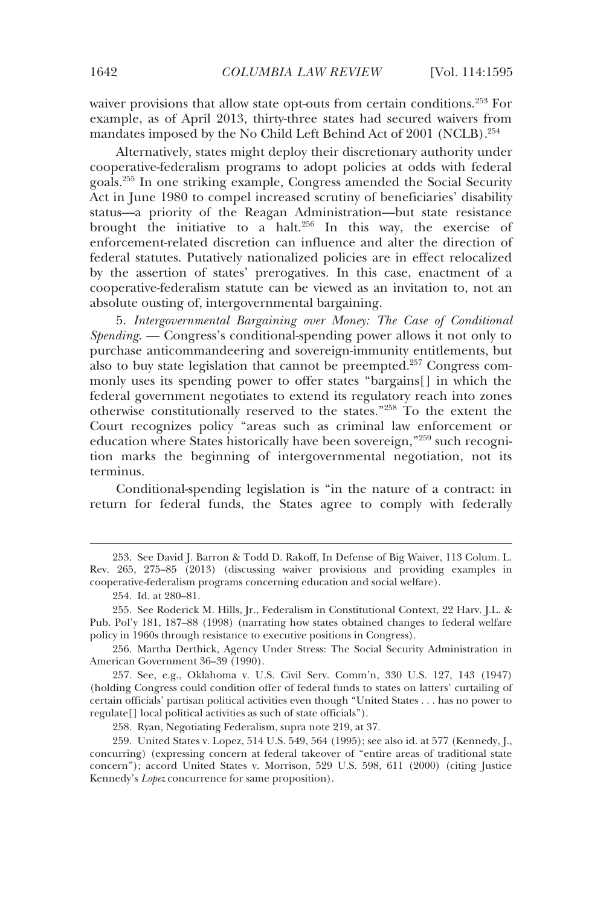waiver provisions that allow state opt-outs from certain conditions.<sup>253</sup> For example, as of April 2013, thirty-three states had secured waivers from mandates imposed by the No Child Left Behind Act of 2001 (NCLB).254

Alternatively, states might deploy their discretionary authority under cooperative-federalism programs to adopt policies at odds with federal goals.255 In one striking example, Congress amended the Social Security Act in June 1980 to compel increased scrutiny of beneficiaries' disability status—a priority of the Reagan Administration—but state resistance brought the initiative to a halt.<sup>256</sup> In this way, the exercise of enforcement-related discretion can influence and alter the direction of federal statutes. Putatively nationalized policies are in effect relocalized by the assertion of states' prerogatives. In this case, enactment of a cooperative-federalism statute can be viewed as an invitation to, not an absolute ousting of, intergovernmental bargaining.

5. *Intergovernmental Bargaining over Money: The Case of Conditional Spending*. — Congress's conditional-spending power allows it not only to purchase anticommandeering and sovereign-immunity entitlements, but also to buy state legislation that cannot be preempted.<sup>257</sup> Congress commonly uses its spending power to offer states "bargains[] in which the federal government negotiates to extend its regulatory reach into zones otherwise constitutionally reserved to the states."258 To the extent the Court recognizes policy "areas such as criminal law enforcement or education where States historically have been sovereign,"259 such recognition marks the beginning of intergovernmental negotiation, not its terminus.

Conditional-spending legislation is "in the nature of a contract: in return for federal funds, the States agree to comply with federally

j

258. Ryan, Negotiating Federalism, supra note 219, at 37.

 <sup>253.</sup> See David J. Barron & Todd D. Rakoff, In Defense of Big Waiver, 113 Colum. L. Rev. 265, 275–85 (2013) (discussing waiver provisions and providing examples in cooperative-federalism programs concerning education and social welfare).

 <sup>254.</sup> Id. at 280–81.

 <sup>255.</sup> See Roderick M. Hills, Jr., Federalism in Constitutional Context, 22 Harv. J.L. & Pub. Pol'y 181, 187–88 (1998) (narrating how states obtained changes to federal welfare policy in 1960s through resistance to executive positions in Congress).

 <sup>256.</sup> Martha Derthick, Agency Under Stress: The Social Security Administration in American Government 36–39 (1990).

 <sup>257.</sup> See, e.g., Oklahoma v. U.S. Civil Serv. Comm'n, 330 U.S. 127, 143 (1947) (holding Congress could condition offer of federal funds to states on latters' curtailing of certain officials' partisan political activities even though "United States . . . has no power to regulate[] local political activities as such of state officials").

 <sup>259.</sup> United States v. Lopez, 514 U.S. 549, 564 (1995); see also id. at 577 (Kennedy, J., concurring) (expressing concern at federal takeover of "entire areas of traditional state concern"); accord United States v. Morrison, 529 U.S. 598, 611 (2000) (citing Justice Kennedy's *Lopez* concurrence for same proposition).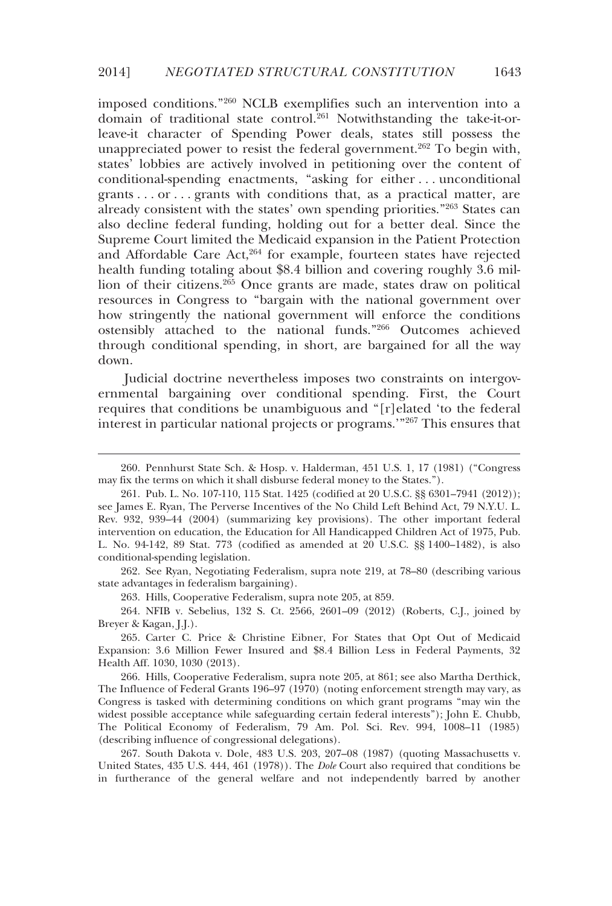imposed conditions."260 NCLB exemplifies such an intervention into a domain of traditional state control.261 Notwithstanding the take-it-orleave-it character of Spending Power deals, states still possess the unappreciated power to resist the federal government.<sup>262</sup> To begin with, states' lobbies are actively involved in petitioning over the content of conditional-spending enactments, "asking for either . . . unconditional grants . . . or . . . grants with conditions that, as a practical matter, are already consistent with the states' own spending priorities."263 States can also decline federal funding, holding out for a better deal. Since the Supreme Court limited the Medicaid expansion in the Patient Protection and Affordable Care Act,<sup>264</sup> for example, fourteen states have rejected health funding totaling about \$8.4 billion and covering roughly 3.6 million of their citizens.<sup>265</sup> Once grants are made, states draw on political resources in Congress to "bargain with the national government over how stringently the national government will enforce the conditions ostensibly attached to the national funds."266 Outcomes achieved through conditional spending, in short, are bargained for all the way down.

Judicial doctrine nevertheless imposes two constraints on intergovernmental bargaining over conditional spending. First, the Court requires that conditions be unambiguous and "[r]elated 'to the federal interest in particular national projects or programs.'"267 This ensures that

 262. See Ryan, Negotiating Federalism, supra note 219, at 78–80 (describing various state advantages in federalism bargaining).

263. Hills, Cooperative Federalism, supra note 205, at 859.

-

 264. NFIB v. Sebelius, 132 S. Ct. 2566, 2601–09 (2012) (Roberts, C.J., joined by Breyer & Kagan, J.J.).

 266. Hills, Cooperative Federalism, supra note 205, at 861; see also Martha Derthick, The Influence of Federal Grants 196–97 (1970) (noting enforcement strength may vary, as Congress is tasked with determining conditions on which grant programs "may win the widest possible acceptance while safeguarding certain federal interests"); John E. Chubb, The Political Economy of Federalism, 79 Am. Pol. Sci. Rev. 994, 1008–11 (1985) (describing influence of congressional delegations).

 267. South Dakota v. Dole, 483 U.S. 203, 207–08 (1987) (quoting Massachusetts v. United States, 435 U.S. 444, 461 (1978)). The *Dole* Court also required that conditions be in furtherance of the general welfare and not independently barred by another

 <sup>260.</sup> Pennhurst State Sch. & Hosp. v. Halderman, 451 U.S. 1, 17 (1981) ("Congress may fix the terms on which it shall disburse federal money to the States.").

 <sup>261.</sup> Pub. L. No. 107-110, 115 Stat. 1425 (codified at 20 U.S.C. §§ 6301–7941 (2012)); see James E. Ryan, The Perverse Incentives of the No Child Left Behind Act, 79 N.Y.U. L. Rev. 932, 939–44 (2004) (summarizing key provisions). The other important federal intervention on education, the Education for All Handicapped Children Act of 1975, Pub. L. No. 94-142, 89 Stat. 773 (codified as amended at 20 U.S.C. §§ 1400–1482), is also conditional-spending legislation.

 <sup>265.</sup> Carter C. Price & Christine Eibner, For States that Opt Out of Medicaid Expansion: 3.6 Million Fewer Insured and \$8.4 Billion Less in Federal Payments, 32 Health Aff. 1030, 1030 (2013).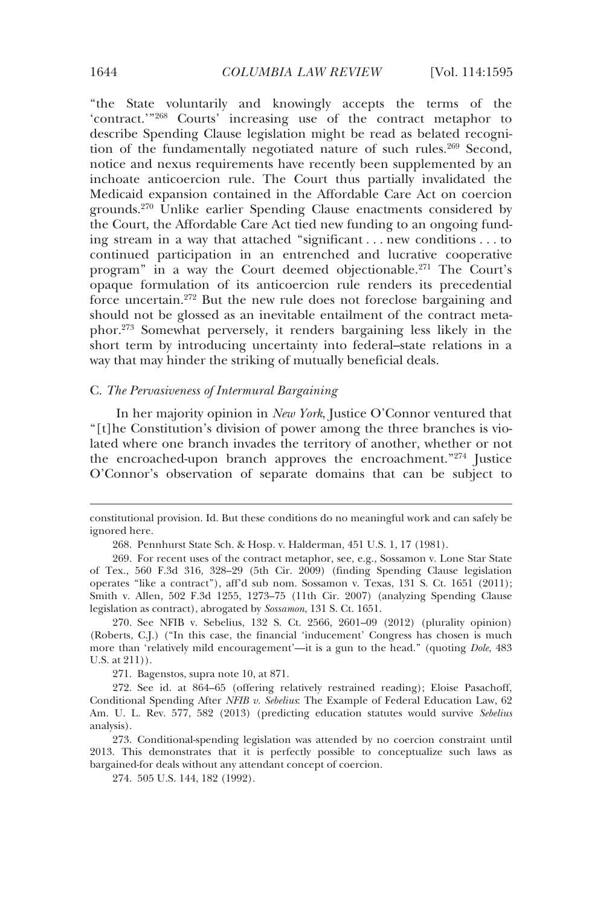"the State voluntarily and knowingly accepts the terms of the 'contract.'"268 Courts' increasing use of the contract metaphor to describe Spending Clause legislation might be read as belated recognition of the fundamentally negotiated nature of such rules.<sup>269</sup> Second, notice and nexus requirements have recently been supplemented by an inchoate anticoercion rule. The Court thus partially invalidated the Medicaid expansion contained in the Affordable Care Act on coercion grounds.270 Unlike earlier Spending Clause enactments considered by the Court, the Affordable Care Act tied new funding to an ongoing funding stream in a way that attached "significant . . . new conditions . . . to continued participation in an entrenched and lucrative cooperative program" in a way the Court deemed objectionable.271 The Court's opaque formulation of its anticoercion rule renders its precedential force uncertain.272 But the new rule does not foreclose bargaining and should not be glossed as an inevitable entailment of the contract metaphor.273 Somewhat perversely, it renders bargaining less likely in the short term by introducing uncertainty into federal–state relations in a way that may hinder the striking of mutually beneficial deals.

### C. *The Pervasiveness of Intermural Bargaining*

In her majority opinion in *New York*, Justice O'Connor ventured that "[t]he Constitution's division of power among the three branches is violated where one branch invades the territory of another, whether or not the encroached-upon branch approves the encroachment."274 Justice O'Connor's observation of separate domains that can be subject to

 270. See NFIB v. Sebelius, 132 S. Ct. 2566, 2601–09 (2012) (plurality opinion) (Roberts, C.J.) ("In this case, the financial 'inducement' Congress has chosen is much more than 'relatively mild encouragement'—it is a gun to the head." (quoting *Dole*, 483 U.S. at 211)).

271. Bagenstos, supra note 10, at 871.

 272. See id. at 864–65 (offering relatively restrained reading); Eloise Pasachoff, Conditional Spending After *NFIB v. Sebelius*: The Example of Federal Education Law, 62 Am. U. L. Rev. 577, 582 (2013) (predicting education statutes would survive *Sebelius* analysis).

 273. Conditional-spending legislation was attended by no coercion constraint until 2013. This demonstrates that it is perfectly possible to conceptualize such laws as bargained-for deals without any attendant concept of coercion.

274. 505 U.S. 144, 182 (1992).

constitutional provision. Id. But these conditions do no meaningful work and can safely be ignored here.

 <sup>268.</sup> Pennhurst State Sch. & Hosp. v. Halderman, 451 U.S. 1, 17 (1981).

 <sup>269.</sup> For recent uses of the contract metaphor, see, e.g., Sossamon v. Lone Star State of Tex., 560 F.3d 316, 328–29 (5th Cir. 2009) (finding Spending Clause legislation operates "like a contract"), aff'd sub nom. Sossamon v. Texas, 131 S. Ct. 1651 (2011); Smith v. Allen, 502 F.3d 1255, 1273–75 (11th Cir. 2007) (analyzing Spending Clause legislation as contract), abrogated by *Sossamon*, 131 S. Ct. 1651.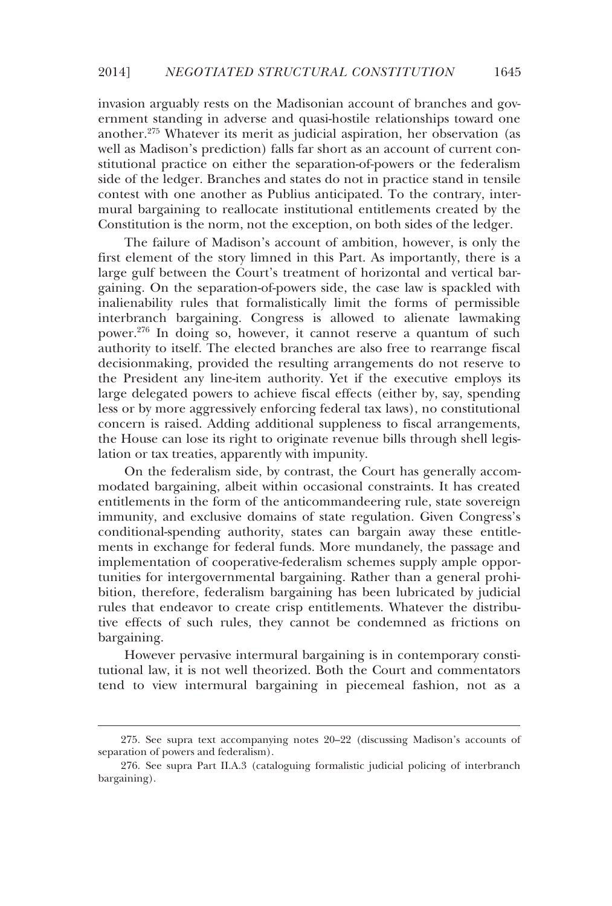invasion arguably rests on the Madisonian account of branches and government standing in adverse and quasi-hostile relationships toward one another.275 Whatever its merit as judicial aspiration, her observation (as well as Madison's prediction) falls far short as an account of current constitutional practice on either the separation-of-powers or the federalism side of the ledger. Branches and states do not in practice stand in tensile contest with one another as Publius anticipated. To the contrary, intermural bargaining to reallocate institutional entitlements created by the Constitution is the norm, not the exception, on both sides of the ledger.

The failure of Madison's account of ambition, however, is only the first element of the story limned in this Part. As importantly, there is a large gulf between the Court's treatment of horizontal and vertical bargaining. On the separation-of-powers side, the case law is spackled with inalienability rules that formalistically limit the forms of permissible interbranch bargaining. Congress is allowed to alienate lawmaking power.276 In doing so, however, it cannot reserve a quantum of such authority to itself. The elected branches are also free to rearrange fiscal decisionmaking, provided the resulting arrangements do not reserve to the President any line-item authority. Yet if the executive employs its large delegated powers to achieve fiscal effects (either by, say, spending less or by more aggressively enforcing federal tax laws), no constitutional concern is raised. Adding additional suppleness to fiscal arrangements, the House can lose its right to originate revenue bills through shell legislation or tax treaties, apparently with impunity.

On the federalism side, by contrast, the Court has generally accommodated bargaining, albeit within occasional constraints. It has created entitlements in the form of the anticommandeering rule, state sovereign immunity, and exclusive domains of state regulation. Given Congress's conditional-spending authority, states can bargain away these entitlements in exchange for federal funds. More mundanely, the passage and implementation of cooperative-federalism schemes supply ample opportunities for intergovernmental bargaining. Rather than a general prohibition, therefore, federalism bargaining has been lubricated by judicial rules that endeavor to create crisp entitlements. Whatever the distributive effects of such rules, they cannot be condemned as frictions on bargaining.

However pervasive intermural bargaining is in contemporary constitutional law, it is not well theorized. Both the Court and commentators tend to view intermural bargaining in piecemeal fashion, not as a

-

 <sup>275.</sup> See supra text accompanying notes 20–22 (discussing Madison's accounts of separation of powers and federalism).

 <sup>276.</sup> See supra Part II.A.3 (cataloguing formalistic judicial policing of interbranch bargaining).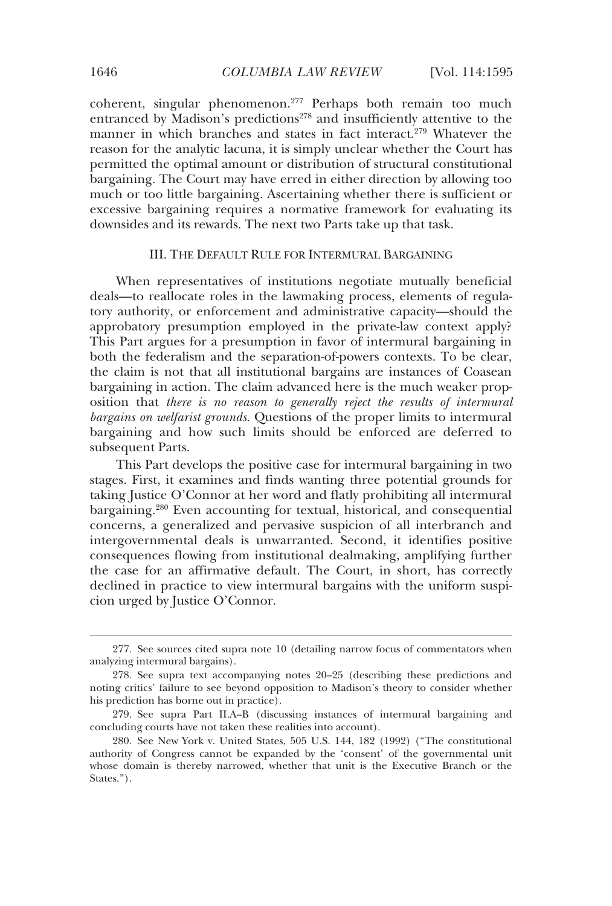coherent, singular phenomenon.277 Perhaps both remain too much entranced by Madison's predictions<sup>278</sup> and insufficiently attentive to the manner in which branches and states in fact interact.<sup>279</sup> Whatever the reason for the analytic lacuna, it is simply unclear whether the Court has permitted the optimal amount or distribution of structural constitutional bargaining. The Court may have erred in either direction by allowing too much or too little bargaining. Ascertaining whether there is sufficient or excessive bargaining requires a normative framework for evaluating its downsides and its rewards. The next two Parts take up that task.

# III. THE DEFAULT RULE FOR INTERMURAL BARGAINING

When representatives of institutions negotiate mutually beneficial deals—to reallocate roles in the lawmaking process, elements of regulatory authority, or enforcement and administrative capacity—should the approbatory presumption employed in the private-law context apply? This Part argues for a presumption in favor of intermural bargaining in both the federalism and the separation-of-powers contexts. To be clear, the claim is not that all institutional bargains are instances of Coasean bargaining in action. The claim advanced here is the much weaker proposition that *there is no reason to generally reject the results of intermural bargains on welfarist grounds*. Questions of the proper limits to intermural bargaining and how such limits should be enforced are deferred to subsequent Parts.

This Part develops the positive case for intermural bargaining in two stages. First, it examines and finds wanting three potential grounds for taking Justice O'Connor at her word and flatly prohibiting all intermural bargaining.280 Even accounting for textual, historical, and consequential concerns, a generalized and pervasive suspicion of all interbranch and intergovernmental deals is unwarranted. Second, it identifies positive consequences flowing from institutional dealmaking, amplifying further the case for an affirmative default. The Court, in short, has correctly declined in practice to view intermural bargains with the uniform suspicion urged by Justice O'Connor.

 <sup>277.</sup> See sources cited supra note 10 (detailing narrow focus of commentators when analyzing intermural bargains).

 <sup>278.</sup> See supra text accompanying notes 20–25 (describing these predictions and noting critics' failure to see beyond opposition to Madison's theory to consider whether his prediction has borne out in practice).

 <sup>279.</sup> See supra Part II.A–B (discussing instances of intermural bargaining and concluding courts have not taken these realities into account).

 <sup>280.</sup> See New York v. United States, 505 U.S. 144, 182 (1992) ("The constitutional authority of Congress cannot be expanded by the 'consent' of the governmental unit whose domain is thereby narrowed, whether that unit is the Executive Branch or the States.").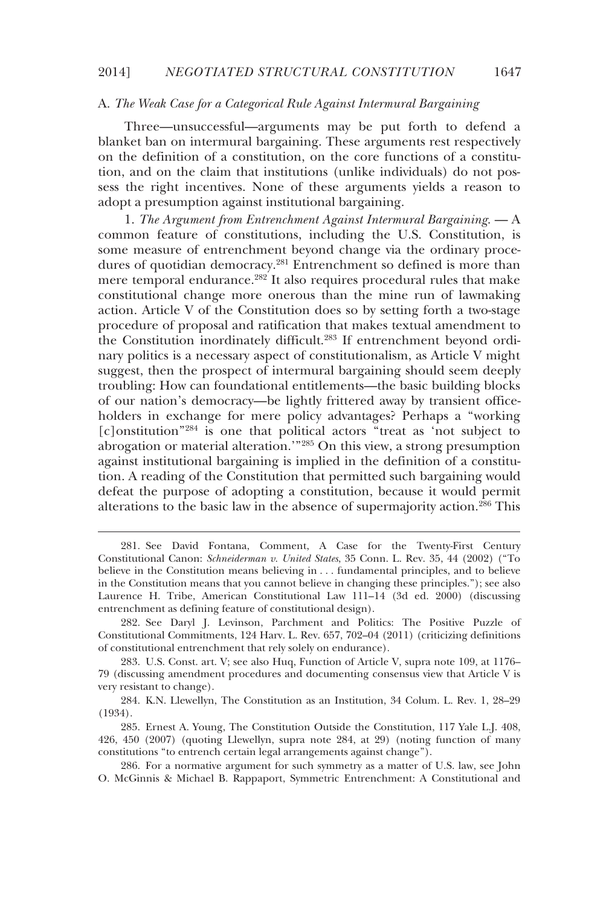### A. *The Weak Case for a Categorical Rule Against Intermural Bargaining*

Three—unsuccessful—arguments may be put forth to defend a blanket ban on intermural bargaining. These arguments rest respectively on the definition of a constitution, on the core functions of a constitution, and on the claim that institutions (unlike individuals) do not possess the right incentives. None of these arguments yields a reason to adopt a presumption against institutional bargaining.

1. *The Argument from Entrenchment Against Intermural Bargaining*. — A common feature of constitutions, including the U.S. Constitution, is some measure of entrenchment beyond change via the ordinary procedures of quotidian democracy.<sup>281</sup> Entrenchment so defined is more than mere temporal endurance.<sup>282</sup> It also requires procedural rules that make constitutional change more onerous than the mine run of lawmaking action. Article V of the Constitution does so by setting forth a two-stage procedure of proposal and ratification that makes textual amendment to the Constitution inordinately difficult.283 If entrenchment beyond ordinary politics is a necessary aspect of constitutionalism, as Article V might suggest, then the prospect of intermural bargaining should seem deeply troubling: How can foundational entitlements—the basic building blocks of our nation's democracy—be lightly frittered away by transient officeholders in exchange for mere policy advantages? Perhaps a "working [c]onstitution"284 is one that political actors "treat as 'not subject to abrogation or material alteration.'"285 On this view, a strong presumption against institutional bargaining is implied in the definition of a constitution. A reading of the Constitution that permitted such bargaining would defeat the purpose of adopting a constitution, because it would permit alterations to the basic law in the absence of supermajority action.<sup>286</sup> This

-

 <sup>281.</sup> See David Fontana, Comment, A Case for the Twenty-First Century Constitutional Canon: *Schneiderman v. United States*, 35 Conn. L. Rev. 35, 44 (2002) ("To believe in the Constitution means believing in . . . fundamental principles, and to believe in the Constitution means that you cannot believe in changing these principles."); see also Laurence H. Tribe, American Constitutional Law 111–14 (3d ed. 2000) (discussing entrenchment as defining feature of constitutional design).

 <sup>282.</sup> See Daryl J. Levinson, Parchment and Politics: The Positive Puzzle of Constitutional Commitments, 124 Harv. L. Rev. 657, 702–04 (2011) (criticizing definitions of constitutional entrenchment that rely solely on endurance).

 <sup>283.</sup> U.S. Const. art. V; see also Huq, Function of Article V, supra note 109, at 1176– 79 (discussing amendment procedures and documenting consensus view that Article V is very resistant to change).

 <sup>284.</sup> K.N. Llewellyn, The Constitution as an Institution, 34 Colum. L. Rev. 1, 28–29 (1934).

 <sup>285.</sup> Ernest A. Young, The Constitution Outside the Constitution, 117 Yale L.J. 408, 426, 450 (2007) (quoting Llewellyn, supra note 284, at 29) (noting function of many constitutions "to entrench certain legal arrangements against change").

 <sup>286.</sup> For a normative argument for such symmetry as a matter of U.S. law, see John O. McGinnis & Michael B. Rappaport, Symmetric Entrenchment: A Constitutional and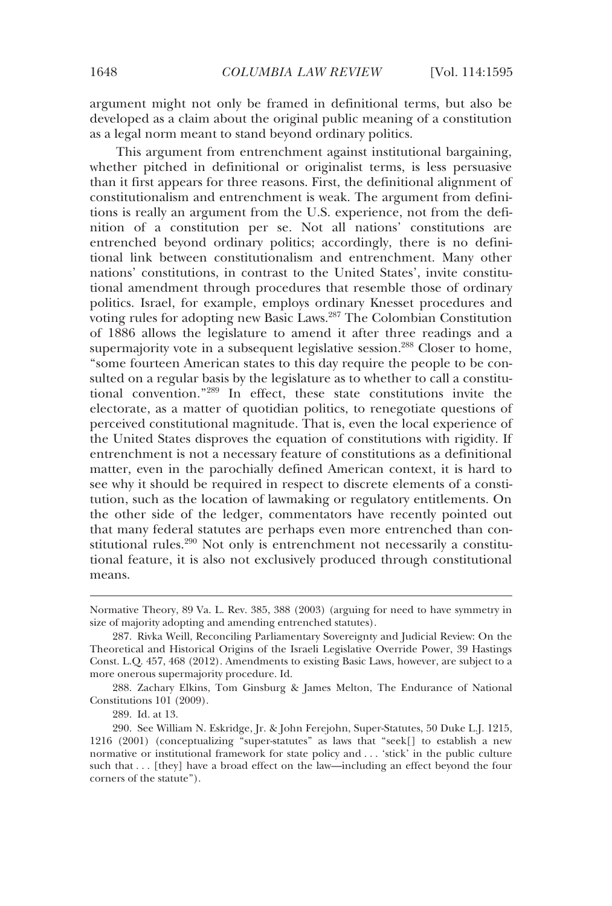argument might not only be framed in definitional terms, but also be developed as a claim about the original public meaning of a constitution as a legal norm meant to stand beyond ordinary politics.

This argument from entrenchment against institutional bargaining, whether pitched in definitional or originalist terms, is less persuasive than it first appears for three reasons. First, the definitional alignment of constitutionalism and entrenchment is weak. The argument from definitions is really an argument from the U.S. experience, not from the definition of a constitution per se. Not all nations' constitutions are entrenched beyond ordinary politics; accordingly, there is no definitional link between constitutionalism and entrenchment. Many other nations' constitutions, in contrast to the United States', invite constitutional amendment through procedures that resemble those of ordinary politics. Israel, for example, employs ordinary Knesset procedures and voting rules for adopting new Basic Laws.287 The Colombian Constitution of 1886 allows the legislature to amend it after three readings and a supermajority vote in a subsequent legislative session.<sup>288</sup> Closer to home, "some fourteen American states to this day require the people to be consulted on a regular basis by the legislature as to whether to call a constitutional convention."289 In effect, these state constitutions invite the electorate, as a matter of quotidian politics, to renegotiate questions of perceived constitutional magnitude. That is, even the local experience of the United States disproves the equation of constitutions with rigidity. If entrenchment is not a necessary feature of constitutions as a definitional matter, even in the parochially defined American context, it is hard to see why it should be required in respect to discrete elements of a constitution, such as the location of lawmaking or regulatory entitlements. On the other side of the ledger, commentators have recently pointed out that many federal statutes are perhaps even more entrenched than constitutional rules.<sup>290</sup> Not only is entrenchment not necessarily a constitutional feature, it is also not exclusively produced through constitutional means.

289. Id. at 13.

Normative Theory, 89 Va. L. Rev. 385, 388 (2003) (arguing for need to have symmetry in size of majority adopting and amending entrenched statutes).

 <sup>287.</sup> Rivka Weill, Reconciling Parliamentary Sovereignty and Judicial Review: On the Theoretical and Historical Origins of the Israeli Legislative Override Power, 39 Hastings Const. L.Q. 457, 468 (2012). Amendments to existing Basic Laws, however, are subject to a more onerous supermajority procedure. Id.

 <sup>288.</sup> Zachary Elkins, Tom Ginsburg & James Melton, The Endurance of National Constitutions 101 (2009).

 <sup>290.</sup> See William N. Eskridge, Jr. & John Ferejohn, Super-Statutes, 50 Duke L.J. 1215, 1216 (2001) (conceptualizing "super-statutes" as laws that "seek[] to establish a new normative or institutional framework for state policy and . . . 'stick' in the public culture such that . . . [they] have a broad effect on the law—including an effect beyond the four corners of the statute").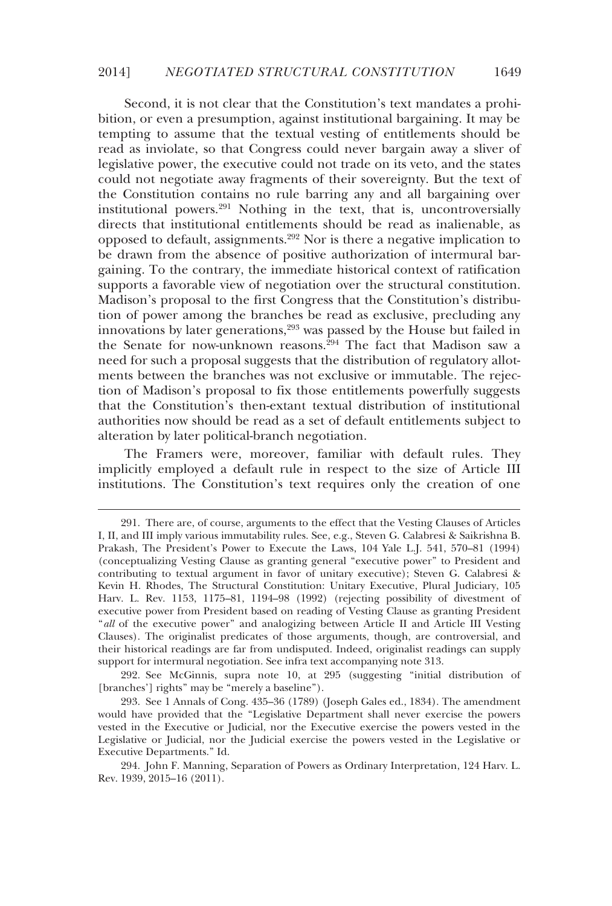Second, it is not clear that the Constitution's text mandates a prohibition, or even a presumption, against institutional bargaining. It may be tempting to assume that the textual vesting of entitlements should be read as inviolate, so that Congress could never bargain away a sliver of legislative power, the executive could not trade on its veto, and the states could not negotiate away fragments of their sovereignty. But the text of the Constitution contains no rule barring any and all bargaining over institutional powers.<sup>291</sup> Nothing in the text, that is, uncontroversially directs that institutional entitlements should be read as inalienable, as opposed to default, assignments.292 Nor is there a negative implication to be drawn from the absence of positive authorization of intermural bargaining. To the contrary, the immediate historical context of ratification supports a favorable view of negotiation over the structural constitution. Madison's proposal to the first Congress that the Constitution's distribution of power among the branches be read as exclusive, precluding any innovations by later generations,<sup>293</sup> was passed by the House but failed in the Senate for now-unknown reasons.<sup>294</sup> The fact that Madison saw a need for such a proposal suggests that the distribution of regulatory allotments between the branches was not exclusive or immutable. The rejection of Madison's proposal to fix those entitlements powerfully suggests that the Constitution's then-extant textual distribution of institutional authorities now should be read as a set of default entitlements subject to alteration by later political-branch negotiation.

The Framers were, moreover, familiar with default rules. They implicitly employed a default rule in respect to the size of Article III institutions. The Constitution's text requires only the creation of one

-

 292. See McGinnis, supra note 10, at 295 (suggesting "initial distribution of [branches'] rights" may be "merely a baseline").

 <sup>291.</sup> There are, of course, arguments to the effect that the Vesting Clauses of Articles I, II, and III imply various immutability rules. See, e.g., Steven G. Calabresi & Saikrishna B. Prakash, The President's Power to Execute the Laws, 104 Yale L.J. 541, 570–81 (1994) (conceptualizing Vesting Clause as granting general "executive power" to President and contributing to textual argument in favor of unitary executive); Steven G. Calabresi & Kevin H. Rhodes, The Structural Constitution: Unitary Executive, Plural Judiciary, 105 Harv. L. Rev. 1153, 1175–81, 1194–98 (1992) (rejecting possibility of divestment of executive power from President based on reading of Vesting Clause as granting President "*all* of the executive power" and analogizing between Article II and Article III Vesting Clauses). The originalist predicates of those arguments, though, are controversial, and their historical readings are far from undisputed. Indeed, originalist readings can supply support for intermural negotiation. See infra text accompanying note 313.

 <sup>293.</sup> See 1 Annals of Cong. 435–36 (1789) (Joseph Gales ed., 1834). The amendment would have provided that the "Legislative Department shall never exercise the powers vested in the Executive or Judicial, nor the Executive exercise the powers vested in the Legislative or Judicial, nor the Judicial exercise the powers vested in the Legislative or Executive Departments." Id.

 <sup>294.</sup> John F. Manning, Separation of Powers as Ordinary Interpretation, 124 Harv. L. Rev. 1939, 2015–16 (2011).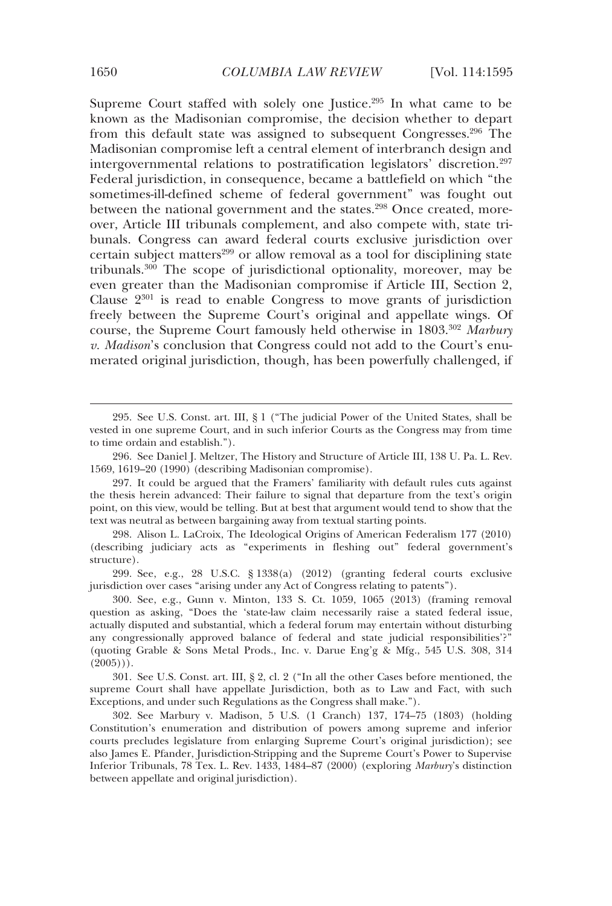Supreme Court staffed with solely one Justice.<sup>295</sup> In what came to be known as the Madisonian compromise, the decision whether to depart from this default state was assigned to subsequent Congresses.296 The Madisonian compromise left a central element of interbranch design and intergovernmental relations to postratification legislators' discretion.<sup>297</sup> Federal jurisdiction, in consequence, became a battlefield on which "the sometimes-ill-defined scheme of federal government" was fought out between the national government and the states.<sup>298</sup> Once created, moreover, Article III tribunals complement, and also compete with, state tribunals. Congress can award federal courts exclusive jurisdiction over certain subject matters<sup>299</sup> or allow removal as a tool for disciplining state tribunals.300 The scope of jurisdictional optionality, moreover, may be even greater than the Madisonian compromise if Article III, Section 2, Clause  $2^{301}$  is read to enable Congress to move grants of jurisdiction freely between the Supreme Court's original and appellate wings. Of course, the Supreme Court famously held otherwise in 1803.302 *Marbury v. Madison*'s conclusion that Congress could not add to the Court's enumerated original jurisdiction, though, has been powerfully challenged, if

 299. See, e.g., 28 U.S.C. § 1338(a) (2012) (granting federal courts exclusive jurisdiction over cases "arising under any Act of Congress relating to patents").

 301. See U.S. Const. art. III, § 2, cl. 2 ("In all the other Cases before mentioned, the supreme Court shall have appellate Jurisdiction, both as to Law and Fact, with such Exceptions, and under such Regulations as the Congress shall make.").

 302. See Marbury v. Madison, 5 U.S. (1 Cranch) 137, 174–75 (1803) (holding Constitution's enumeration and distribution of powers among supreme and inferior courts precludes legislature from enlarging Supreme Court's original jurisdiction); see also James E. Pfander, Jurisdiction-Stripping and the Supreme Court's Power to Supervise Inferior Tribunals, 78 Tex. L. Rev. 1433, 1484–87 (2000) (exploring *Marbury*'s distinction between appellate and original jurisdiction).

 <sup>295.</sup> See U.S. Const. art. III, § 1 ("The judicial Power of the United States, shall be vested in one supreme Court, and in such inferior Courts as the Congress may from time to time ordain and establish.").

 <sup>296.</sup> See Daniel J. Meltzer, The History and Structure of Article III, 138 U. Pa. L. Rev. 1569, 1619–20 (1990) (describing Madisonian compromise).

 <sup>297.</sup> It could be argued that the Framers' familiarity with default rules cuts against the thesis herein advanced: Their failure to signal that departure from the text's origin point, on this view, would be telling. But at best that argument would tend to show that the text was neutral as between bargaining away from textual starting points.

 <sup>298.</sup> Alison L. LaCroix, The Ideological Origins of American Federalism 177 (2010) (describing judiciary acts as "experiments in fleshing out" federal government's structure).

 <sup>300.</sup> See, e.g., Gunn v. Minton, 133 S. Ct. 1059, 1065 (2013) (framing removal question as asking, "Does the 'state-law claim necessarily raise a stated federal issue, actually disputed and substantial, which a federal forum may entertain without disturbing any congressionally approved balance of federal and state judicial responsibilities'?" (quoting Grable & Sons Metal Prods., Inc. v. Darue Eng'g & Mfg., 545 U.S. 308, 314  $(2005))$ .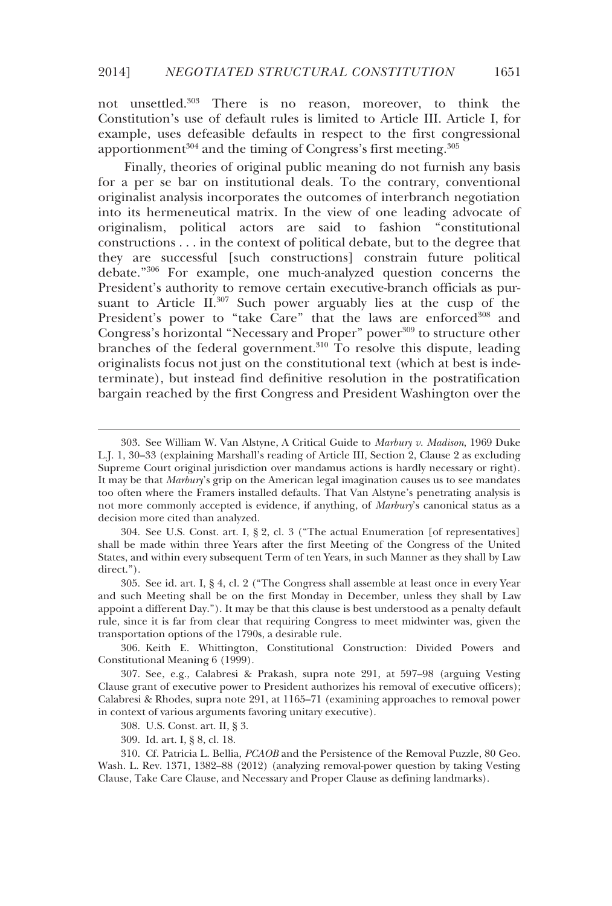not unsettled.303 There is no reason, moreover, to think the Constitution's use of default rules is limited to Article III. Article I, for example, uses defeasible defaults in respect to the first congressional apportionment<sup>304</sup> and the timing of Congress's first meeting.<sup>305</sup>

Finally, theories of original public meaning do not furnish any basis for a per se bar on institutional deals. To the contrary, conventional originalist analysis incorporates the outcomes of interbranch negotiation into its hermeneutical matrix. In the view of one leading advocate of originalism, political actors are said to fashion "constitutional constructions . . . in the context of political debate, but to the degree that they are successful [such constructions] constrain future political debate."306 For example, one much-analyzed question concerns the President's authority to remove certain executive-branch officials as pursuant to Article II.<sup>307</sup> Such power arguably lies at the cusp of the President's power to "take Care" that the laws are enforced<sup>308</sup> and Congress's horizontal "Necessary and Proper" power<sup>309</sup> to structure other branches of the federal government.<sup>310</sup> To resolve this dispute, leading originalists focus not just on the constitutional text (which at best is indeterminate), but instead find definitive resolution in the postratification bargain reached by the first Congress and President Washington over the

 304. See U.S. Const. art. I, § 2, cl. 3 ("The actual Enumeration [of representatives] shall be made within three Years after the first Meeting of the Congress of the United States, and within every subsequent Term of ten Years, in such Manner as they shall by Law direct.").

 305. See id. art. I, § 4, cl. 2 ("The Congress shall assemble at least once in every Year and such Meeting shall be on the first Monday in December, unless they shall by Law appoint a different Day."). It may be that this clause is best understood as a penalty default rule, since it is far from clear that requiring Congress to meet midwinter was, given the transportation options of the 1790s, a desirable rule.

 306. Keith E. Whittington, Constitutional Construction: Divided Powers and Constitutional Meaning 6 (1999).

 307. See, e.g., Calabresi & Prakash, supra note 291, at 597–98 (arguing Vesting Clause grant of executive power to President authorizes his removal of executive officers); Calabresi & Rhodes, supra note 291, at 1165–71 (examining approaches to removal power in context of various arguments favoring unitary executive).

308. U.S. Const. art. II, § 3.

309. Id. art. I, § 8, cl. 18.

-

 310. Cf. Patricia L. Bellia, *PCAOB* and the Persistence of the Removal Puzzle, 80 Geo. Wash. L. Rev. 1371, 1382–88 (2012) (analyzing removal-power question by taking Vesting Clause, Take Care Clause, and Necessary and Proper Clause as defining landmarks).

 <sup>303.</sup> See William W. Van Alstyne, A Critical Guide to *Marbury v. Madison*, 1969 Duke L.J. 1, 30–33 (explaining Marshall's reading of Article III, Section 2, Clause 2 as excluding Supreme Court original jurisdiction over mandamus actions is hardly necessary or right). It may be that *Marbury*'s grip on the American legal imagination causes us to see mandates too often where the Framers installed defaults. That Van Alstyne's penetrating analysis is not more commonly accepted is evidence, if anything, of *Marbury*'s canonical status as a decision more cited than analyzed.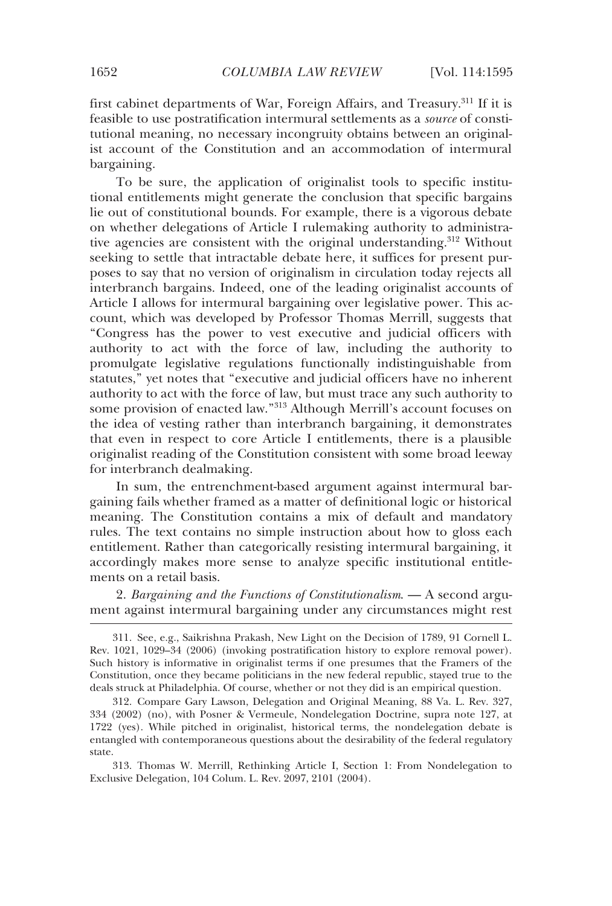first cabinet departments of War, Foreign Affairs, and Treasury.<sup>311</sup> If it is feasible to use postratification intermural settlements as a *source* of constitutional meaning, no necessary incongruity obtains between an originalist account of the Constitution and an accommodation of intermural bargaining.

To be sure, the application of originalist tools to specific institutional entitlements might generate the conclusion that specific bargains lie out of constitutional bounds. For example, there is a vigorous debate on whether delegations of Article I rulemaking authority to administrative agencies are consistent with the original understanding.<sup>312</sup> Without seeking to settle that intractable debate here, it suffices for present purposes to say that no version of originalism in circulation today rejects all interbranch bargains. Indeed, one of the leading originalist accounts of Article I allows for intermural bargaining over legislative power. This account, which was developed by Professor Thomas Merrill, suggests that "Congress has the power to vest executive and judicial officers with authority to act with the force of law, including the authority to promulgate legislative regulations functionally indistinguishable from statutes," yet notes that "executive and judicial officers have no inherent authority to act with the force of law, but must trace any such authority to some provision of enacted law."313 Although Merrill's account focuses on the idea of vesting rather than interbranch bargaining, it demonstrates that even in respect to core Article I entitlements, there is a plausible originalist reading of the Constitution consistent with some broad leeway for interbranch dealmaking.

In sum, the entrenchment-based argument against intermural bargaining fails whether framed as a matter of definitional logic or historical meaning. The Constitution contains a mix of default and mandatory rules. The text contains no simple instruction about how to gloss each entitlement. Rather than categorically resisting intermural bargaining, it accordingly makes more sense to analyze specific institutional entitlements on a retail basis.

2. *Bargaining and the Functions of Constitutionalism*. — A second argument against intermural bargaining under any circumstances might rest

 313. Thomas W. Merrill, Rethinking Article I, Section 1: From Nondelegation to Exclusive Delegation, 104 Colum. L. Rev. 2097, 2101 (2004).

 <sup>311.</sup> See, e.g., Saikrishna Prakash, New Light on the Decision of 1789, 91 Cornell L. Rev. 1021, 1029–34 (2006) (invoking postratification history to explore removal power). Such history is informative in originalist terms if one presumes that the Framers of the Constitution, once they became politicians in the new federal republic, stayed true to the deals struck at Philadelphia. Of course, whether or not they did is an empirical question.

 <sup>312.</sup> Compare Gary Lawson, Delegation and Original Meaning, 88 Va. L. Rev. 327, 334 (2002) (no), with Posner & Vermeule, Nondelegation Doctrine, supra note 127, at 1722 (yes). While pitched in originalist, historical terms, the nondelegation debate is entangled with contemporaneous questions about the desirability of the federal regulatory state.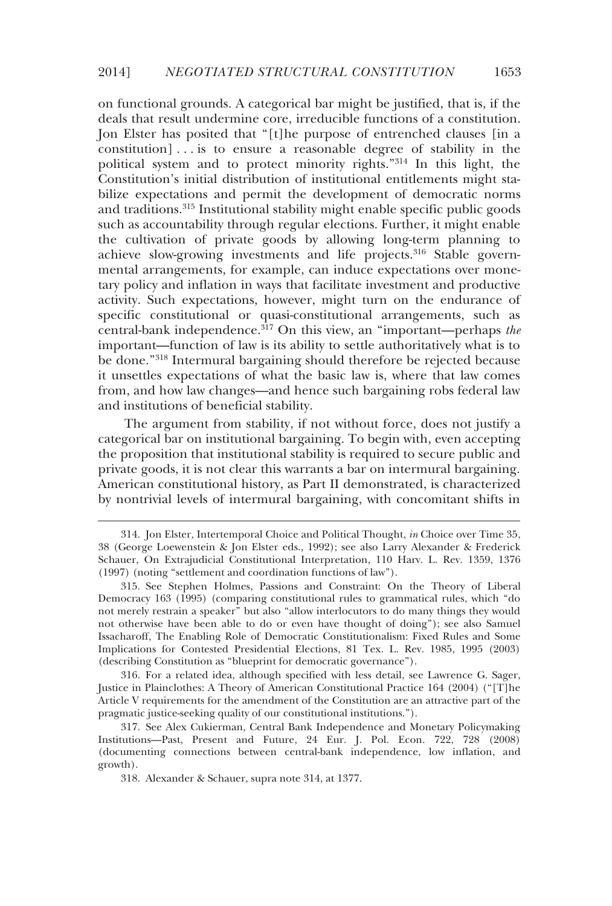on functional grounds. A categorical bar might be justified, that is, if the deals that result undermine core, irreducible functions of a constitution. Jon Elster has posited that "[t]he purpose of entrenched clauses [in a constitution] . . . is to ensure a reasonable degree of stability in the political system and to protect minority rights."314 In this light, the Constitution's initial distribution of institutional entitlements might stabilize expectations and permit the development of democratic norms and traditions.315 Institutional stability might enable specific public goods such as accountability through regular elections. Further, it might enable the cultivation of private goods by allowing long-term planning to achieve slow-growing investments and life projects.<sup>316</sup> Stable governmental arrangements, for example, can induce expectations over monetary policy and inflation in ways that facilitate investment and productive activity. Such expectations, however, might turn on the endurance of specific constitutional or quasi-constitutional arrangements, such as central-bank independence.317 On this view, an "important—perhaps *the* important—function of law is its ability to settle authoritatively what is to be done."318 Intermural bargaining should therefore be rejected because it unsettles expectations of what the basic law is, where that law comes from, and how law changes—and hence such bargaining robs federal law and institutions of beneficial stability.

The argument from stability, if not without force, does not justify a categorical bar on institutional bargaining. To begin with, even accepting the proposition that institutional stability is required to secure public and private goods, it is not clear this warrants a bar on intermural bargaining. American constitutional history, as Part II demonstrated, is characterized by nontrivial levels of intermural bargaining, with concomitant shifts in

 316. For a related idea, although specified with less detail, see Lawrence G. Sager, Justice in Plainclothes: A Theory of American Constitutional Practice 164 (2004) ("[T]he Article V requirements for the amendment of the Constitution are an attractive part of the pragmatic justice-seeking quality of our constitutional institutions.").

-

 <sup>314.</sup> Jon Elster, Intertemporal Choice and Political Thought, *in* Choice over Time 35, 38 (George Loewenstein & Jon Elster eds., 1992); see also Larry Alexander & Frederick Schauer, On Extrajudicial Constitutional Interpretation, 110 Harv. L. Rev. 1359, 1376 (1997) (noting "settlement and coordination functions of law").

 <sup>315.</sup> See Stephen Holmes, Passions and Constraint: On the Theory of Liberal Democracy 163 (1995) (comparing constitutional rules to grammatical rules, which "do not merely restrain a speaker" but also "allow interlocutors to do many things they would not otherwise have been able to do or even have thought of doing"); see also Samuel Issacharoff, The Enabling Role of Democratic Constitutionalism: Fixed Rules and Some Implications for Contested Presidential Elections, 81 Tex. L. Rev. 1985, 1995 (2003) (describing Constitution as "blueprint for democratic governance").

 <sup>317.</sup> See Alex Cukierman, Central Bank Independence and Monetary Policymaking Institutions—Past, Present and Future, 24 Eur. J. Pol. Econ. 722, 728 (2008) (documenting connections between central-bank independence, low inflation, and growth).

 <sup>318.</sup> Alexander & Schauer, supra note 314, at 1377.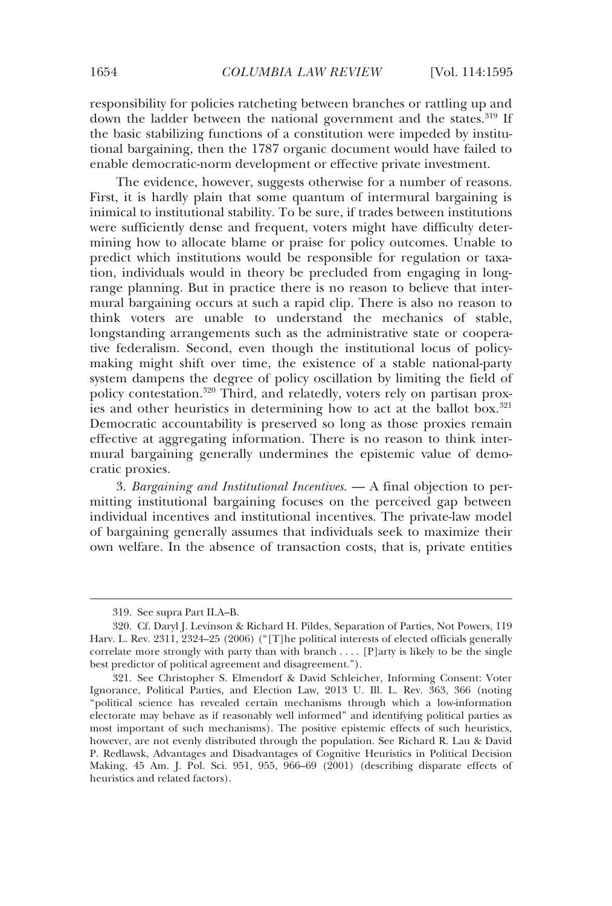responsibility for policies ratcheting between branches or rattling up and down the ladder between the national government and the states.<sup>319</sup> If the basic stabilizing functions of a constitution were impeded by institutional bargaining, then the 1787 organic document would have failed to enable democratic-norm development or effective private investment.

The evidence, however, suggests otherwise for a number of reasons. First, it is hardly plain that some quantum of intermural bargaining is inimical to institutional stability. To be sure, if trades between institutions were sufficiently dense and frequent, voters might have difficulty determining how to allocate blame or praise for policy outcomes. Unable to predict which institutions would be responsible for regulation or taxation, individuals would in theory be precluded from engaging in longrange planning. But in practice there is no reason to believe that intermural bargaining occurs at such a rapid clip. There is also no reason to think voters are unable to understand the mechanics of stable, longstanding arrangements such as the administrative state or cooperative federalism. Second, even though the institutional locus of policymaking might shift over time, the existence of a stable national-party system dampens the degree of policy oscillation by limiting the field of policy contestation.320 Third, and relatedly, voters rely on partisan proxies and other heuristics in determining how to act at the ballot box.<sup>321</sup> Democratic accountability is preserved so long as those proxies remain effective at aggregating information. There is no reason to think intermural bargaining generally undermines the epistemic value of democratic proxies.

3. *Bargaining and Institutional Incentives*. — A final objection to permitting institutional bargaining focuses on the perceived gap between individual incentives and institutional incentives. The private-law model of bargaining generally assumes that individuals seek to maximize their own welfare. In the absence of transaction costs, that is, private entities

 <sup>319.</sup> See supra Part II.A–B.

 <sup>320.</sup> Cf. Daryl J. Levinson & Richard H. Pildes, Separation of Parties, Not Powers, 119 Harv. L. Rev. 2311, 2324–25 (2006) ("[T]he political interests of elected officials generally correlate more strongly with party than with branch  $\dots$  [P]arty is likely to be the single best predictor of political agreement and disagreement.").

 <sup>321.</sup> See Christopher S. Elmendorf & David Schleicher, Informing Consent: Voter Ignorance, Political Parties, and Election Law, 2013 U. Ill. L. Rev. 363, 366 (noting "political science has revealed certain mechanisms through which a low-information electorate may behave as if reasonably well informed" and identifying political parties as most important of such mechanisms). The positive epistemic effects of such heuristics, however, are not evenly distributed through the population. See Richard R. Lau & David P. Redlawsk, Advantages and Disadvantages of Cognitive Heuristics in Political Decision Making, 45 Am. J. Pol. Sci. 951, 955, 966–69 (2001) (describing disparate effects of heuristics and related factors).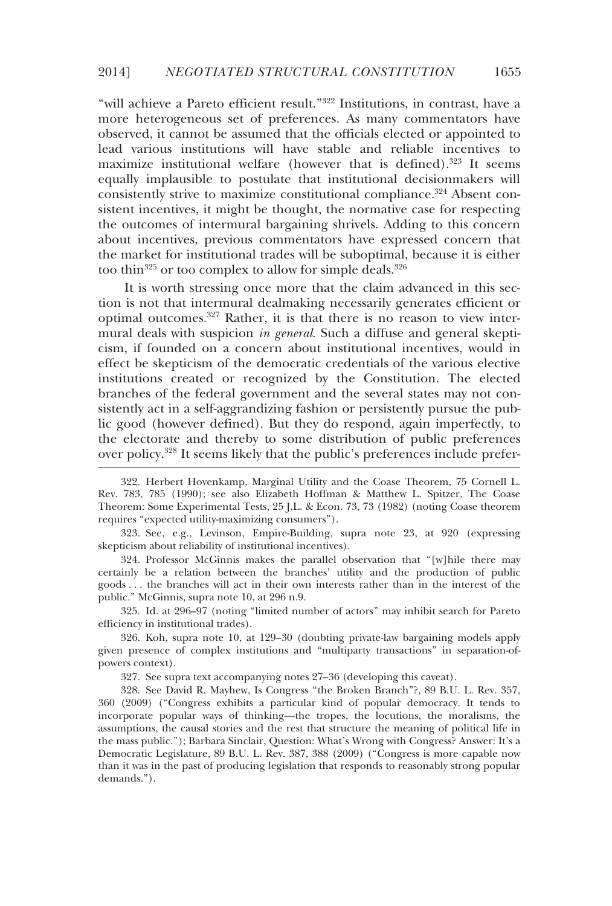"will achieve a Pareto efficient result."322 Institutions, in contrast, have a more heterogeneous set of preferences. As many commentators have observed, it cannot be assumed that the officials elected or appointed to lead various institutions will have stable and reliable incentives to maximize institutional welfare (however that is defined).<sup>323</sup> It seems equally implausible to postulate that institutional decisionmakers will consistently strive to maximize constitutional compliance.324 Absent consistent incentives, it might be thought, the normative case for respecting the outcomes of intermural bargaining shrivels. Adding to this concern about incentives, previous commentators have expressed concern that the market for institutional trades will be suboptimal, because it is either too thin<sup>325</sup> or too complex to allow for simple deals.<sup>326</sup>

It is worth stressing once more that the claim advanced in this section is not that intermural dealmaking necessarily generates efficient or optimal outcomes.327 Rather, it is that there is no reason to view intermural deals with suspicion *in general*. Such a diffuse and general skepticism, if founded on a concern about institutional incentives, would in effect be skepticism of the democratic credentials of the various elective institutions created or recognized by the Constitution. The elected branches of the federal government and the several states may not consistently act in a self-aggrandizing fashion or persistently pursue the public good (however defined). But they do respond, again imperfectly, to the electorate and thereby to some distribution of public preferences over policy.328 It seems likely that the public's preferences include prefer-

 324. Professor McGinnis makes the parallel observation that "[w]hile there may certainly be a relation between the branches' utility and the production of public goods . . . the branches will act in their own interests rather than in the interest of the public." McGinnis, supra note 10, at 296 n.9.

 325. Id. at 296–97 (noting "limited number of actors" may inhibit search for Pareto efficiency in institutional trades).

 326. Koh, supra note 10, at 129–30 (doubting private-law bargaining models apply given presence of complex institutions and "multiparty transactions" in separation-ofpowers context).

327. See supra text accompanying notes 27–36 (developing this caveat).

 328. See David R. Mayhew, Is Congress "the Broken Branch"?, 89 B.U. L. Rev. 357, 360 (2009) ("Congress exhibits a particular kind of popular democracy. It tends to incorporate popular ways of thinking—the tropes, the locutions, the moralisms, the assumptions, the causal stories and the rest that structure the meaning of political life in the mass public."); Barbara Sinclair, Question: What's Wrong with Congress? Answer: It's a Democratic Legislature, 89 B.U. L. Rev. 387, 388 (2009) ("Congress is more capable now than it was in the past of producing legislation that responds to reasonably strong popular demands.").

 <sup>322.</sup> Herbert Hovenkamp, Marginal Utility and the Coase Theorem, 75 Cornell L. Rev. 783, 785 (1990); see also Elizabeth Hoffman & Matthew L. Spitzer, The Coase Theorem: Some Experimental Tests, 25 J.L. & Econ. 73, 73 (1982) (noting Coase theorem requires "expected utility-maximizing consumers").

 <sup>323.</sup> See, e.g., Levinson, Empire-Building, supra note 23, at 920 (expressing skepticism about reliability of institutional incentives).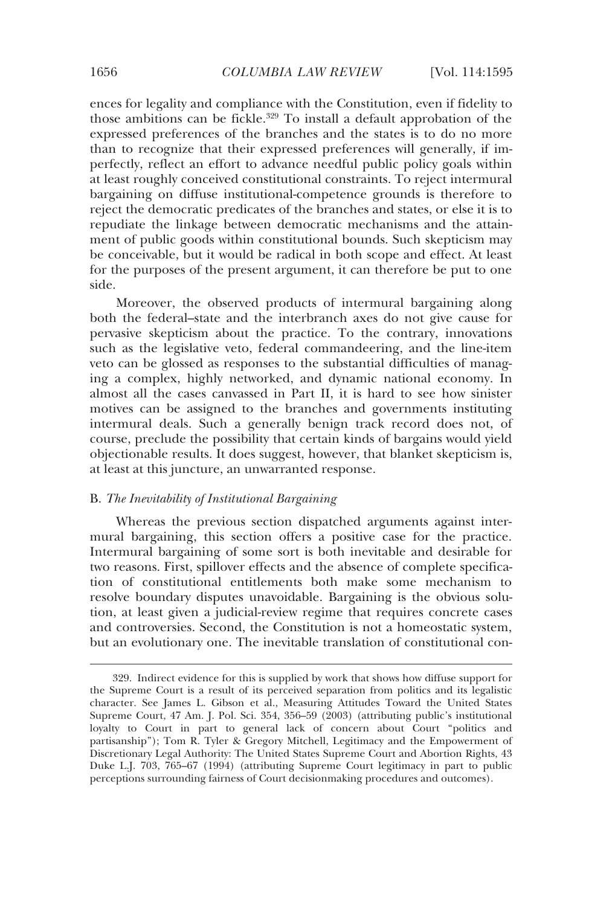ences for legality and compliance with the Constitution, even if fidelity to those ambitions can be fickle.<sup>329</sup> To install a default approbation of the expressed preferences of the branches and the states is to do no more than to recognize that their expressed preferences will generally, if imperfectly, reflect an effort to advance needful public policy goals within at least roughly conceived constitutional constraints. To reject intermural bargaining on diffuse institutional-competence grounds is therefore to reject the democratic predicates of the branches and states, or else it is to repudiate the linkage between democratic mechanisms and the attainment of public goods within constitutional bounds. Such skepticism may be conceivable, but it would be radical in both scope and effect. At least for the purposes of the present argument, it can therefore be put to one side.

Moreover, the observed products of intermural bargaining along both the federal–state and the interbranch axes do not give cause for pervasive skepticism about the practice. To the contrary, innovations such as the legislative veto, federal commandeering, and the line-item veto can be glossed as responses to the substantial difficulties of managing a complex, highly networked, and dynamic national economy. In almost all the cases canvassed in Part II, it is hard to see how sinister motives can be assigned to the branches and governments instituting intermural deals. Such a generally benign track record does not, of course, preclude the possibility that certain kinds of bargains would yield objectionable results. It does suggest, however, that blanket skepticism is, at least at this juncture, an unwarranted response.

### B. *The Inevitability of Institutional Bargaining*

Whereas the previous section dispatched arguments against intermural bargaining, this section offers a positive case for the practice. Intermural bargaining of some sort is both inevitable and desirable for two reasons. First, spillover effects and the absence of complete specification of constitutional entitlements both make some mechanism to resolve boundary disputes unavoidable. Bargaining is the obvious solution, at least given a judicial-review regime that requires concrete cases and controversies. Second, the Constitution is not a homeostatic system, but an evolutionary one. The inevitable translation of constitutional con-

 <sup>329.</sup> Indirect evidence for this is supplied by work that shows how diffuse support for the Supreme Court is a result of its perceived separation from politics and its legalistic character. See James L. Gibson et al., Measuring Attitudes Toward the United States Supreme Court, 47 Am. J. Pol. Sci. 354, 356–59 (2003) (attributing public's institutional loyalty to Court in part to general lack of concern about Court "politics and partisanship"); Tom R. Tyler & Gregory Mitchell, Legitimacy and the Empowerment of Discretionary Legal Authority: The United States Supreme Court and Abortion Rights, 43 Duke L.J. 703, 765–67 (1994) (attributing Supreme Court legitimacy in part to public perceptions surrounding fairness of Court decisionmaking procedures and outcomes).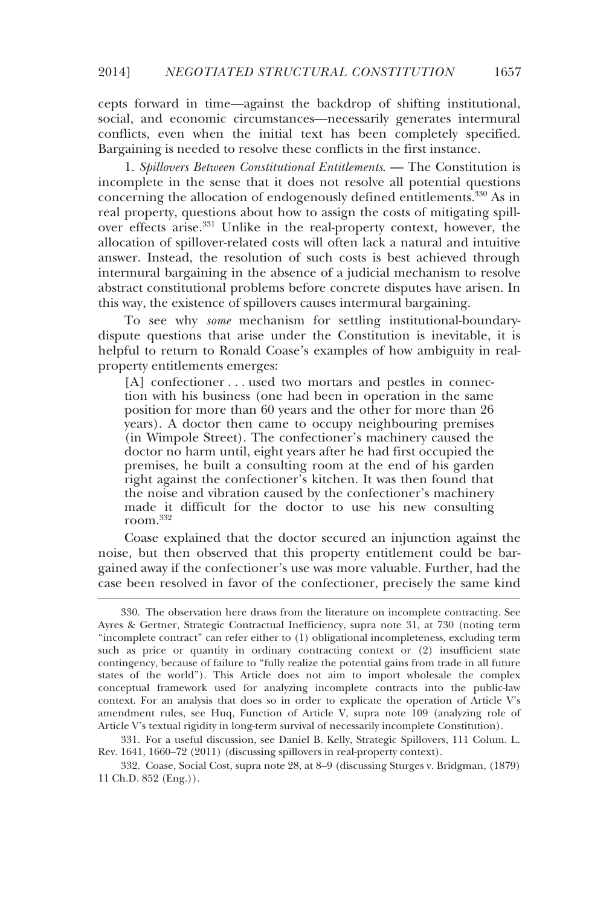cepts forward in time—against the backdrop of shifting institutional, social, and economic circumstances—necessarily generates intermural conflicts, even when the initial text has been completely specified. Bargaining is needed to resolve these conflicts in the first instance.

1. *Spillovers Between Constitutional Entitlements*. — The Constitution is incomplete in the sense that it does not resolve all potential questions concerning the allocation of endogenously defined entitlements.<sup>330</sup> As in real property, questions about how to assign the costs of mitigating spillover effects arise.331 Unlike in the real-property context, however, the allocation of spillover-related costs will often lack a natural and intuitive answer. Instead, the resolution of such costs is best achieved through intermural bargaining in the absence of a judicial mechanism to resolve abstract constitutional problems before concrete disputes have arisen. In this way, the existence of spillovers causes intermural bargaining.

To see why *some* mechanism for settling institutional-boundarydispute questions that arise under the Constitution is inevitable, it is helpful to return to Ronald Coase's examples of how ambiguity in realproperty entitlements emerges:

[A] confectioner . . . used two mortars and pestles in connection with his business (one had been in operation in the same position for more than 60 years and the other for more than 26 years). A doctor then came to occupy neighbouring premises (in Wimpole Street). The confectioner's machinery caused the doctor no harm until, eight years after he had first occupied the premises, he built a consulting room at the end of his garden right against the confectioner's kitchen. It was then found that the noise and vibration caused by the confectioner's machinery made it difficult for the doctor to use his new consulting room.332

Coase explained that the doctor secured an injunction against the noise, but then observed that this property entitlement could be bargained away if the confectioner's use was more valuable. Further, had the case been resolved in favor of the confectioner, precisely the same kind

-

 331. For a useful discussion, see Daniel B. Kelly, Strategic Spillovers, 111 Colum. L. Rev. 1641, 1660–72 (2011) (discussing spillovers in real-property context).

 332. Coase, Social Cost, supra note 28, at 8–9 (discussing Sturges v. Bridgman, (1879) 11 Ch.D. 852 (Eng.)).

 <sup>330.</sup> The observation here draws from the literature on incomplete contracting. See Ayres & Gertner, Strategic Contractual Inefficiency, supra note 31, at 730 (noting term "incomplete contract" can refer either to (1) obligational incompleteness, excluding term such as price or quantity in ordinary contracting context or (2) insufficient state contingency, because of failure to "fully realize the potential gains from trade in all future states of the world"). This Article does not aim to import wholesale the complex conceptual framework used for analyzing incomplete contracts into the public-law context. For an analysis that does so in order to explicate the operation of Article V's amendment rules, see Huq, Function of Article V, supra note 109 (analyzing role of Article V's textual rigidity in long-term survival of necessarily incomplete Constitution).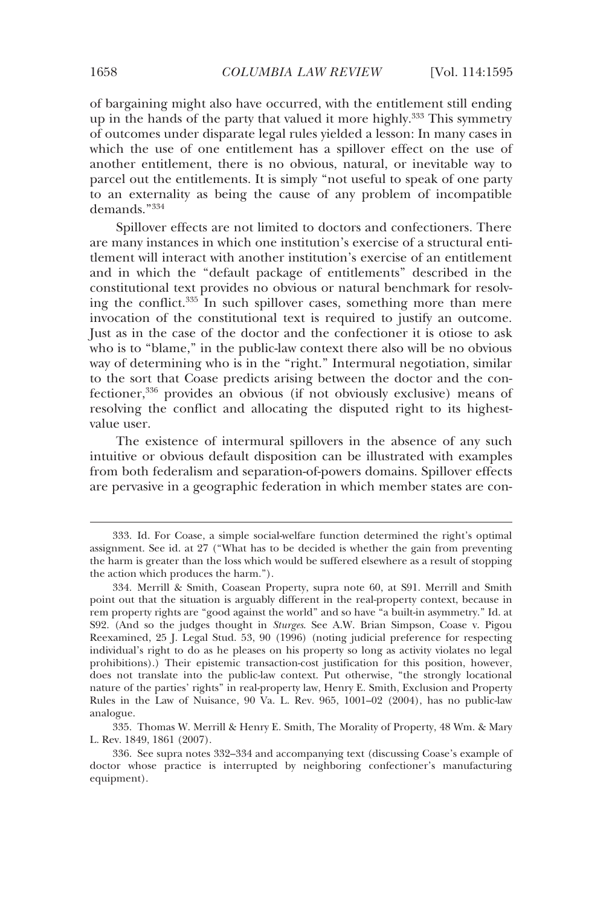of bargaining might also have occurred, with the entitlement still ending up in the hands of the party that valued it more highly.<sup>333</sup> This symmetry of outcomes under disparate legal rules yielded a lesson: In many cases in which the use of one entitlement has a spillover effect on the use of another entitlement, there is no obvious, natural, or inevitable way to parcel out the entitlements. It is simply "not useful to speak of one party to an externality as being the cause of any problem of incompatible demands."334

Spillover effects are not limited to doctors and confectioners. There are many instances in which one institution's exercise of a structural entitlement will interact with another institution's exercise of an entitlement and in which the "default package of entitlements" described in the constitutional text provides no obvious or natural benchmark for resolving the conflict.<sup>335</sup> In such spillover cases, something more than mere invocation of the constitutional text is required to justify an outcome. Just as in the case of the doctor and the confectioner it is otiose to ask who is to "blame," in the public-law context there also will be no obvious way of determining who is in the "right." Intermural negotiation, similar to the sort that Coase predicts arising between the doctor and the confectioner,336 provides an obvious (if not obviously exclusive) means of resolving the conflict and allocating the disputed right to its highestvalue user.

The existence of intermural spillovers in the absence of any such intuitive or obvious default disposition can be illustrated with examples from both federalism and separation-of-powers domains. Spillover effects are pervasive in a geographic federation in which member states are con-

 <sup>333.</sup> Id. For Coase, a simple social-welfare function determined the right's optimal assignment. See id. at 27 ("What has to be decided is whether the gain from preventing the harm is greater than the loss which would be suffered elsewhere as a result of stopping the action which produces the harm.").

 <sup>334.</sup> Merrill & Smith, Coasean Property, supra note 60, at S91. Merrill and Smith point out that the situation is arguably different in the real-property context, because in rem property rights are "good against the world" and so have "a built-in asymmetry." Id. at S92. (And so the judges thought in *Sturges*. See A.W. Brian Simpson, Coase v. Pigou Reexamined, 25 J. Legal Stud. 53, 90 (1996) (noting judicial preference for respecting individual's right to do as he pleases on his property so long as activity violates no legal prohibitions).) Their epistemic transaction-cost justification for this position, however, does not translate into the public-law context. Put otherwise, "the strongly locational nature of the parties' rights" in real-property law, Henry E. Smith, Exclusion and Property Rules in the Law of Nuisance, 90 Va. L. Rev. 965, 1001–02 (2004), has no public-law analogue.

 <sup>335.</sup> Thomas W. Merrill & Henry E. Smith, The Morality of Property, 48 Wm. & Mary L. Rev. 1849, 1861 (2007).

 <sup>336.</sup> See supra notes 332–334 and accompanying text (discussing Coase's example of doctor whose practice is interrupted by neighboring confectioner's manufacturing equipment).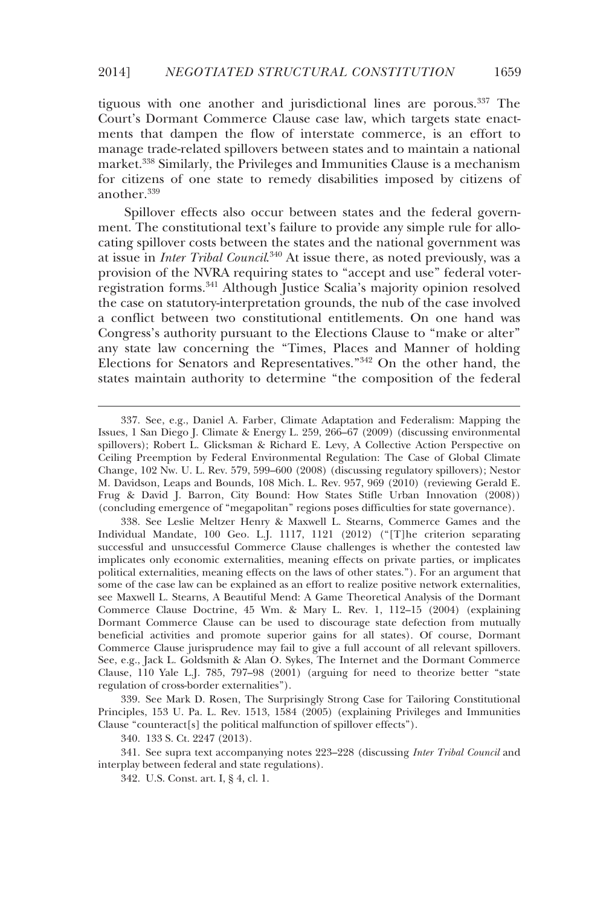tiguous with one another and jurisdictional lines are porous.337 The Court's Dormant Commerce Clause case law, which targets state enactments that dampen the flow of interstate commerce, is an effort to manage trade-related spillovers between states and to maintain a national market.338 Similarly, the Privileges and Immunities Clause is a mechanism for citizens of one state to remedy disabilities imposed by citizens of another.339

Spillover effects also occur between states and the federal government. The constitutional text's failure to provide any simple rule for allocating spillover costs between the states and the national government was at issue in *Inter Tribal Council*. 340 At issue there, as noted previously, was a provision of the NVRA requiring states to "accept and use" federal voterregistration forms.341 Although Justice Scalia's majority opinion resolved the case on statutory-interpretation grounds, the nub of the case involved a conflict between two constitutional entitlements. On one hand was Congress's authority pursuant to the Elections Clause to "make or alter" any state law concerning the "Times, Places and Manner of holding Elections for Senators and Representatives."342 On the other hand, the states maintain authority to determine "the composition of the federal

 339. See Mark D. Rosen, The Surprisingly Strong Case for Tailoring Constitutional Principles, 153 U. Pa. L. Rev. 1513, 1584 (2005) (explaining Privileges and Immunities Clause "counteract[s] the political malfunction of spillover effects").

340. 133 S. Ct. 2247 (2013).

-

 341. See supra text accompanying notes 223–228 (discussing *Inter Tribal Council* and interplay between federal and state regulations).

342. U.S. Const. art. I, § 4, cl. 1.

 <sup>337.</sup> See, e.g., Daniel A. Farber, Climate Adaptation and Federalism: Mapping the Issues, 1 San Diego J. Climate & Energy L. 259, 266–67 (2009) (discussing environmental spillovers); Robert L. Glicksman & Richard E. Levy, A Collective Action Perspective on Ceiling Preemption by Federal Environmental Regulation: The Case of Global Climate Change, 102 Nw. U. L. Rev. 579, 599–600 (2008) (discussing regulatory spillovers); Nestor M. Davidson, Leaps and Bounds, 108 Mich. L. Rev. 957, 969 (2010) (reviewing Gerald E. Frug & David J. Barron, City Bound: How States Stifle Urban Innovation (2008)) (concluding emergence of "megapolitan" regions poses difficulties for state governance).

 <sup>338.</sup> See Leslie Meltzer Henry & Maxwell L. Stearns, Commerce Games and the Individual Mandate, 100 Geo. L.J. 1117, 1121 (2012) ("[T]he criterion separating successful and unsuccessful Commerce Clause challenges is whether the contested law implicates only economic externalities, meaning effects on private parties, or implicates political externalities, meaning effects on the laws of other states."). For an argument that some of the case law can be explained as an effort to realize positive network externalities, see Maxwell L. Stearns, A Beautiful Mend: A Game Theoretical Analysis of the Dormant Commerce Clause Doctrine, 45 Wm. & Mary L. Rev. 1, 112–15 (2004) (explaining Dormant Commerce Clause can be used to discourage state defection from mutually beneficial activities and promote superior gains for all states). Of course, Dormant Commerce Clause jurisprudence may fail to give a full account of all relevant spillovers. See, e.g., Jack L. Goldsmith & Alan O. Sykes, The Internet and the Dormant Commerce Clause, 110 Yale L.J. 785, 797–98 (2001) (arguing for need to theorize better "state regulation of cross-border externalities").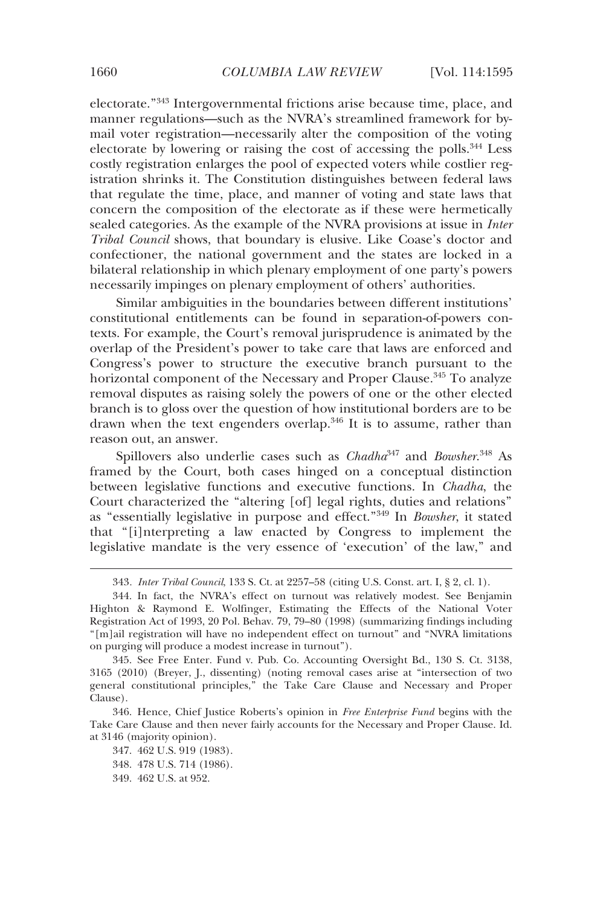electorate."343 Intergovernmental frictions arise because time, place, and manner regulations—such as the NVRA's streamlined framework for bymail voter registration—necessarily alter the composition of the voting electorate by lowering or raising the cost of accessing the polls.344 Less costly registration enlarges the pool of expected voters while costlier registration shrinks it. The Constitution distinguishes between federal laws that regulate the time, place, and manner of voting and state laws that concern the composition of the electorate as if these were hermetically sealed categories. As the example of the NVRA provisions at issue in *Inter Tribal Council* shows, that boundary is elusive. Like Coase's doctor and confectioner, the national government and the states are locked in a bilateral relationship in which plenary employment of one party's powers necessarily impinges on plenary employment of others' authorities.

Similar ambiguities in the boundaries between different institutions' constitutional entitlements can be found in separation-of-powers contexts. For example, the Court's removal jurisprudence is animated by the overlap of the President's power to take care that laws are enforced and Congress's power to structure the executive branch pursuant to the horizontal component of the Necessary and Proper Clause.<sup>345</sup> To analyze removal disputes as raising solely the powers of one or the other elected branch is to gloss over the question of how institutional borders are to be drawn when the text engenders overlap.<sup>346</sup> It is to assume, rather than reason out, an answer.

Spillovers also underlie cases such as *Chadha*<sup>347</sup> and *Bowsher*. 348 As framed by the Court, both cases hinged on a conceptual distinction between legislative functions and executive functions. In *Chadha*, the Court characterized the "altering [of] legal rights, duties and relations" as "essentially legislative in purpose and effect."349 In *Bowsher*, it stated that "[i]nterpreting a law enacted by Congress to implement the legislative mandate is the very essence of 'execution' of the law," and

 346. Hence, Chief Justice Roberts's opinion in *Free Enterprise Fund* begins with the Take Care Clause and then never fairly accounts for the Necessary and Proper Clause. Id. at 3146 (majority opinion).

 347. 462 U.S. 919 (1983). 348. 478 U.S. 714 (1986). 349. 462 U.S. at 952.

<sup>343</sup>*. Inter Tribal Council*, 133 S. Ct. at 2257–58 (citing U.S. Const. art. I, § 2, cl. 1).

 <sup>344.</sup> In fact, the NVRA's effect on turnout was relatively modest. See Benjamin Highton & Raymond E. Wolfinger, Estimating the Effects of the National Voter Registration Act of 1993, 20 Pol. Behav. 79, 79–80 (1998) (summarizing findings including "[m]ail registration will have no independent effect on turnout" and "NVRA limitations on purging will produce a modest increase in turnout").

 <sup>345.</sup> See Free Enter. Fund v. Pub. Co. Accounting Oversight Bd., 130 S. Ct. 3138, 3165 (2010) (Breyer, J., dissenting) (noting removal cases arise at "intersection of two general constitutional principles," the Take Care Clause and Necessary and Proper Clause).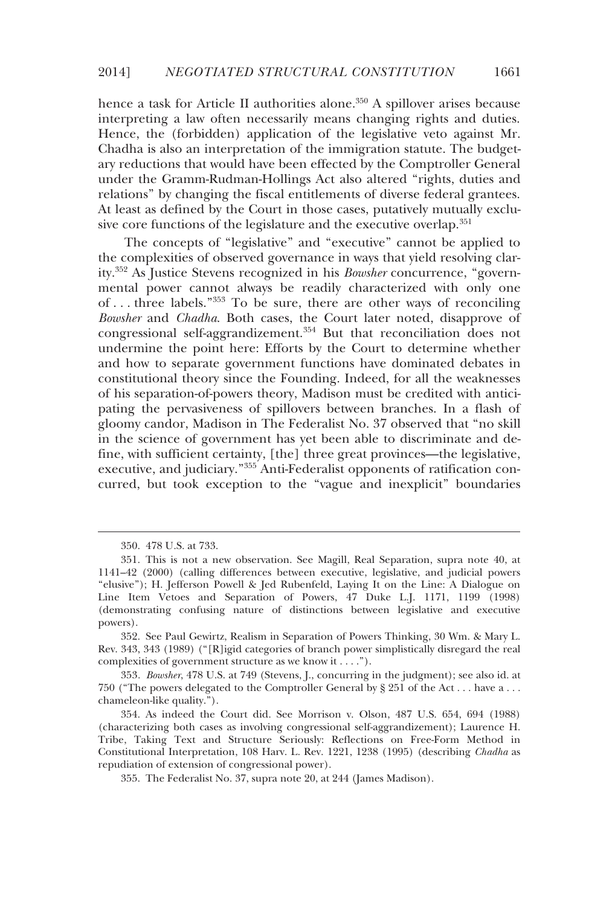hence a task for Article II authorities alone.<sup>350</sup> A spillover arises because interpreting a law often necessarily means changing rights and duties. Hence, the (forbidden) application of the legislative veto against Mr. Chadha is also an interpretation of the immigration statute. The budgetary reductions that would have been effected by the Comptroller General under the Gramm-Rudman-Hollings Act also altered "rights, duties and relations" by changing the fiscal entitlements of diverse federal grantees. At least as defined by the Court in those cases, putatively mutually exclusive core functions of the legislature and the executive overlap.<sup>351</sup>

The concepts of "legislative" and "executive" cannot be applied to the complexities of observed governance in ways that yield resolving clarity.352 As Justice Stevens recognized in his *Bowsher* concurrence, "governmental power cannot always be readily characterized with only one of . . . three labels."353 To be sure, there are other ways of reconciling *Bowsher* and *Chadha*. Both cases, the Court later noted, disapprove of congressional self-aggrandizement.354 But that reconciliation does not undermine the point here: Efforts by the Court to determine whether and how to separate government functions have dominated debates in constitutional theory since the Founding. Indeed, for all the weaknesses of his separation-of-powers theory, Madison must be credited with anticipating the pervasiveness of spillovers between branches. In a flash of gloomy candor, Madison in The Federalist No. 37 observed that "no skill in the science of government has yet been able to discriminate and define, with sufficient certainty, [the] three great provinces—the legislative, executive, and judiciary."<sup>355</sup> Anti-Federalist opponents of ratification concurred, but took exception to the "vague and inexplicit" boundaries

-

 <sup>350. 478</sup> U.S. at 733.

 <sup>351.</sup> This is not a new observation. See Magill, Real Separation, supra note 40, at 1141–42 (2000) (calling differences between executive, legislative, and judicial powers "elusive"); H. Jefferson Powell & Jed Rubenfeld, Laying It on the Line: A Dialogue on Line Item Vetoes and Separation of Powers, 47 Duke L.J. 1171, 1199 (1998) (demonstrating confusing nature of distinctions between legislative and executive powers).

 <sup>352.</sup> See Paul Gewirtz, Realism in Separation of Powers Thinking, 30 Wm. & Mary L. Rev. 343, 343 (1989) ("[R]igid categories of branch power simplistically disregard the real complexities of government structure as we know it . . . .").

<sup>353</sup>*. Bowsher*, 478 U.S. at 749 (Stevens, J., concurring in the judgment); see also id. at 750 ("The powers delegated to the Comptroller General by § 251 of the Act . . . have a . . . chameleon-like quality.").

 <sup>354.</sup> As indeed the Court did. See Morrison v. Olson, 487 U.S. 654, 694 (1988) (characterizing both cases as involving congressional self-aggrandizement); Laurence H. Tribe, Taking Text and Structure Seriously: Reflections on Free-Form Method in Constitutional Interpretation, 108 Harv. L. Rev. 1221, 1238 (1995) (describing *Chadha* as repudiation of extension of congressional power).

 <sup>355.</sup> The Federalist No. 37, supra note 20, at 244 (James Madison).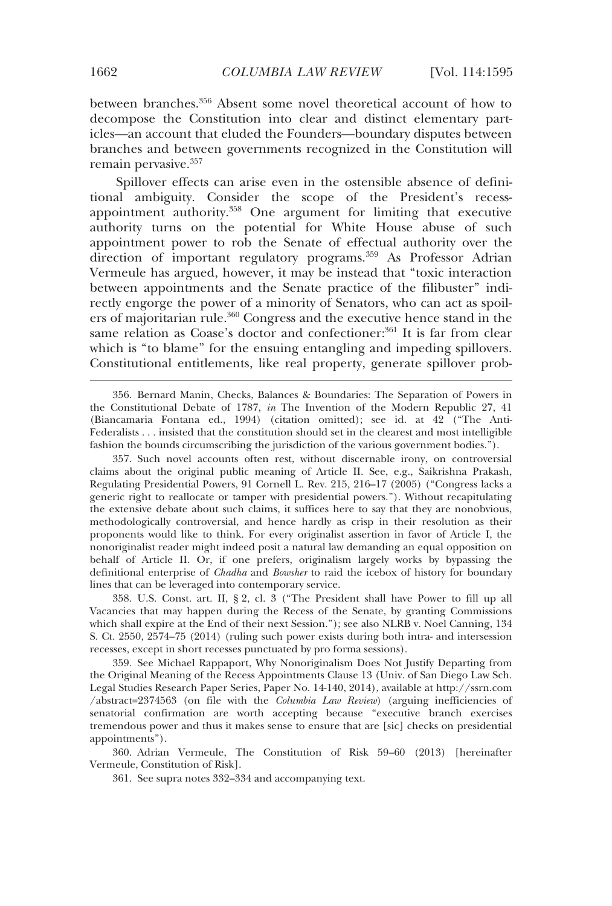between branches.356 Absent some novel theoretical account of how to decompose the Constitution into clear and distinct elementary particles—an account that eluded the Founders—boundary disputes between branches and between governments recognized in the Constitution will remain pervasive.357

Spillover effects can arise even in the ostensible absence of definitional ambiguity. Consider the scope of the President's recessappointment authority.358 One argument for limiting that executive authority turns on the potential for White House abuse of such appointment power to rob the Senate of effectual authority over the direction of important regulatory programs.<sup>359</sup> As Professor Adrian Vermeule has argued, however, it may be instead that "toxic interaction between appointments and the Senate practice of the filibuster" indirectly engorge the power of a minority of Senators, who can act as spoilers of majoritarian rule.<sup>360</sup> Congress and the executive hence stand in the same relation as Coase's doctor and confectioner:<sup>361</sup> It is far from clear which is "to blame" for the ensuing entangling and impeding spillovers. Constitutional entitlements, like real property, generate spillover prob-

 356. Bernard Manin, Checks, Balances & Boundaries: The Separation of Powers in the Constitutional Debate of 1787, *in* The Invention of the Modern Republic 27, 41 (Biancamaria Fontana ed., 1994) (citation omitted); see id. at 42 ("The Anti-Federalists . . . insisted that the constitution should set in the clearest and most intelligible fashion the bounds circumscribing the jurisdiction of the various government bodies.").

 357. Such novel accounts often rest, without discernable irony, on controversial claims about the original public meaning of Article II. See, e.g., Saikrishna Prakash, Regulating Presidential Powers, 91 Cornell L. Rev. 215, 216–17 (2005) ("Congress lacks a generic right to reallocate or tamper with presidential powers."). Without recapitulating the extensive debate about such claims, it suffices here to say that they are nonobvious, methodologically controversial, and hence hardly as crisp in their resolution as their proponents would like to think. For every originalist assertion in favor of Article I, the nonoriginalist reader might indeed posit a natural law demanding an equal opposition on behalf of Article II. Or, if one prefers, originalism largely works by bypassing the definitional enterprise of *Chadha* and *Bowsher* to raid the icebox of history for boundary lines that can be leveraged into contemporary service.

 358. U.S. Const. art. II, § 2, cl. 3 ("The President shall have Power to fill up all Vacancies that may happen during the Recess of the Senate, by granting Commissions which shall expire at the End of their next Session."); see also NLRB v. Noel Canning, 134 S. Ct. 2550, 2574–75 (2014) (ruling such power exists during both intra- and intersession recesses, except in short recesses punctuated by pro forma sessions).

 359. See Michael Rappaport, Why Nonoriginalism Does Not Justify Departing from the Original Meaning of the Recess Appointments Clause 13 (Univ. of San Diego Law Sch. Legal Studies Research Paper Series, Paper No. 14-140, 2014), available at http://ssrn.com /abstract=2374563 (on file with the *Columbia Law Review*) (arguing inefficiencies of senatorial confirmation are worth accepting because "executive branch exercises tremendous power and thus it makes sense to ensure that are [sic] checks on presidential appointments").

 360. Adrian Vermeule, The Constitution of Risk 59–60 (2013) [hereinafter Vermeule, Constitution of Risk].

361. See supra notes 332–334 and accompanying text.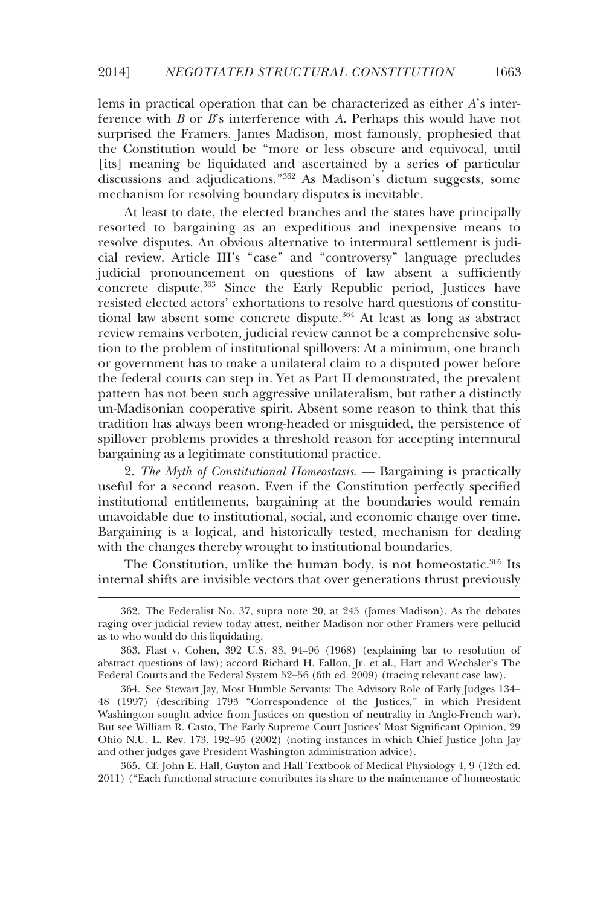lems in practical operation that can be characterized as either *A*'s interference with *B* or *B*'s interference with *A*. Perhaps this would have not surprised the Framers. James Madison, most famously, prophesied that the Constitution would be "more or less obscure and equivocal, until [its] meaning be liquidated and ascertained by a series of particular discussions and adjudications."362 As Madison's dictum suggests, some mechanism for resolving boundary disputes is inevitable.

At least to date, the elected branches and the states have principally resorted to bargaining as an expeditious and inexpensive means to resolve disputes. An obvious alternative to intermural settlement is judicial review. Article III's "case" and "controversy" language precludes judicial pronouncement on questions of law absent a sufficiently concrete dispute.363 Since the Early Republic period, Justices have resisted elected actors' exhortations to resolve hard questions of constitutional law absent some concrete dispute.<sup>364</sup> At least as long as abstract review remains verboten, judicial review cannot be a comprehensive solution to the problem of institutional spillovers: At a minimum, one branch or government has to make a unilateral claim to a disputed power before the federal courts can step in. Yet as Part II demonstrated, the prevalent pattern has not been such aggressive unilateralism, but rather a distinctly un-Madisonian cooperative spirit. Absent some reason to think that this tradition has always been wrong-headed or misguided, the persistence of spillover problems provides a threshold reason for accepting intermural bargaining as a legitimate constitutional practice.

2. *The Myth of Constitutional Homeostasis*. — Bargaining is practically useful for a second reason. Even if the Constitution perfectly specified institutional entitlements, bargaining at the boundaries would remain unavoidable due to institutional, social, and economic change over time. Bargaining is a logical, and historically tested, mechanism for dealing with the changes thereby wrought to institutional boundaries.

The Constitution, unlike the human body, is not homeostatic.365 Its internal shifts are invisible vectors that over generations thrust previously

-

 364. See Stewart Jay, Most Humble Servants: The Advisory Role of Early Judges 134– 48 (1997) (describing 1793 "Correspondence of the Justices," in which President Washington sought advice from Justices on question of neutrality in Anglo-French war). But see William R. Casto, The Early Supreme Court Justices' Most Significant Opinion, 29 Ohio N.U. L. Rev. 173, 192–95 (2002) (noting instances in which Chief Justice John Jay and other judges gave President Washington administration advice).

 365. Cf. John E. Hall, Guyton and Hall Textbook of Medical Physiology 4, 9 (12th ed. 2011) ("Each functional structure contributes its share to the maintenance of homeostatic

 <sup>362.</sup> The Federalist No. 37, supra note 20, at 245 (James Madison). As the debates raging over judicial review today attest, neither Madison nor other Framers were pellucid as to who would do this liquidating.

 <sup>363.</sup> Flast v. Cohen, 392 U.S. 83, 94–96 (1968) (explaining bar to resolution of abstract questions of law); accord Richard H. Fallon, Jr. et al., Hart and Wechsler's The Federal Courts and the Federal System 52–56 (6th ed. 2009) (tracing relevant case law).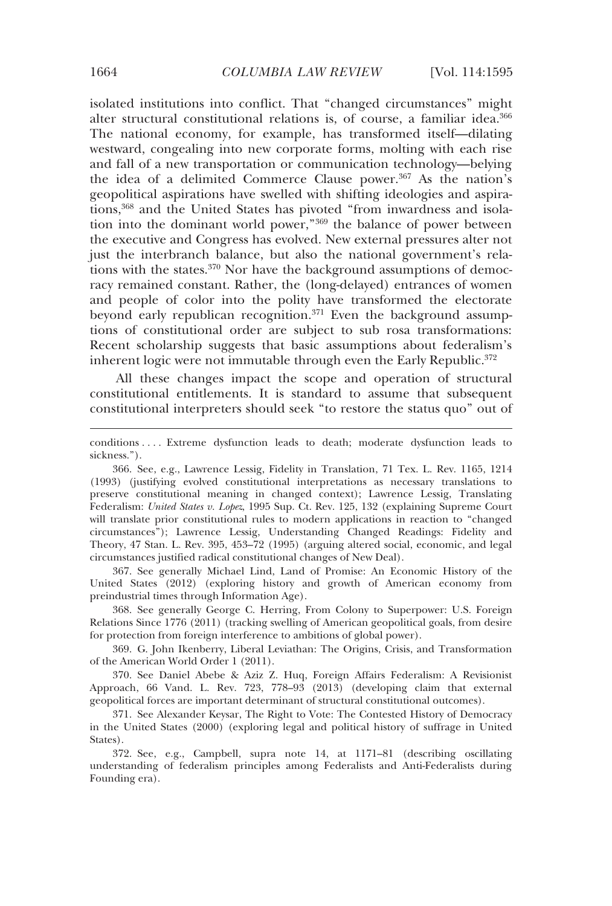isolated institutions into conflict. That "changed circumstances" might alter structural constitutional relations is, of course, a familiar idea.<sup>366</sup> The national economy, for example, has transformed itself—dilating westward, congealing into new corporate forms, molting with each rise and fall of a new transportation or communication technology—belying the idea of a delimited Commerce Clause power.367 As the nation's geopolitical aspirations have swelled with shifting ideologies and aspirations,<sup>368</sup> and the United States has pivoted "from inwardness and isolation into the dominant world power,"369 the balance of power between the executive and Congress has evolved. New external pressures alter not just the interbranch balance, but also the national government's relations with the states. $370$  Nor have the background assumptions of democracy remained constant. Rather, the (long-delayed) entrances of women and people of color into the polity have transformed the electorate beyond early republican recognition.<sup>371</sup> Even the background assumptions of constitutional order are subject to sub rosa transformations: Recent scholarship suggests that basic assumptions about federalism's inherent logic were not immutable through even the Early Republic.<sup>372</sup>

All these changes impact the scope and operation of structural constitutional entitlements. It is standard to assume that subsequent constitutional interpreters should seek "to restore the status quo" out of

 367. See generally Michael Lind, Land of Promise: An Economic History of the United States (2012) (exploring history and growth of American economy from preindustrial times through Information Age).

 368. See generally George C. Herring, From Colony to Superpower: U.S. Foreign Relations Since 1776 (2011) (tracking swelling of American geopolitical goals, from desire for protection from foreign interference to ambitions of global power).

 369. G. John Ikenberry, Liberal Leviathan: The Origins, Crisis, and Transformation of the American World Order 1 (2011).

 370. See Daniel Abebe & Aziz Z. Huq, Foreign Affairs Federalism: A Revisionist Approach, 66 Vand. L. Rev. 723, 778–93 (2013) (developing claim that external geopolitical forces are important determinant of structural constitutional outcomes).

 371. See Alexander Keysar, The Right to Vote: The Contested History of Democracy in the United States (2000) (exploring legal and political history of suffrage in United States).

 372. See, e.g., Campbell, supra note 14, at 1171–81 (describing oscillating understanding of federalism principles among Federalists and Anti-Federalists during Founding era).

conditions . . . . Extreme dysfunction leads to death; moderate dysfunction leads to sickness.").

 <sup>366.</sup> See, e.g., Lawrence Lessig, Fidelity in Translation, 71 Tex. L. Rev. 1165, 1214 (1993) (justifying evolved constitutional interpretations as necessary translations to preserve constitutional meaning in changed context); Lawrence Lessig, Translating Federalism: *United States v. Lopez*, 1995 Sup. Ct. Rev. 125, 132 (explaining Supreme Court will translate prior constitutional rules to modern applications in reaction to "changed circumstances"); Lawrence Lessig, Understanding Changed Readings: Fidelity and Theory, 47 Stan. L. Rev. 395, 453–72 (1995) (arguing altered social, economic, and legal circumstances justified radical constitutional changes of New Deal).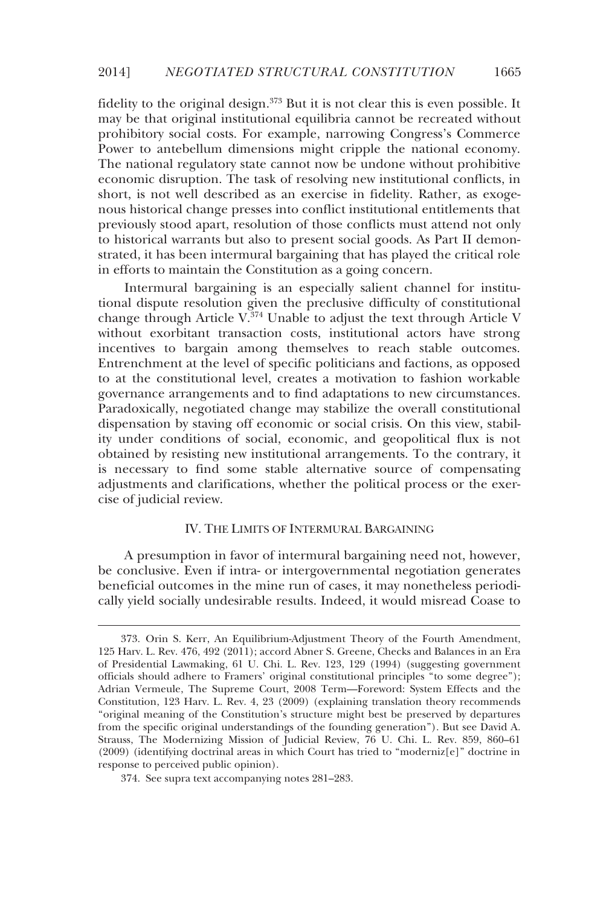fidelity to the original design.<sup>373</sup> But it is not clear this is even possible. It may be that original institutional equilibria cannot be recreated without prohibitory social costs. For example, narrowing Congress's Commerce Power to antebellum dimensions might cripple the national economy. The national regulatory state cannot now be undone without prohibitive economic disruption. The task of resolving new institutional conflicts, in short, is not well described as an exercise in fidelity. Rather, as exogenous historical change presses into conflict institutional entitlements that previously stood apart, resolution of those conflicts must attend not only to historical warrants but also to present social goods. As Part II demonstrated, it has been intermural bargaining that has played the critical role in efforts to maintain the Constitution as a going concern.

Intermural bargaining is an especially salient channel for institutional dispute resolution given the preclusive difficulty of constitutional change through Article  $V^{\frac{3}{2}74}$  Unable to adjust the text through Article V without exorbitant transaction costs, institutional actors have strong incentives to bargain among themselves to reach stable outcomes. Entrenchment at the level of specific politicians and factions, as opposed to at the constitutional level, creates a motivation to fashion workable governance arrangements and to find adaptations to new circumstances. Paradoxically, negotiated change may stabilize the overall constitutional dispensation by staving off economic or social crisis. On this view, stability under conditions of social, economic, and geopolitical flux is not obtained by resisting new institutional arrangements. To the contrary, it is necessary to find some stable alternative source of compensating adjustments and clarifications, whether the political process or the exercise of judicial review.

## IV. THE LIMITS OF INTERMURAL BARGAINING

A presumption in favor of intermural bargaining need not, however, be conclusive. Even if intra- or intergovernmental negotiation generates beneficial outcomes in the mine run of cases, it may nonetheless periodically yield socially undesirable results. Indeed, it would misread Coase to

-

 <sup>373.</sup> Orin S. Kerr, An Equilibrium-Adjustment Theory of the Fourth Amendment, 125 Harv. L. Rev. 476, 492 (2011); accord Abner S. Greene, Checks and Balances in an Era of Presidential Lawmaking, 61 U. Chi. L. Rev. 123, 129 (1994) (suggesting government officials should adhere to Framers' original constitutional principles "to some degree"); Adrian Vermeule, The Supreme Court, 2008 Term—Foreword: System Effects and the Constitution, 123 Harv. L. Rev. 4, 23 (2009) (explaining translation theory recommends "original meaning of the Constitution's structure might best be preserved by departures from the specific original understandings of the founding generation"). But see David A. Strauss, The Modernizing Mission of Judicial Review, 76 U. Chi. L. Rev. 859, 860–61 (2009) (identifying doctrinal areas in which Court has tried to "moderniz[e]" doctrine in response to perceived public opinion).

 <sup>374.</sup> See supra text accompanying notes 281–283.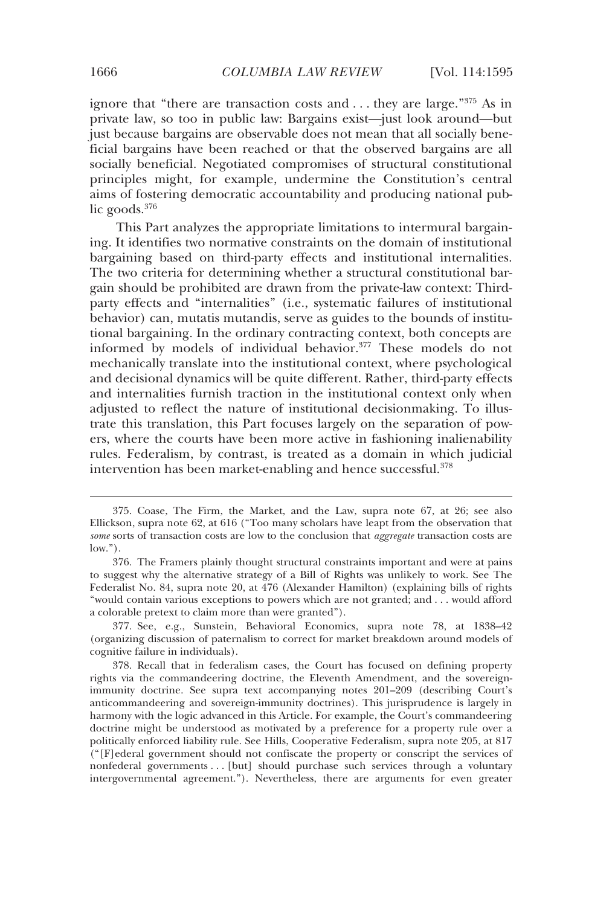ignore that "there are transaction costs and . . . they are large."375 As in private law, so too in public law: Bargains exist—just look around—but just because bargains are observable does not mean that all socially beneficial bargains have been reached or that the observed bargains are all socially beneficial. Negotiated compromises of structural constitutional principles might, for example, undermine the Constitution's central aims of fostering democratic accountability and producing national public goods.<sup>376</sup>

This Part analyzes the appropriate limitations to intermural bargaining. It identifies two normative constraints on the domain of institutional bargaining based on third-party effects and institutional internalities. The two criteria for determining whether a structural constitutional bargain should be prohibited are drawn from the private-law context: Thirdparty effects and "internalities" (i.e., systematic failures of institutional behavior) can, mutatis mutandis, serve as guides to the bounds of institutional bargaining. In the ordinary contracting context, both concepts are informed by models of individual behavior.377 These models do not mechanically translate into the institutional context, where psychological and decisional dynamics will be quite different. Rather, third-party effects and internalities furnish traction in the institutional context only when adjusted to reflect the nature of institutional decisionmaking. To illustrate this translation, this Part focuses largely on the separation of powers, where the courts have been more active in fashioning inalienability rules. Federalism, by contrast, is treated as a domain in which judicial intervention has been market-enabling and hence successful.<sup>378</sup>

 <sup>375.</sup> Coase, The Firm, the Market, and the Law, supra note 67, at 26; see also Ellickson, supra note 62, at 616 ("Too many scholars have leapt from the observation that *some* sorts of transaction costs are low to the conclusion that *aggregate* transaction costs are low.").

 <sup>376.</sup> The Framers plainly thought structural constraints important and were at pains to suggest why the alternative strategy of a Bill of Rights was unlikely to work. See The Federalist No. 84, supra note 20, at 476 (Alexander Hamilton) (explaining bills of rights "would contain various exceptions to powers which are not granted; and . . . would afford a colorable pretext to claim more than were granted").

 <sup>377.</sup> See, e.g., Sunstein, Behavioral Economics, supra note 78, at 1838–42 (organizing discussion of paternalism to correct for market breakdown around models of cognitive failure in individuals).

 <sup>378.</sup> Recall that in federalism cases, the Court has focused on defining property rights via the commandeering doctrine, the Eleventh Amendment, and the sovereignimmunity doctrine. See supra text accompanying notes 201–209 (describing Court's anticommandeering and sovereign-immunity doctrines). This jurisprudence is largely in harmony with the logic advanced in this Article. For example, the Court's commandeering doctrine might be understood as motivated by a preference for a property rule over a politically enforced liability rule. See Hills, Cooperative Federalism, supra note 205, at 817 ("[F]ederal government should not confiscate the property or conscript the services of nonfederal governments . . . [but] should purchase such services through a voluntary intergovernmental agreement."). Nevertheless, there are arguments for even greater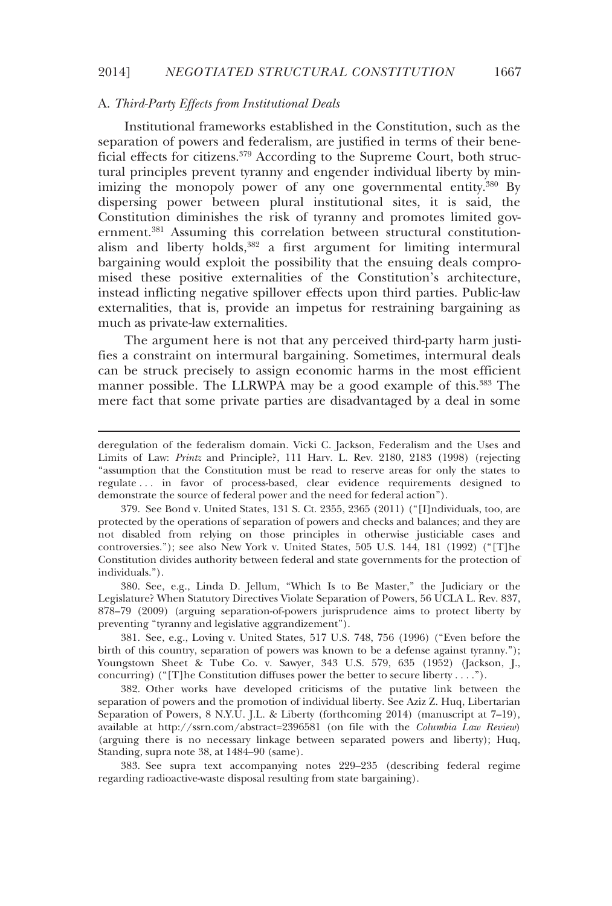# A. *Third-Party Effects from Institutional Deals*

-

Institutional frameworks established in the Constitution, such as the separation of powers and federalism, are justified in terms of their beneficial effects for citizens.<sup>379</sup> According to the Supreme Court, both structural principles prevent tyranny and engender individual liberty by minimizing the monopoly power of any one governmental entity.<sup>380</sup> By dispersing power between plural institutional sites, it is said, the Constitution diminishes the risk of tyranny and promotes limited government.<sup>381</sup> Assuming this correlation between structural constitutionalism and liberty holds,<sup>382</sup> a first argument for limiting intermural bargaining would exploit the possibility that the ensuing deals compromised these positive externalities of the Constitution's architecture, instead inflicting negative spillover effects upon third parties. Public-law externalities, that is, provide an impetus for restraining bargaining as much as private-law externalities.

The argument here is not that any perceived third-party harm justifies a constraint on intermural bargaining. Sometimes, intermural deals can be struck precisely to assign economic harms in the most efficient manner possible. The LLRWPA may be a good example of this.<sup>383</sup> The mere fact that some private parties are disadvantaged by a deal in some

 380. See, e.g., Linda D. Jellum, "Which Is to Be Master," the Judiciary or the Legislature? When Statutory Directives Violate Separation of Powers, 56 UCLA L. Rev. 837, 878–79 (2009) (arguing separation-of-powers jurisprudence aims to protect liberty by preventing "tyranny and legislative aggrandizement").

 381. See, e.g., Loving v. United States, 517 U.S. 748, 756 (1996) ("Even before the birth of this country, separation of powers was known to be a defense against tyranny."); Youngstown Sheet & Tube Co. v. Sawyer, 343 U.S. 579, 635 (1952) (Jackson, J., concurring) ("[T]he Constitution diffuses power the better to secure liberty . . . .").

 382. Other works have developed criticisms of the putative link between the separation of powers and the promotion of individual liberty. See Aziz Z. Huq, Libertarian Separation of Powers, 8 N.Y.U. J.L. & Liberty (forthcoming 2014) (manuscript at 7–19), available at http://ssrn.com/abstract=2396581 (on file with the *Columbia Law Review*) (arguing there is no necessary linkage between separated powers and liberty); Huq, Standing, supra note 38, at 1484–90 (same).

 383. See supra text accompanying notes 229–235 (describing federal regime regarding radioactive-waste disposal resulting from state bargaining).

deregulation of the federalism domain. Vicki C. Jackson, Federalism and the Uses and Limits of Law: *Printz* and Principle?, 111 Harv. L. Rev. 2180, 2183 (1998) (rejecting "assumption that the Constitution must be read to reserve areas for only the states to regulate . . . in favor of process-based, clear evidence requirements designed to demonstrate the source of federal power and the need for federal action").

 <sup>379.</sup> See Bond v. United States, 131 S. Ct. 2355, 2365 (2011) ("[I]ndividuals, too, are protected by the operations of separation of powers and checks and balances; and they are not disabled from relying on those principles in otherwise justiciable cases and controversies."); see also New York v. United States, 505 U.S. 144, 181 (1992) ("[T]he Constitution divides authority between federal and state governments for the protection of individuals.").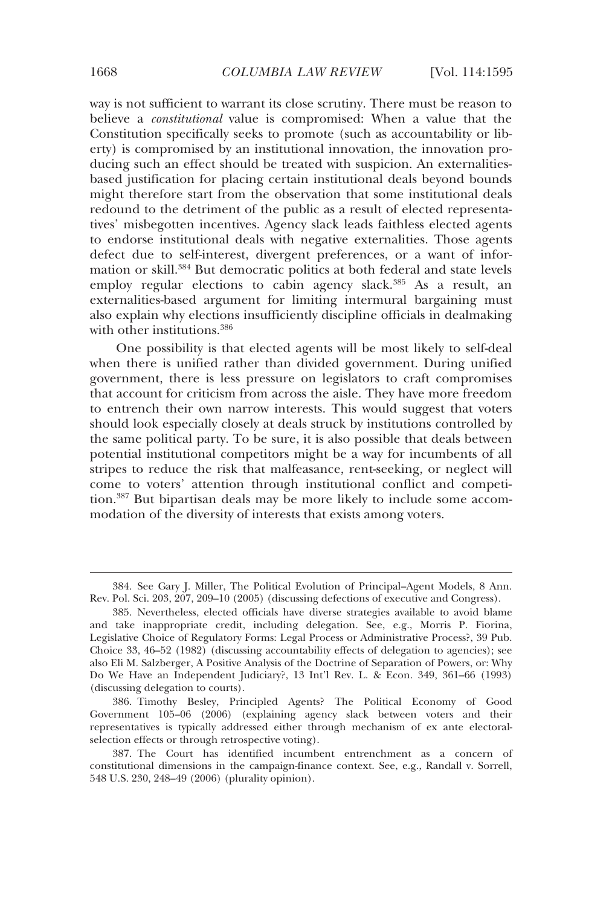way is not sufficient to warrant its close scrutiny. There must be reason to believe a *constitutional* value is compromised: When a value that the Constitution specifically seeks to promote (such as accountability or liberty) is compromised by an institutional innovation, the innovation producing such an effect should be treated with suspicion. An externalitiesbased justification for placing certain institutional deals beyond bounds might therefore start from the observation that some institutional deals redound to the detriment of the public as a result of elected representatives' misbegotten incentives. Agency slack leads faithless elected agents to endorse institutional deals with negative externalities. Those agents defect due to self-interest, divergent preferences, or a want of information or skill.384 But democratic politics at both federal and state levels employ regular elections to cabin agency slack.<sup>385</sup> As a result, an externalities-based argument for limiting intermural bargaining must also explain why elections insufficiently discipline officials in dealmaking with other institutions.<sup>386</sup>

One possibility is that elected agents will be most likely to self-deal when there is unified rather than divided government. During unified government, there is less pressure on legislators to craft compromises that account for criticism from across the aisle. They have more freedom to entrench their own narrow interests. This would suggest that voters should look especially closely at deals struck by institutions controlled by the same political party. To be sure, it is also possible that deals between potential institutional competitors might be a way for incumbents of all stripes to reduce the risk that malfeasance, rent-seeking, or neglect will come to voters' attention through institutional conflict and competition.387 But bipartisan deals may be more likely to include some accommodation of the diversity of interests that exists among voters.

 <sup>384.</sup> See Gary J. Miller, The Political Evolution of Principal–Agent Models, 8 Ann. Rev. Pol. Sci. 203, 207, 209–10 (2005) (discussing defections of executive and Congress).

 <sup>385.</sup> Nevertheless, elected officials have diverse strategies available to avoid blame and take inappropriate credit, including delegation. See, e.g., Morris P. Fiorina, Legislative Choice of Regulatory Forms: Legal Process or Administrative Process?, 39 Pub. Choice 33, 46–52 (1982) (discussing accountability effects of delegation to agencies); see also Eli M. Salzberger, A Positive Analysis of the Doctrine of Separation of Powers, or: Why Do We Have an Independent Judiciary?, 13 Int'l Rev. L. & Econ. 349, 361–66 (1993) (discussing delegation to courts).

 <sup>386.</sup> Timothy Besley, Principled Agents? The Political Economy of Good Government 105–06 (2006) (explaining agency slack between voters and their representatives is typically addressed either through mechanism of ex ante electoralselection effects or through retrospective voting).

 <sup>387.</sup> The Court has identified incumbent entrenchment as a concern of constitutional dimensions in the campaign-finance context. See, e.g., Randall v. Sorrell, 548 U.S. 230, 248–49 (2006) (plurality opinion).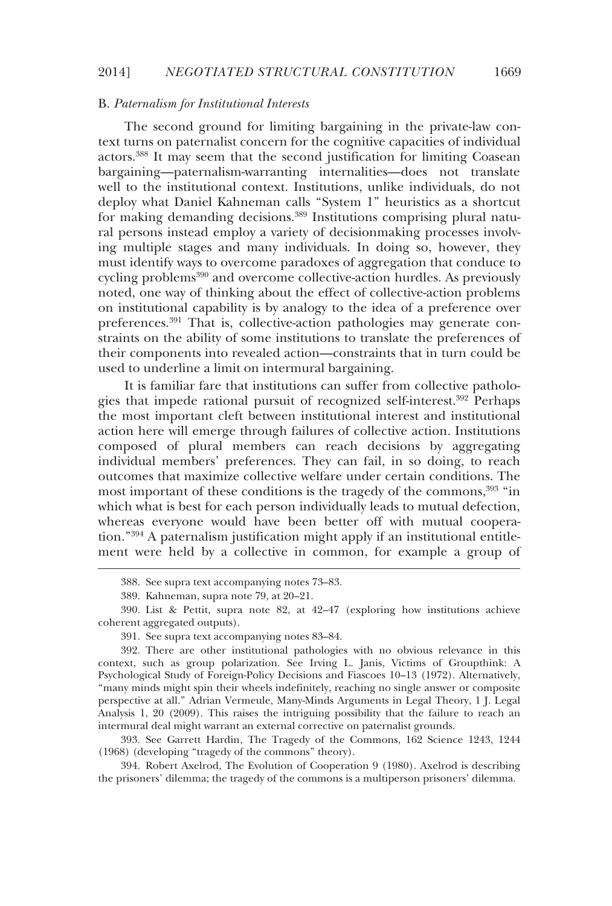### B. *Paternalism for Institutional Interests*

The second ground for limiting bargaining in the private-law context turns on paternalist concern for the cognitive capacities of individual actors.388 It may seem that the second justification for limiting Coasean bargaining—paternalism-warranting internalities—does not translate well to the institutional context. Institutions, unlike individuals, do not deploy what Daniel Kahneman calls "System 1" heuristics as a shortcut for making demanding decisions.389 Institutions comprising plural natural persons instead employ a variety of decisionmaking processes involving multiple stages and many individuals. In doing so, however, they must identify ways to overcome paradoxes of aggregation that conduce to cycling problems<sup>390</sup> and overcome collective-action hurdles. As previously noted, one way of thinking about the effect of collective-action problems on institutional capability is by analogy to the idea of a preference over preferences.<sup>391</sup> That is, collective-action pathologies may generate constraints on the ability of some institutions to translate the preferences of their components into revealed action—constraints that in turn could be used to underline a limit on intermural bargaining.

It is familiar fare that institutions can suffer from collective pathologies that impede rational pursuit of recognized self-interest.<sup>392</sup> Perhaps the most important cleft between institutional interest and institutional action here will emerge through failures of collective action. Institutions composed of plural members can reach decisions by aggregating individual members' preferences. They can fail, in so doing, to reach outcomes that maximize collective welfare under certain conditions. The most important of these conditions is the tragedy of the commons,<sup>393</sup> "in which what is best for each person individually leads to mutual defection, whereas everyone would have been better off with mutual cooperation."394 A paternalism justification might apply if an institutional entitlement were held by a collective in common, for example a group of

-

 393. See Garrett Hardin, The Tragedy of the Commons, 162 Science 1243, 1244 (1968) (developing "tragedy of the commons" theory).

 394. Robert Axelrod, The Evolution of Cooperation 9 (1980). Axelrod is describing the prisoners' dilemma; the tragedy of the commons is a multiperson prisoners' dilemma.

 <sup>388.</sup> See supra text accompanying notes 73–83.

 <sup>389.</sup> Kahneman, supra note 79, at 20–21.

 <sup>390.</sup> List & Pettit, supra note 82, at 42–47 (exploring how institutions achieve coherent aggregated outputs).

 <sup>391.</sup> See supra text accompanying notes 83–84.

 <sup>392.</sup> There are other institutional pathologies with no obvious relevance in this context, such as group polarization. See Irving L. Janis, Victims of Groupthink: A Psychological Study of Foreign-Policy Decisions and Fiascoes 10–13 (1972). Alternatively, "many minds might spin their wheels indefinitely, reaching no single answer or composite perspective at all." Adrian Vermeule, Many-Minds Arguments in Legal Theory, 1 J. Legal Analysis 1, 20 (2009). This raises the intriguing possibility that the failure to reach an intermural deal might warrant an external corrective on paternalist grounds.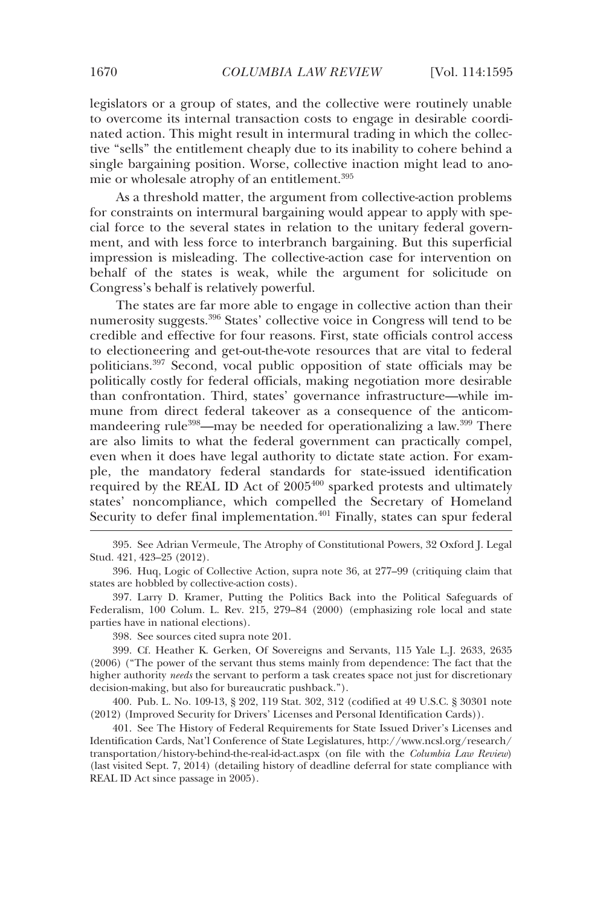legislators or a group of states, and the collective were routinely unable to overcome its internal transaction costs to engage in desirable coordinated action. This might result in intermural trading in which the collective "sells" the entitlement cheaply due to its inability to cohere behind a single bargaining position. Worse, collective inaction might lead to anomie or wholesale atrophy of an entitlement.<sup>395</sup>

As a threshold matter, the argument from collective-action problems for constraints on intermural bargaining would appear to apply with special force to the several states in relation to the unitary federal government, and with less force to interbranch bargaining. But this superficial impression is misleading. The collective-action case for intervention on behalf of the states is weak, while the argument for solicitude on Congress's behalf is relatively powerful.

The states are far more able to engage in collective action than their numerosity suggests.396 States' collective voice in Congress will tend to be credible and effective for four reasons. First, state officials control access to electioneering and get-out-the-vote resources that are vital to federal politicians.397 Second, vocal public opposition of state officials may be politically costly for federal officials, making negotiation more desirable than confrontation. Third, states' governance infrastructure—while immune from direct federal takeover as a consequence of the anticommandeering rule<sup>398</sup>—may be needed for operationalizing a law.<sup>399</sup> There are also limits to what the federal government can practically compel, even when it does have legal authority to dictate state action. For example, the mandatory federal standards for state-issued identification required by the REAL ID Act of 2005<sup>400</sup> sparked protests and ultimately states' noncompliance, which compelled the Secretary of Homeland Security to defer final implementation.<sup>401</sup> Finally, states can spur federal

 395. See Adrian Vermeule, The Atrophy of Constitutional Powers, 32 Oxford J. Legal Stud. 421, 423–25 (2012).

 396. Huq, Logic of Collective Action, supra note 36, at 277–99 (critiquing claim that states are hobbled by collective-action costs).

 397. Larry D. Kramer, Putting the Politics Back into the Political Safeguards of Federalism, 100 Colum. L. Rev. 215, 279–84 (2000) (emphasizing role local and state parties have in national elections).

398. See sources cited supra note 201.

 399. Cf. Heather K. Gerken, Of Sovereigns and Servants, 115 Yale L.J. 2633, 2635 (2006) ("The power of the servant thus stems mainly from dependence: The fact that the higher authority *needs* the servant to perform a task creates space not just for discretionary decision-making, but also for bureaucratic pushback.").

 400. Pub. L. No. 109-13, § 202, 119 Stat. 302, 312 (codified at 49 U.S.C. § 30301 note (2012) (Improved Security for Drivers' Licenses and Personal Identification Cards)).

 401. See The History of Federal Requirements for State Issued Driver's Licenses and Identification Cards, Nat'l Conference of State Legislatures, http://www.ncsl.org/research/ transportation/history-behind-the-real-id-act.aspx (on file with the *Columbia Law Review*) (last visited Sept. 7, 2014) (detailing history of deadline deferral for state compliance with REAL ID Act since passage in 2005).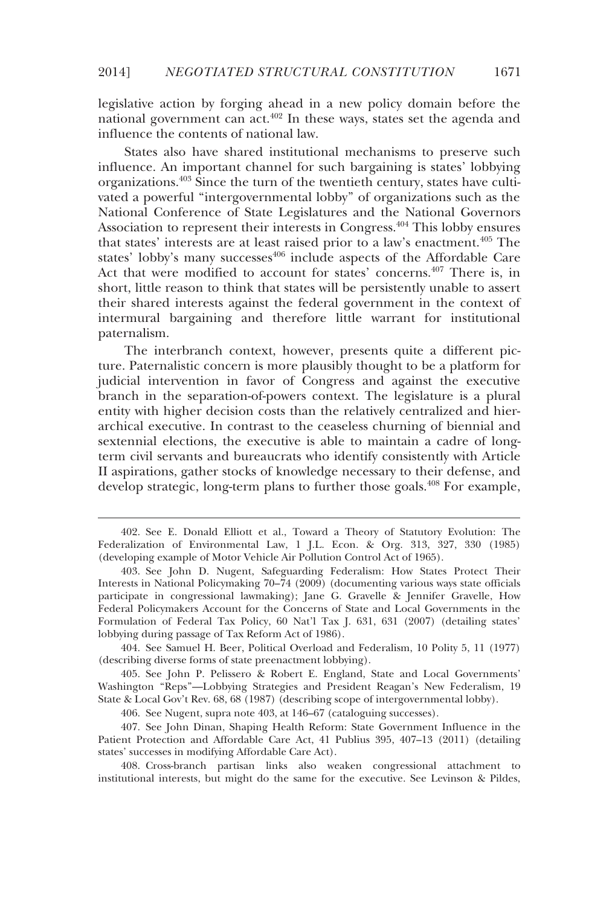legislative action by forging ahead in a new policy domain before the national government can act.<sup>402</sup> In these ways, states set the agenda and influence the contents of national law.

States also have shared institutional mechanisms to preserve such influence. An important channel for such bargaining is states' lobbying organizations.403 Since the turn of the twentieth century, states have cultivated a powerful "intergovernmental lobby" of organizations such as the National Conference of State Legislatures and the National Governors Association to represent their interests in Congress.404 This lobby ensures that states' interests are at least raised prior to a law's enactment.<sup>405</sup> The states' lobby's many successes<sup>406</sup> include aspects of the Affordable Care Act that were modified to account for states' concerns.<sup>407</sup> There is, in short, little reason to think that states will be persistently unable to assert their shared interests against the federal government in the context of intermural bargaining and therefore little warrant for institutional paternalism.

The interbranch context, however, presents quite a different picture. Paternalistic concern is more plausibly thought to be a platform for judicial intervention in favor of Congress and against the executive branch in the separation-of-powers context. The legislature is a plural entity with higher decision costs than the relatively centralized and hierarchical executive. In contrast to the ceaseless churning of biennial and sextennial elections, the executive is able to maintain a cadre of longterm civil servants and bureaucrats who identify consistently with Article II aspirations, gather stocks of knowledge necessary to their defense, and develop strategic, long-term plans to further those goals.<sup>408</sup> For example,

-

 404. See Samuel H. Beer, Political Overload and Federalism, 10 Polity 5, 11 (1977) (describing diverse forms of state preenactment lobbying).

 405. See John P. Pelissero & Robert E. England, State and Local Governments' Washington "Reps"—Lobbying Strategies and President Reagan's New Federalism, 19 State & Local Gov't Rev. 68, 68 (1987) (describing scope of intergovernmental lobby).

406. See Nugent, supra note 403, at 146–67 (cataloguing successes).

 407. See John Dinan, Shaping Health Reform: State Government Influence in the Patient Protection and Affordable Care Act, 41 Publius 395, 407–13 (2011) (detailing states' successes in modifying Affordable Care Act).

 408. Cross-branch partisan links also weaken congressional attachment to institutional interests, but might do the same for the executive. See Levinson & Pildes,

 <sup>402.</sup> See E. Donald Elliott et al., Toward a Theory of Statutory Evolution: The Federalization of Environmental Law, 1 J.L. Econ. & Org. 313, 327, 330 (1985) (developing example of Motor Vehicle Air Pollution Control Act of 1965).

 <sup>403.</sup> See John D. Nugent, Safeguarding Federalism: How States Protect Their Interests in National Policymaking 70–74 (2009) (documenting various ways state officials participate in congressional lawmaking); Jane G. Gravelle & Jennifer Gravelle, How Federal Policymakers Account for the Concerns of State and Local Governments in the Formulation of Federal Tax Policy, 60 Nat'l Tax J. 631, 631 (2007) (detailing states' lobbying during passage of Tax Reform Act of 1986).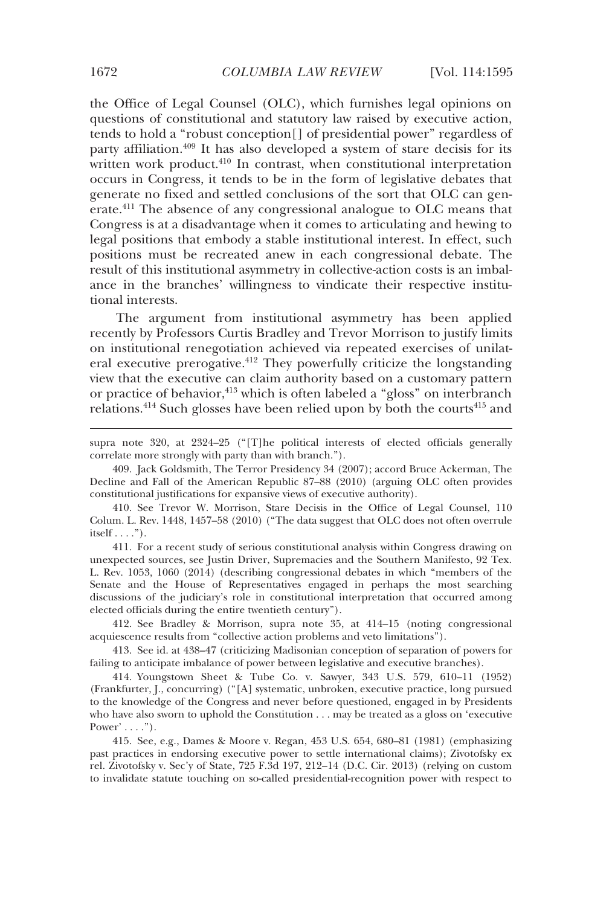the Office of Legal Counsel (OLC), which furnishes legal opinions on questions of constitutional and statutory law raised by executive action, tends to hold a "robust conception[] of presidential power" regardless of party affiliation.409 It has also developed a system of stare decisis for its written work product.<sup>410</sup> In contrast, when constitutional interpretation occurs in Congress, it tends to be in the form of legislative debates that generate no fixed and settled conclusions of the sort that OLC can generate.411 The absence of any congressional analogue to OLC means that Congress is at a disadvantage when it comes to articulating and hewing to legal positions that embody a stable institutional interest. In effect, such positions must be recreated anew in each congressional debate. The result of this institutional asymmetry in collective-action costs is an imbalance in the branches' willingness to vindicate their respective institutional interests.

The argument from institutional asymmetry has been applied recently by Professors Curtis Bradley and Trevor Morrison to justify limits on institutional renegotiation achieved via repeated exercises of unilateral executive prerogative.<sup>412</sup> They powerfully criticize the longstanding view that the executive can claim authority based on a customary pattern or practice of behavior,<sup>413</sup> which is often labeled a "gloss" on interbranch relations.<sup>414</sup> Such glosses have been relied upon by both the courts<sup>415</sup> and

 409. Jack Goldsmith, The Terror Presidency 34 (2007); accord Bruce Ackerman, The Decline and Fall of the American Republic 87–88 (2010) (arguing OLC often provides constitutional justifications for expansive views of executive authority).

 410. See Trevor W. Morrison, Stare Decisis in the Office of Legal Counsel, 110 Colum. L. Rev. 1448, 1457–58 (2010) ("The data suggest that OLC does not often overrule itself  $\dots$ .").

 411. For a recent study of serious constitutional analysis within Congress drawing on unexpected sources, see Justin Driver, Supremacies and the Southern Manifesto, 92 Tex. L. Rev. 1053, 1060 (2014) (describing congressional debates in which "members of the Senate and the House of Representatives engaged in perhaps the most searching discussions of the judiciary's role in constitutional interpretation that occurred among elected officials during the entire twentieth century").

 412. See Bradley & Morrison, supra note 35, at 414–15 (noting congressional acquiescence results from "collective action problems and veto limitations").

 413. See id. at 438–47 (criticizing Madisonian conception of separation of powers for failing to anticipate imbalance of power between legislative and executive branches).

 414. Youngstown Sheet & Tube Co. v. Sawyer, 343 U.S. 579, 610–11 (1952) (Frankfurter, J., concurring) ("[A] systematic, unbroken, executive practice, long pursued to the knowledge of the Congress and never before questioned, engaged in by Presidents who have also sworn to uphold the Constitution . . . may be treated as a gloss on 'executive Power'  $\dots$  .").

 415. See, e.g., Dames & Moore v. Regan, 453 U.S. 654, 680–81 (1981) (emphasizing past practices in endorsing executive power to settle international claims); Zivotofsky ex rel. Zivotofsky v. Sec'y of State, 725 F.3d 197, 212–14 (D.C. Cir. 2013) (relying on custom to invalidate statute touching on so-called presidential-recognition power with respect to

supra note 320, at 2324–25 ("[T]he political interests of elected officials generally correlate more strongly with party than with branch.").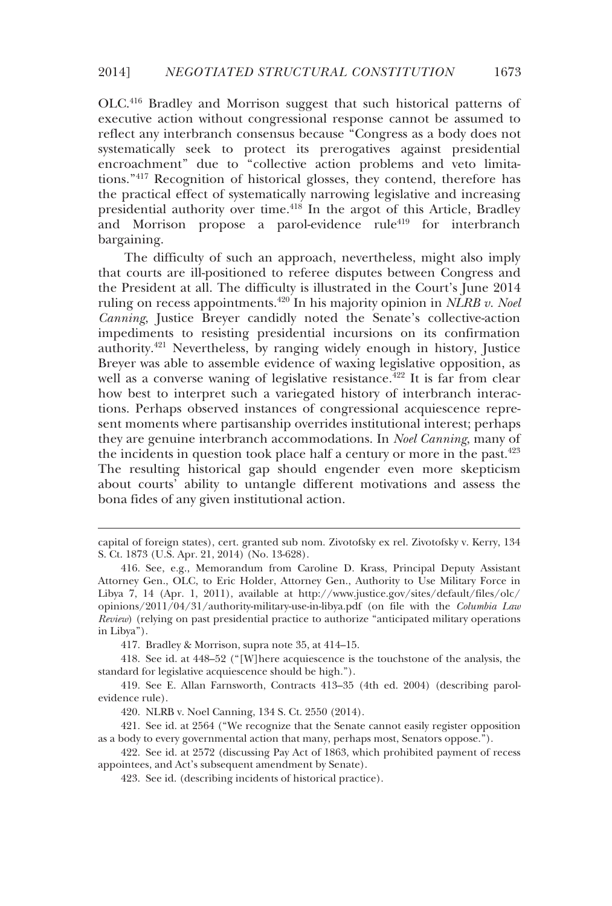OLC.416 Bradley and Morrison suggest that such historical patterns of executive action without congressional response cannot be assumed to reflect any interbranch consensus because "Congress as a body does not systematically seek to protect its prerogatives against presidential encroachment" due to "collective action problems and veto limitations."417 Recognition of historical glosses, they contend, therefore has the practical effect of systematically narrowing legislative and increasing presidential authority over time.418 In the argot of this Article, Bradley and Morrison propose a parol-evidence rule<sup>419</sup> for interbranch bargaining.

The difficulty of such an approach, nevertheless, might also imply that courts are ill-positioned to referee disputes between Congress and the President at all. The difficulty is illustrated in the Court's June 2014 ruling on recess appointments.<sup>420</sup> In his majority opinion in *NLRB v. Noel Canning*, Justice Breyer candidly noted the Senate's collective-action impediments to resisting presidential incursions on its confirmation authority.421 Nevertheless, by ranging widely enough in history, Justice Breyer was able to assemble evidence of waxing legislative opposition, as well as a converse waning of legislative resistance.<sup>422</sup> It is far from clear how best to interpret such a variegated history of interbranch interactions. Perhaps observed instances of congressional acquiescence represent moments where partisanship overrides institutional interest; perhaps they are genuine interbranch accommodations. In *Noel Canning*, many of the incidents in question took place half a century or more in the past. $423$ The resulting historical gap should engender even more skepticism about courts' ability to untangle different motivations and assess the bona fides of any given institutional action.

417. Bradley & Morrison, supra note 35, at 414–15.

-

 418. See id. at 448–52 ("[W]here acquiescence is the touchstone of the analysis, the standard for legislative acquiescence should be high.").

 419. See E. Allan Farnsworth, Contracts 413–35 (4th ed. 2004) (describing parolevidence rule).

420. NLRB v. Noel Canning, 134 S. Ct. 2550 (2014).

 421. See id. at 2564 ("We recognize that the Senate cannot easily register opposition as a body to every governmental action that many, perhaps most, Senators oppose.").

 422. See id. at 2572 (discussing Pay Act of 1863, which prohibited payment of recess appointees, and Act's subsequent amendment by Senate).

423. See id. (describing incidents of historical practice).

capital of foreign states), cert. granted sub nom. Zivotofsky ex rel. Zivotofsky v. Kerry, 134 S. Ct. 1873 (U.S. Apr. 21, 2014) (No. 13-628).

 <sup>416.</sup> See, e.g., Memorandum from Caroline D. Krass, Principal Deputy Assistant Attorney Gen., OLC, to Eric Holder, Attorney Gen., Authority to Use Military Force in Libya 7, 14 (Apr. 1, 2011), available at http://www.justice.gov/sites/default/files/olc/ opinions/2011/04/31/authority-military-use-in-libya.pdf (on file with the *Columbia Law Review*) (relying on past presidential practice to authorize "anticipated military operations in Libya").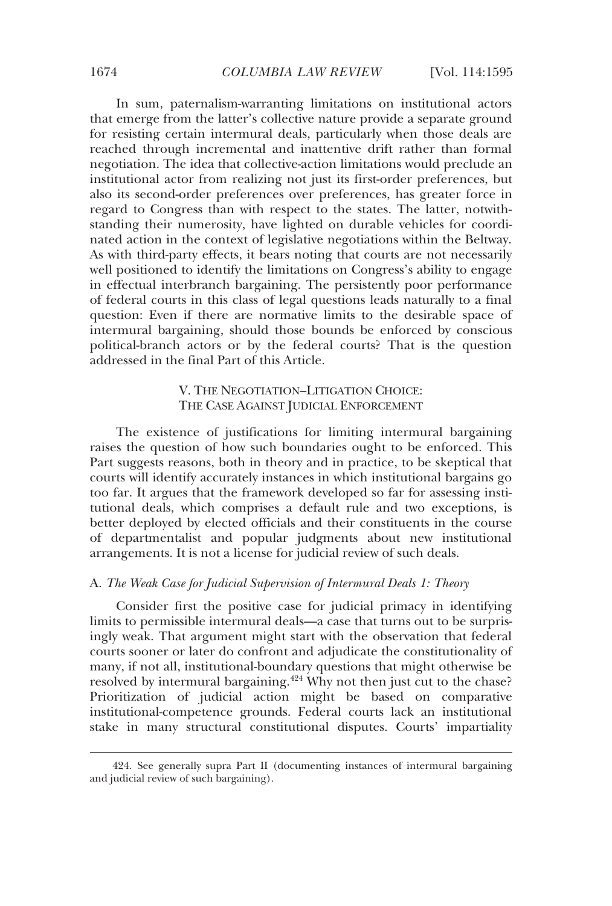In sum, paternalism-warranting limitations on institutional actors that emerge from the latter's collective nature provide a separate ground for resisting certain intermural deals, particularly when those deals are reached through incremental and inattentive drift rather than formal negotiation. The idea that collective-action limitations would preclude an institutional actor from realizing not just its first-order preferences, but also its second-order preferences over preferences, has greater force in regard to Congress than with respect to the states. The latter, notwithstanding their numerosity, have lighted on durable vehicles for coordinated action in the context of legislative negotiations within the Beltway. As with third-party effects, it bears noting that courts are not necessarily well positioned to identify the limitations on Congress's ability to engage in effectual interbranch bargaining. The persistently poor performance of federal courts in this class of legal questions leads naturally to a final question: Even if there are normative limits to the desirable space of intermural bargaining, should those bounds be enforced by conscious political-branch actors or by the federal courts? That is the question addressed in the final Part of this Article.

# V. THE NEGOTIATION–LITIGATION CHOICE: THE CASE AGAINST JUDICIAL ENFORCEMENT

The existence of justifications for limiting intermural bargaining raises the question of how such boundaries ought to be enforced. This Part suggests reasons, both in theory and in practice, to be skeptical that courts will identify accurately instances in which institutional bargains go too far. It argues that the framework developed so far for assessing institutional deals, which comprises a default rule and two exceptions, is better deployed by elected officials and their constituents in the course of departmentalist and popular judgments about new institutional arrangements. It is not a license for judicial review of such deals.

## A. *The Weak Case for Judicial Supervision of Intermural Deals 1: Theory*

Consider first the positive case for judicial primacy in identifying limits to permissible intermural deals—a case that turns out to be surprisingly weak. That argument might start with the observation that federal courts sooner or later do confront and adjudicate the constitutionality of many, if not all, institutional-boundary questions that might otherwise be resolved by intermural bargaining.<sup>424</sup> Why not then just cut to the chase? Prioritization of judicial action might be based on comparative institutional-competence grounds. Federal courts lack an institutional stake in many structural constitutional disputes. Courts' impartiality

 <sup>424.</sup> See generally supra Part II (documenting instances of intermural bargaining and judicial review of such bargaining).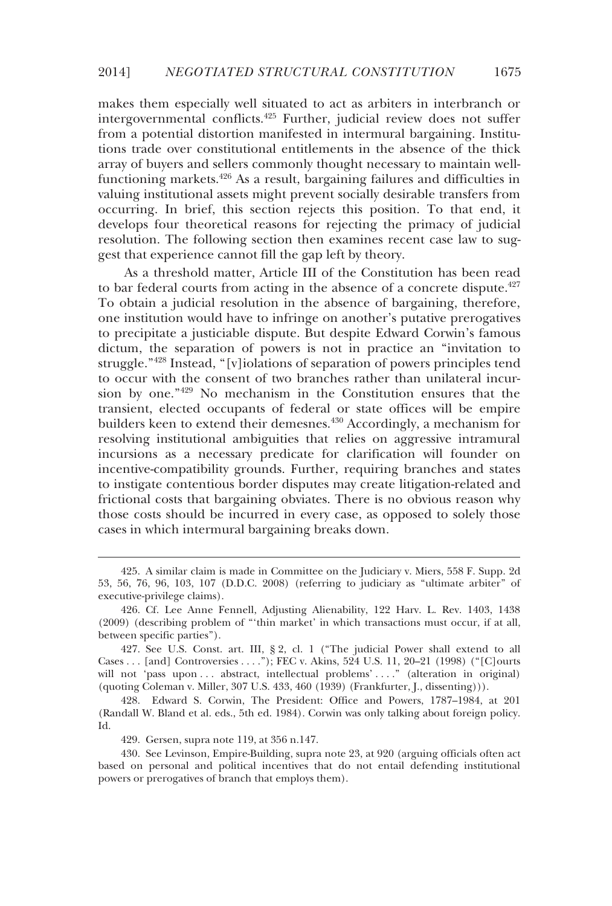makes them especially well situated to act as arbiters in interbranch or intergovernmental conflicts.425 Further, judicial review does not suffer from a potential distortion manifested in intermural bargaining. Institutions trade over constitutional entitlements in the absence of the thick array of buyers and sellers commonly thought necessary to maintain wellfunctioning markets.<sup>426</sup> As a result, bargaining failures and difficulties in valuing institutional assets might prevent socially desirable transfers from occurring. In brief, this section rejects this position. To that end, it develops four theoretical reasons for rejecting the primacy of judicial resolution. The following section then examines recent case law to suggest that experience cannot fill the gap left by theory.

As a threshold matter, Article III of the Constitution has been read to bar federal courts from acting in the absence of a concrete dispute.<sup> $427$ </sup> To obtain a judicial resolution in the absence of bargaining, therefore, one institution would have to infringe on another's putative prerogatives to precipitate a justiciable dispute. But despite Edward Corwin's famous dictum, the separation of powers is not in practice an "invitation to struggle."428 Instead, "[v]iolations of separation of powers principles tend to occur with the consent of two branches rather than unilateral incursion by one."429 No mechanism in the Constitution ensures that the transient, elected occupants of federal or state offices will be empire builders keen to extend their demesnes.<sup>430</sup> Accordingly, a mechanism for resolving institutional ambiguities that relies on aggressive intramural incursions as a necessary predicate for clarification will founder on incentive-compatibility grounds. Further, requiring branches and states to instigate contentious border disputes may create litigation-related and frictional costs that bargaining obviates. There is no obvious reason why those costs should be incurred in every case, as opposed to solely those cases in which intermural bargaining breaks down.

 <sup>425.</sup> A similar claim is made in Committee on the Judiciary v. Miers, 558 F. Supp. 2d 53, 56, 76, 96, 103, 107 (D.D.C. 2008) (referring to judiciary as "ultimate arbiter" of executive-privilege claims).

 <sup>426.</sup> Cf. Lee Anne Fennell, Adjusting Alienability, 122 Harv. L. Rev. 1403, 1438 (2009) (describing problem of "'thin market' in which transactions must occur, if at all, between specific parties").

 <sup>427.</sup> See U.S. Const. art. III, § 2, cl. 1 ("The judicial Power shall extend to all Cases . . . [and] Controversies . . . ."); FEC v. Akins, 524 U.S. 11, 20–21 (1998) ("[C]ourts will not 'pass upon ... abstract, intellectual problems' ...." (alteration in original) (quoting Coleman v. Miller, 307 U.S. 433, 460 (1939) (Frankfurter, J., dissenting))).

 <sup>428.</sup> Edward S. Corwin, The President: Office and Powers, 1787–1984, at 201 (Randall W. Bland et al. eds., 5th ed. 1984). Corwin was only talking about foreign policy. Id.

 <sup>429.</sup> Gersen, supra note 119, at 356 n.147.

 <sup>430.</sup> See Levinson, Empire-Building, supra note 23, at 920 (arguing officials often act based on personal and political incentives that do not entail defending institutional powers or prerogatives of branch that employs them).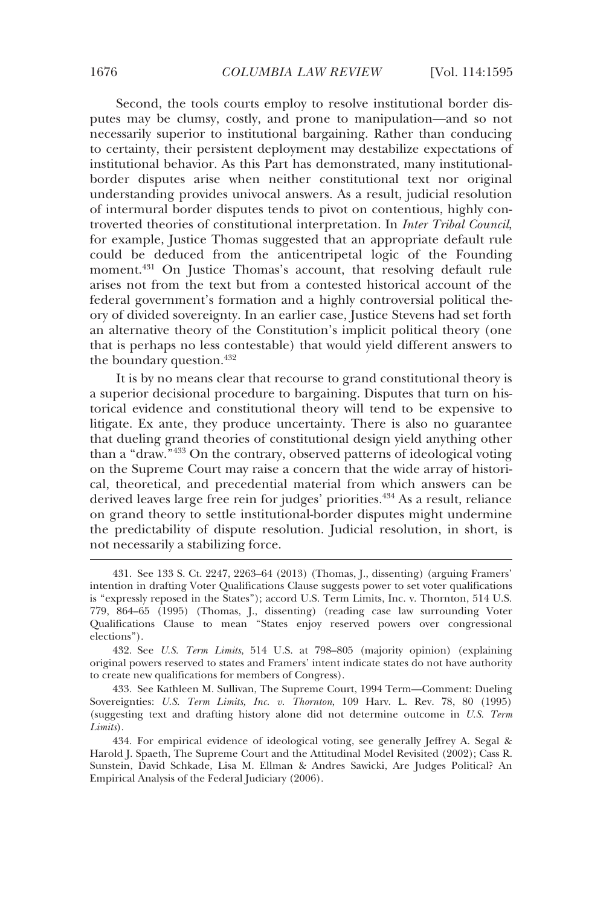Second, the tools courts employ to resolve institutional border disputes may be clumsy, costly, and prone to manipulation—and so not necessarily superior to institutional bargaining. Rather than conducing to certainty, their persistent deployment may destabilize expectations of institutional behavior. As this Part has demonstrated, many institutionalborder disputes arise when neither constitutional text nor original understanding provides univocal answers. As a result, judicial resolution of intermural border disputes tends to pivot on contentious, highly controverted theories of constitutional interpretation. In *Inter Tribal Council*, for example, Justice Thomas suggested that an appropriate default rule could be deduced from the anticentripetal logic of the Founding moment.<sup>431</sup> On Justice Thomas's account, that resolving default rule arises not from the text but from a contested historical account of the federal government's formation and a highly controversial political theory of divided sovereignty. In an earlier case, Justice Stevens had set forth an alternative theory of the Constitution's implicit political theory (one that is perhaps no less contestable) that would yield different answers to the boundary question.<sup>432</sup>

It is by no means clear that recourse to grand constitutional theory is a superior decisional procedure to bargaining. Disputes that turn on historical evidence and constitutional theory will tend to be expensive to litigate. Ex ante, they produce uncertainty. There is also no guarantee that dueling grand theories of constitutional design yield anything other than a "draw."433 On the contrary, observed patterns of ideological voting on the Supreme Court may raise a concern that the wide array of historical, theoretical, and precedential material from which answers can be derived leaves large free rein for judges' priorities.<sup>434</sup> As a result, reliance on grand theory to settle institutional-border disputes might undermine the predictability of dispute resolution. Judicial resolution, in short, is not necessarily a stabilizing force.

 433. See Kathleen M. Sullivan, The Supreme Court, 1994 Term—Comment: Dueling Sovereignties: *U.S. Term Limits, Inc. v. Thornton*, 109 Harv. L. Rev. 78, 80 (1995) (suggesting text and drafting history alone did not determine outcome in *U.S. Term Limits*).

 <sup>431.</sup> See 133 S. Ct. 2247, 2263–64 (2013) (Thomas, J., dissenting) (arguing Framers' intention in drafting Voter Qualifications Clause suggests power to set voter qualifications is "expressly reposed in the States"); accord U.S. Term Limits, Inc. v. Thornton, 514 U.S. 779, 864–65 (1995) (Thomas, J., dissenting) (reading case law surrounding Voter Qualifications Clause to mean "States enjoy reserved powers over congressional elections").

 <sup>432.</sup> See *U.S. Term Limits*, 514 U.S. at 798–805 (majority opinion) (explaining original powers reserved to states and Framers' intent indicate states do not have authority to create new qualifications for members of Congress).

 <sup>434.</sup> For empirical evidence of ideological voting, see generally Jeffrey A. Segal & Harold J. Spaeth, The Supreme Court and the Attitudinal Model Revisited (2002); Cass R. Sunstein, David Schkade, Lisa M. Ellman & Andres Sawicki, Are Judges Political? An Empirical Analysis of the Federal Judiciary (2006).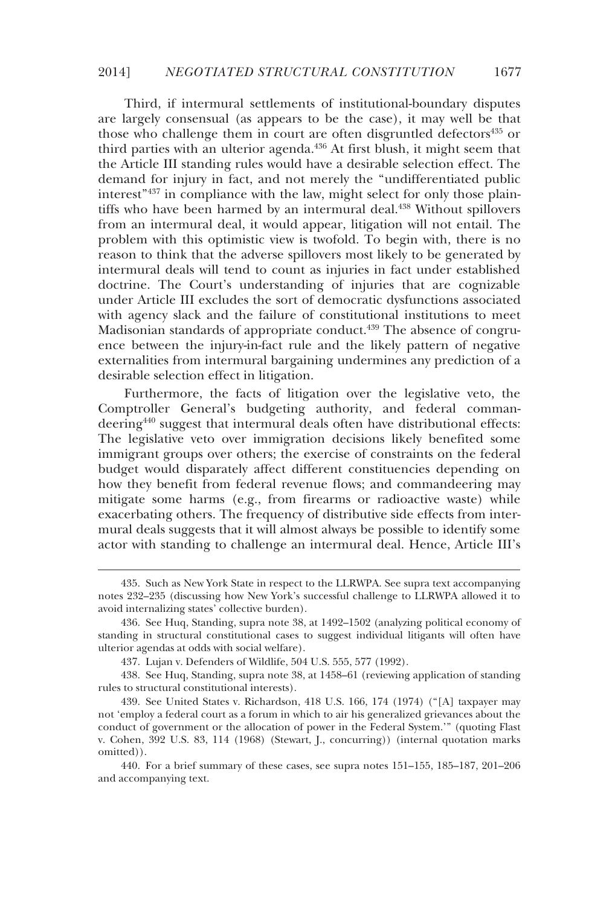Third, if intermural settlements of institutional-boundary disputes are largely consensual (as appears to be the case), it may well be that those who challenge them in court are often disgruntled defectors $435$  or third parties with an ulterior agenda.<sup>436</sup> At first blush, it might seem that the Article III standing rules would have a desirable selection effect. The demand for injury in fact, and not merely the "undifferentiated public interest<sup>"437</sup> in compliance with the law, might select for only those plaintiffs who have been harmed by an intermural deal.<sup>438</sup> Without spillovers from an intermural deal, it would appear, litigation will not entail. The problem with this optimistic view is twofold. To begin with, there is no reason to think that the adverse spillovers most likely to be generated by intermural deals will tend to count as injuries in fact under established doctrine. The Court's understanding of injuries that are cognizable under Article III excludes the sort of democratic dysfunctions associated with agency slack and the failure of constitutional institutions to meet Madisonian standards of appropriate conduct.<sup>439</sup> The absence of congruence between the injury-in-fact rule and the likely pattern of negative externalities from intermural bargaining undermines any prediction of a desirable selection effect in litigation.

Furthermore, the facts of litigation over the legislative veto, the Comptroller General's budgeting authority, and federal commandeering<sup>440</sup> suggest that intermural deals often have distributional effects: The legislative veto over immigration decisions likely benefited some immigrant groups over others; the exercise of constraints on the federal budget would disparately affect different constituencies depending on how they benefit from federal revenue flows; and commandeering may mitigate some harms (e.g., from firearms or radioactive waste) while exacerbating others. The frequency of distributive side effects from intermural deals suggests that it will almost always be possible to identify some actor with standing to challenge an intermural deal. Hence, Article III's

 <sup>435.</sup> Such as New York State in respect to the LLRWPA. See supra text accompanying notes 232–235 (discussing how New York's successful challenge to LLRWPA allowed it to avoid internalizing states' collective burden).

 <sup>436.</sup> See Huq, Standing, supra note 38, at 1492–1502 (analyzing political economy of standing in structural constitutional cases to suggest individual litigants will often have ulterior agendas at odds with social welfare).

 <sup>437.</sup> Lujan v. Defenders of Wildlife, 504 U.S. 555, 577 (1992).

 <sup>438.</sup> See Huq, Standing, supra note 38, at 1458–61 (reviewing application of standing rules to structural constitutional interests).

 <sup>439.</sup> See United States v. Richardson, 418 U.S. 166, 174 (1974) ("[A] taxpayer may not 'employ a federal court as a forum in which to air his generalized grievances about the conduct of government or the allocation of power in the Federal System.'" (quoting Flast v. Cohen, 392 U.S. 83, 114 (1968) (Stewart, J., concurring)) (internal quotation marks omitted)).

 <sup>440.</sup> For a brief summary of these cases, see supra notes 151–155, 185–187, 201–206 and accompanying text.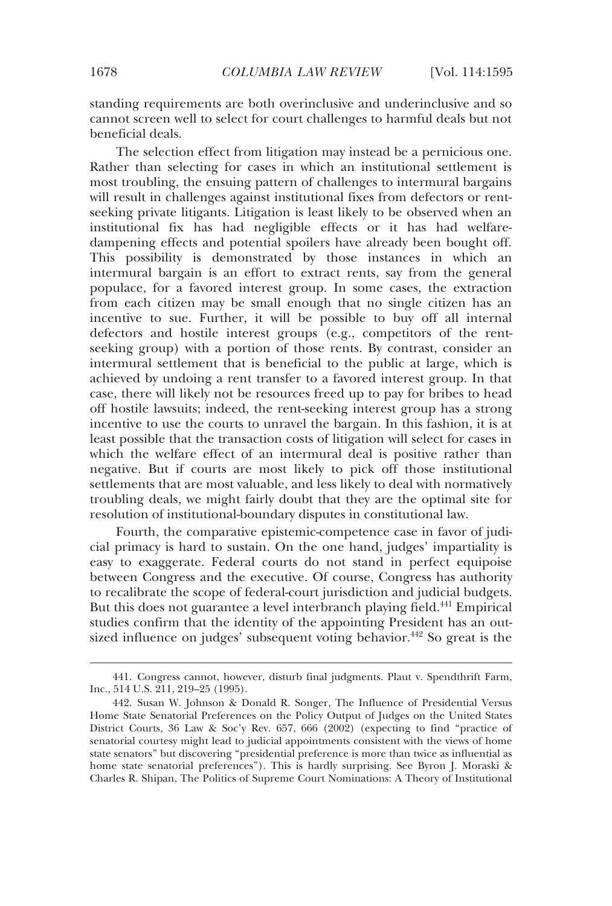standing requirements are both overinclusive and underinclusive and so cannot screen well to select for court challenges to harmful deals but not beneficial deals.

The selection effect from litigation may instead be a pernicious one. Rather than selecting for cases in which an institutional settlement is most troubling, the ensuing pattern of challenges to intermural bargains will result in challenges against institutional fixes from defectors or rentseeking private litigants. Litigation is least likely to be observed when an institutional fix has had negligible effects or it has had welfaredampening effects and potential spoilers have already been bought off. This possibility is demonstrated by those instances in which an intermural bargain is an effort to extract rents, say from the general populace, for a favored interest group. In some cases, the extraction from each citizen may be small enough that no single citizen has an incentive to sue. Further, it will be possible to buy off all internal defectors and hostile interest groups (e.g., competitors of the rentseeking group) with a portion of those rents. By contrast, consider an intermural settlement that is beneficial to the public at large, which is achieved by undoing a rent transfer to a favored interest group. In that case, there will likely not be resources freed up to pay for bribes to head off hostile lawsuits; indeed, the rent-seeking interest group has a strong incentive to use the courts to unravel the bargain. In this fashion, it is at least possible that the transaction costs of litigation will select for cases in which the welfare effect of an intermural deal is positive rather than negative. But if courts are most likely to pick off those institutional settlements that are most valuable, and less likely to deal with normatively troubling deals, we might fairly doubt that they are the optimal site for resolution of institutional-boundary disputes in constitutional law.

Fourth, the comparative epistemic-competence case in favor of judicial primacy is hard to sustain. On the one hand, judges' impartiality is easy to exaggerate. Federal courts do not stand in perfect equipoise between Congress and the executive. Of course, Congress has authority to recalibrate the scope of federal-court jurisdiction and judicial budgets. But this does not guarantee a level interbranch playing field.<sup>441</sup> Empirical studies confirm that the identity of the appointing President has an outsized influence on judges' subsequent voting behavior.<sup>442</sup> So great is the

 <sup>441.</sup> Congress cannot, however, disturb final judgments. Plaut v. Spendthrift Farm, Inc., 514 U.S. 211, 219–25 (1995).

 <sup>442.</sup> Susan W. Johnson & Donald R. Songer, The Influence of Presidential Versus Home State Senatorial Preferences on the Policy Output of Judges on the United States District Courts, 36 Law & Soc'y Rev. 657, 666 (2002) (expecting to find "practice of senatorial courtesy might lead to judicial appointments consistent with the views of home state senators" but discovering "presidential preference is more than twice as influential as home state senatorial preferences"). This is hardly surprising. See Byron J. Moraski & Charles R. Shipan, The Politics of Supreme Court Nominations: A Theory of Institutional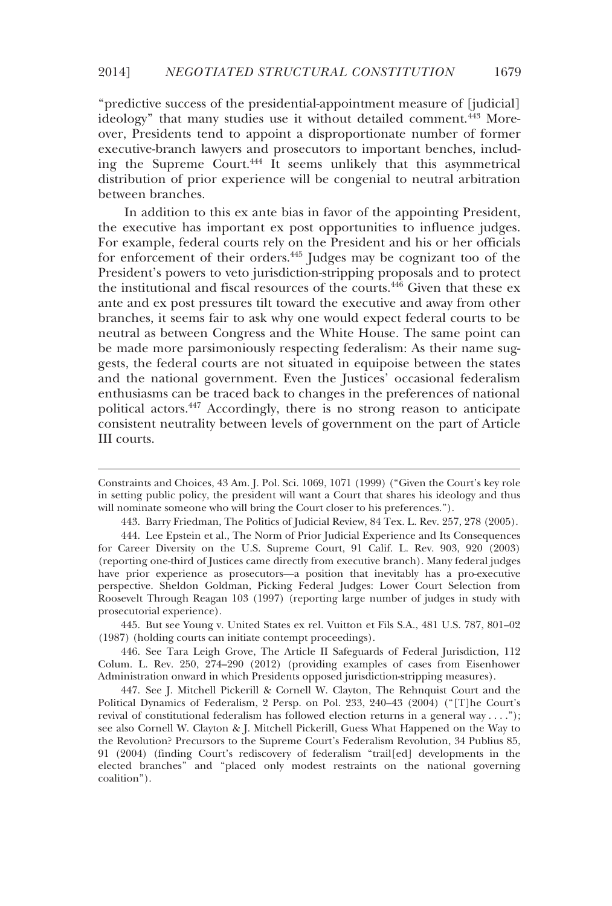"predictive success of the presidential-appointment measure of [judicial] ideology" that many studies use it without detailed comment.<sup>443</sup> Moreover, Presidents tend to appoint a disproportionate number of former executive-branch lawyers and prosecutors to important benches, including the Supreme Court.444 It seems unlikely that this asymmetrical distribution of prior experience will be congenial to neutral arbitration between branches.

In addition to this ex ante bias in favor of the appointing President, the executive has important ex post opportunities to influence judges. For example, federal courts rely on the President and his or her officials for enforcement of their orders.445 Judges may be cognizant too of the President's powers to veto jurisdiction-stripping proposals and to protect the institutional and fiscal resources of the courts.446 Given that these ex ante and ex post pressures tilt toward the executive and away from other branches, it seems fair to ask why one would expect federal courts to be neutral as between Congress and the White House. The same point can be made more parsimoniously respecting federalism: As their name suggests, the federal courts are not situated in equipoise between the states and the national government. Even the Justices' occasional federalism enthusiasms can be traced back to changes in the preferences of national political actors.447 Accordingly, there is no strong reason to anticipate consistent neutrality between levels of government on the part of Article III courts.

-

 445. But see Young v. United States ex rel. Vuitton et Fils S.A., 481 U.S. 787, 801–02 (1987) (holding courts can initiate contempt proceedings).

 446. See Tara Leigh Grove, The Article II Safeguards of Federal Jurisdiction, 112 Colum. L. Rev. 250, 274–290 (2012) (providing examples of cases from Eisenhower Administration onward in which Presidents opposed jurisdiction-stripping measures).

 447. See J. Mitchell Pickerill & Cornell W. Clayton, The Rehnquist Court and the Political Dynamics of Federalism, 2 Persp. on Pol. 233, 240–43 (2004) ("[T]he Court's revival of constitutional federalism has followed election returns in a general way . . . ."); see also Cornell W. Clayton & J. Mitchell Pickerill, Guess What Happened on the Way to the Revolution? Precursors to the Supreme Court's Federalism Revolution, 34 Publius 85, 91 (2004) (finding Court's rediscovery of federalism "trail[ed] developments in the elected branches" and "placed only modest restraints on the national governing coalition").

Constraints and Choices, 43 Am. J. Pol. Sci. 1069, 1071 (1999) ("Given the Court's key role in setting public policy, the president will want a Court that shares his ideology and thus will nominate someone who will bring the Court closer to his preferences.").

 <sup>443.</sup> Barry Friedman, The Politics of Judicial Review, 84 Tex. L. Rev. 257, 278 (2005).

 <sup>444.</sup> Lee Epstein et al., The Norm of Prior Judicial Experience and Its Consequences for Career Diversity on the U.S. Supreme Court, 91 Calif. L. Rev. 903, 920 (2003) (reporting one-third of Justices came directly from executive branch). Many federal judges have prior experience as prosecutors—a position that inevitably has a pro-executive perspective. Sheldon Goldman, Picking Federal Judges: Lower Court Selection from Roosevelt Through Reagan 103 (1997) (reporting large number of judges in study with prosecutorial experience).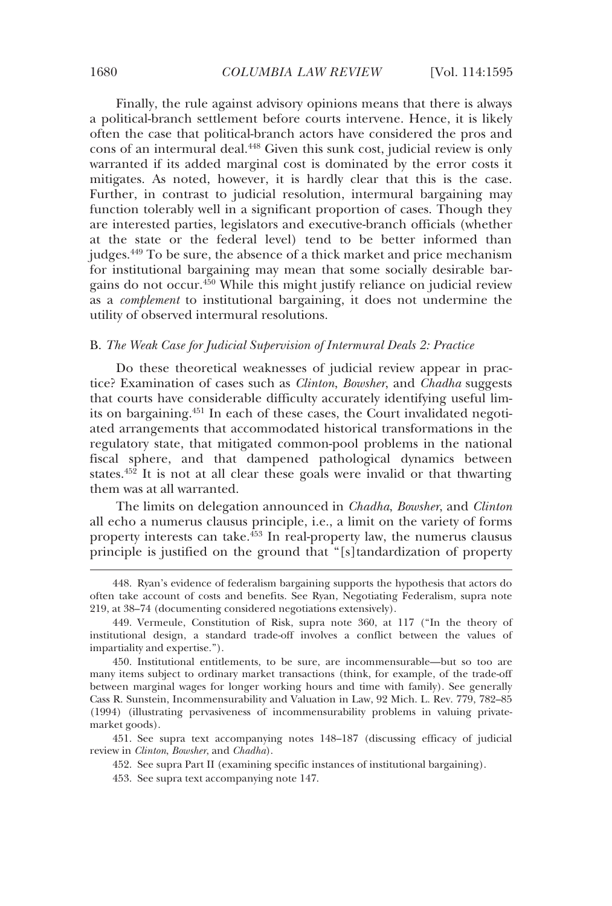Finally, the rule against advisory opinions means that there is always a political-branch settlement before courts intervene. Hence, it is likely often the case that political-branch actors have considered the pros and cons of an intermural deal.448 Given this sunk cost, judicial review is only warranted if its added marginal cost is dominated by the error costs it mitigates. As noted, however, it is hardly clear that this is the case. Further, in contrast to judicial resolution, intermural bargaining may function tolerably well in a significant proportion of cases. Though they are interested parties, legislators and executive-branch officials (whether at the state or the federal level) tend to be better informed than judges.449 To be sure, the absence of a thick market and price mechanism for institutional bargaining may mean that some socially desirable bargains do not occur.<sup>450</sup> While this might justify reliance on judicial review as a *complement* to institutional bargaining, it does not undermine the utility of observed intermural resolutions.

### B. *The Weak Case for Judicial Supervision of Intermural Deals 2: Practice*

Do these theoretical weaknesses of judicial review appear in practice? Examination of cases such as *Clinton*, *Bowsher*, and *Chadha* suggests that courts have considerable difficulty accurately identifying useful limits on bargaining.451 In each of these cases, the Court invalidated negotiated arrangements that accommodated historical transformations in the regulatory state, that mitigated common-pool problems in the national fiscal sphere, and that dampened pathological dynamics between states. $45\overline{2}$  It is not at all clear these goals were invalid or that thwarting them was at all warranted.

The limits on delegation announced in *Chadha*, *Bowsher*, and *Clinton*  all echo a numerus clausus principle, i.e., a limit on the variety of forms property interests can take.<sup>453</sup> In real-property law, the numerus clausus principle is justified on the ground that "[s]tandardization of property

 <sup>448.</sup> Ryan's evidence of federalism bargaining supports the hypothesis that actors do often take account of costs and benefits. See Ryan, Negotiating Federalism, supra note 219, at 38–74 (documenting considered negotiations extensively).

 <sup>449.</sup> Vermeule, Constitution of Risk, supra note 360, at 117 ("In the theory of institutional design, a standard trade-off involves a conflict between the values of impartiality and expertise.").

 <sup>450.</sup> Institutional entitlements, to be sure, are incommensurable—but so too are many items subject to ordinary market transactions (think, for example, of the trade-off between marginal wages for longer working hours and time with family). See generally Cass R. Sunstein, Incommensurability and Valuation in Law, 92 Mich. L. Rev. 779, 782–85 (1994) (illustrating pervasiveness of incommensurability problems in valuing privatemarket goods).

 <sup>451.</sup> See supra text accompanying notes 148–187 (discussing efficacy of judicial review in *Clinton*, *Bowsher*, and *Chadha*).

 <sup>452.</sup> See supra Part II (examining specific instances of institutional bargaining).

 <sup>453.</sup> See supra text accompanying note 147.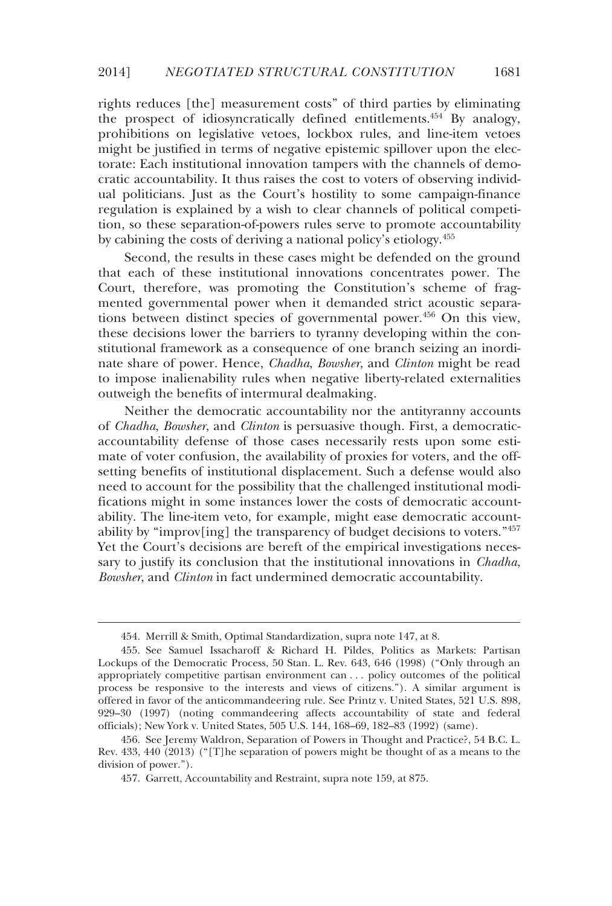rights reduces [the] measurement costs" of third parties by eliminating the prospect of idiosyncratically defined entitlements.454 By analogy, prohibitions on legislative vetoes, lockbox rules, and line-item vetoes might be justified in terms of negative epistemic spillover upon the electorate: Each institutional innovation tampers with the channels of democratic accountability. It thus raises the cost to voters of observing individual politicians. Just as the Court's hostility to some campaign-finance regulation is explained by a wish to clear channels of political competition, so these separation-of-powers rules serve to promote accountability by cabining the costs of deriving a national policy's etiology.455

Second, the results in these cases might be defended on the ground that each of these institutional innovations concentrates power. The Court, therefore, was promoting the Constitution's scheme of fragmented governmental power when it demanded strict acoustic separations between distinct species of governmental power.<sup>456</sup> On this view, these decisions lower the barriers to tyranny developing within the constitutional framework as a consequence of one branch seizing an inordinate share of power. Hence, *Chadha*, *Bowsher*, and *Clinton* might be read to impose inalienability rules when negative liberty-related externalities outweigh the benefits of intermural dealmaking.

Neither the democratic accountability nor the antityranny accounts of *Chadha*, *Bowsher*, and *Clinton* is persuasive though. First, a democraticaccountability defense of those cases necessarily rests upon some estimate of voter confusion, the availability of proxies for voters, and the offsetting benefits of institutional displacement. Such a defense would also need to account for the possibility that the challenged institutional modifications might in some instances lower the costs of democratic accountability. The line-item veto, for example, might ease democratic accountability by "improv[ing] the transparency of budget decisions to voters."457 Yet the Court's decisions are bereft of the empirical investigations necessary to justify its conclusion that the institutional innovations in *Chadha*, *Bowsher*, and *Clinton* in fact undermined democratic accountability.

 <sup>454.</sup> Merrill & Smith, Optimal Standardization, supra note 147, at 8.

 <sup>455.</sup> See Samuel Issacharoff & Richard H. Pildes, Politics as Markets: Partisan Lockups of the Democratic Process, 50 Stan. L. Rev. 643, 646 (1998) ("Only through an appropriately competitive partisan environment can . . . policy outcomes of the political process be responsive to the interests and views of citizens."). A similar argument is offered in favor of the anticommandeering rule. See Printz v. United States, 521 U.S. 898, 929–30 (1997) (noting commandeering affects accountability of state and federal officials); New York v. United States, 505 U.S. 144, 168–69, 182–83 (1992) (same).

 <sup>456.</sup> See Jeremy Waldron, Separation of Powers in Thought and Practice?, 54 B.C. L. Rev. 433, 440 (2013) ("[T]he separation of powers might be thought of as a means to the division of power.").

 <sup>457.</sup> Garrett, Accountability and Restraint, supra note 159, at 875.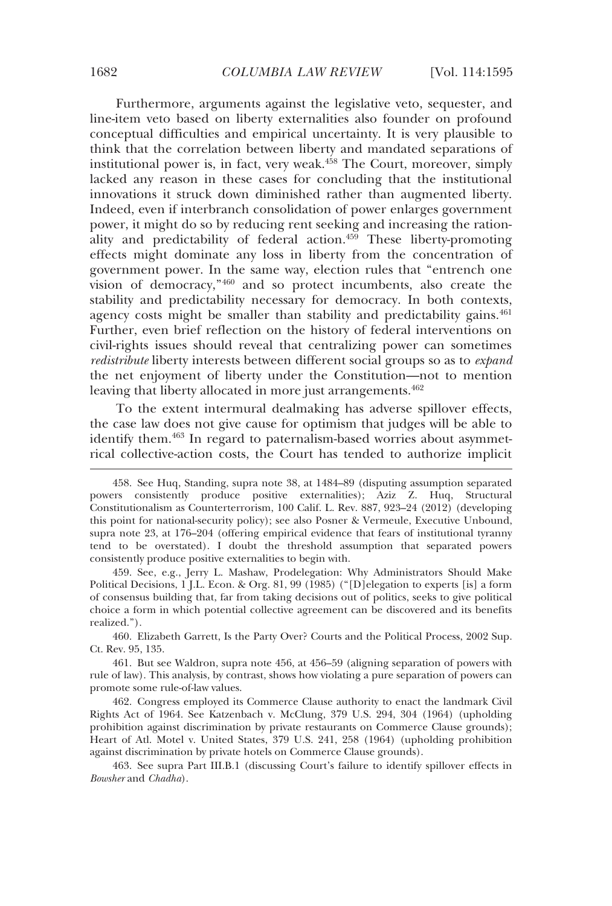Furthermore, arguments against the legislative veto, sequester, and line-item veto based on liberty externalities also founder on profound conceptual difficulties and empirical uncertainty. It is very plausible to think that the correlation between liberty and mandated separations of institutional power is, in fact, very weak.<sup>458</sup> The Court, moreover, simply lacked any reason in these cases for concluding that the institutional innovations it struck down diminished rather than augmented liberty. Indeed, even if interbranch consolidation of power enlarges government power, it might do so by reducing rent seeking and increasing the rationality and predictability of federal action.<sup>459</sup> These liberty-promoting effects might dominate any loss in liberty from the concentration of government power. In the same way, election rules that "entrench one vision of democracy,"460 and so protect incumbents, also create the stability and predictability necessary for democracy. In both contexts, agency costs might be smaller than stability and predictability gains.<sup>461</sup> Further, even brief reflection on the history of federal interventions on civil-rights issues should reveal that centralizing power can sometimes *redistribute* liberty interests between different social groups so as to *expand* the net enjoyment of liberty under the Constitution—not to mention leaving that liberty allocated in more just arrangements.<sup>462</sup>

To the extent intermural dealmaking has adverse spillover effects, the case law does not give cause for optimism that judges will be able to identify them.<sup>463</sup> In regard to paternalism-based worries about asymmetrical collective-action costs, the Court has tended to authorize implicit

 460. Elizabeth Garrett, Is the Party Over? Courts and the Political Process, 2002 Sup. Ct. Rev. 95, 135.

 461. But see Waldron, supra note 456, at 456–59 (aligning separation of powers with rule of law). This analysis, by contrast, shows how violating a pure separation of powers can promote some rule-of-law values.

 462. Congress employed its Commerce Clause authority to enact the landmark Civil Rights Act of 1964. See Katzenbach v. McClung, 379 U.S. 294, 304 (1964) (upholding prohibition against discrimination by private restaurants on Commerce Clause grounds); Heart of Atl. Motel v. United States, 379 U.S. 241, 258 (1964) (upholding prohibition against discrimination by private hotels on Commerce Clause grounds).

 463. See supra Part III.B.1 (discussing Court's failure to identify spillover effects in *Bowsher* and *Chadha*).

 <sup>458.</sup> See Huq, Standing, supra note 38, at 1484–89 (disputing assumption separated powers consistently produce positive externalities); Aziz Z. Huq, Structural Constitutionalism as Counterterrorism, 100 Calif. L. Rev. 887, 923–24 (2012) (developing this point for national-security policy); see also Posner & Vermeule, Executive Unbound, supra note 23, at 176–204 (offering empirical evidence that fears of institutional tyranny tend to be overstated). I doubt the threshold assumption that separated powers consistently produce positive externalities to begin with.

 <sup>459.</sup> See, e.g., Jerry L. Mashaw, Prodelegation: Why Administrators Should Make Political Decisions, 1 J.L. Econ. & Org. 81, 99 (1985) ("[D]elegation to experts [is] a form of consensus building that, far from taking decisions out of politics, seeks to give political choice a form in which potential collective agreement can be discovered and its benefits realized.").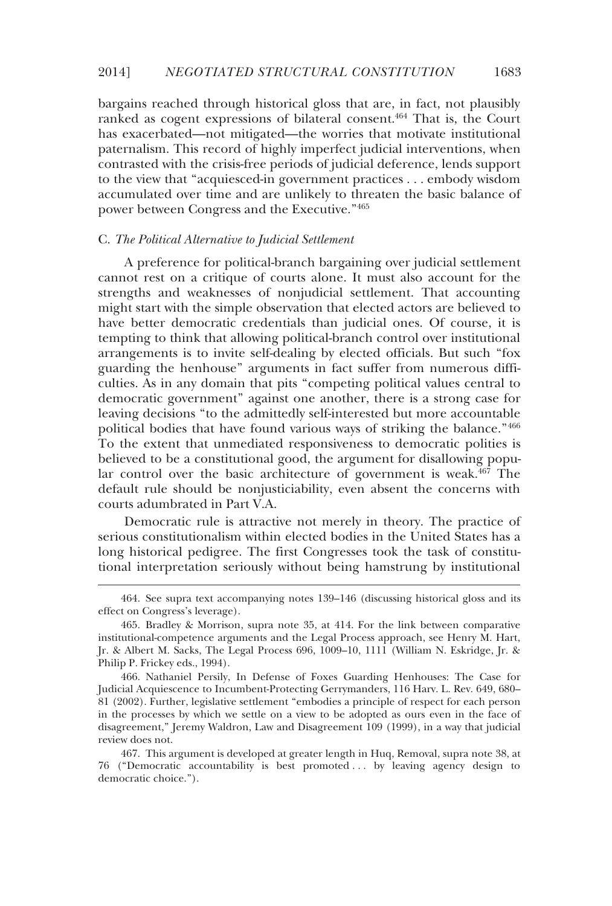bargains reached through historical gloss that are, in fact, not plausibly ranked as cogent expressions of bilateral consent.<sup>464</sup> That is, the Court has exacerbated—not mitigated—the worries that motivate institutional paternalism. This record of highly imperfect judicial interventions, when contrasted with the crisis-free periods of judicial deference, lends support to the view that "acquiesced-in government practices . . . embody wisdom accumulated over time and are unlikely to threaten the basic balance of power between Congress and the Executive."465

### C. *The Political Alternative to Judicial Settlement*

-

A preference for political-branch bargaining over judicial settlement cannot rest on a critique of courts alone. It must also account for the strengths and weaknesses of nonjudicial settlement. That accounting might start with the simple observation that elected actors are believed to have better democratic credentials than judicial ones. Of course, it is tempting to think that allowing political-branch control over institutional arrangements is to invite self-dealing by elected officials. But such "fox guarding the henhouse" arguments in fact suffer from numerous difficulties. As in any domain that pits "competing political values central to democratic government" against one another, there is a strong case for leaving decisions "to the admittedly self-interested but more accountable political bodies that have found various ways of striking the balance."466 To the extent that unmediated responsiveness to democratic polities is believed to be a constitutional good, the argument for disallowing popular control over the basic architecture of government is weak.<sup>467</sup> The default rule should be nonjusticiability, even absent the concerns with courts adumbrated in Part V.A.

Democratic rule is attractive not merely in theory. The practice of serious constitutionalism within elected bodies in the United States has a long historical pedigree. The first Congresses took the task of constitutional interpretation seriously without being hamstrung by institutional

 <sup>464.</sup> See supra text accompanying notes 139–146 (discussing historical gloss and its effect on Congress's leverage).

 <sup>465.</sup> Bradley & Morrison, supra note 35, at 414. For the link between comparative institutional-competence arguments and the Legal Process approach, see Henry M. Hart, Jr. & Albert M. Sacks, The Legal Process 696, 1009–10, 1111 (William N. Eskridge, Jr. & Philip P. Frickey eds., 1994).

 <sup>466.</sup> Nathaniel Persily, In Defense of Foxes Guarding Henhouses: The Case for Judicial Acquiescence to Incumbent-Protecting Gerrymanders, 116 Harv. L. Rev. 649, 680– 81 (2002). Further, legislative settlement "embodies a principle of respect for each person in the processes by which we settle on a view to be adopted as ours even in the face of disagreement," Jeremy Waldron, Law and Disagreement 109 (1999), in a way that judicial review does not.

 <sup>467.</sup> This argument is developed at greater length in Huq, Removal, supra note 38, at 76 ("Democratic accountability is best promoted . . . by leaving agency design to democratic choice.").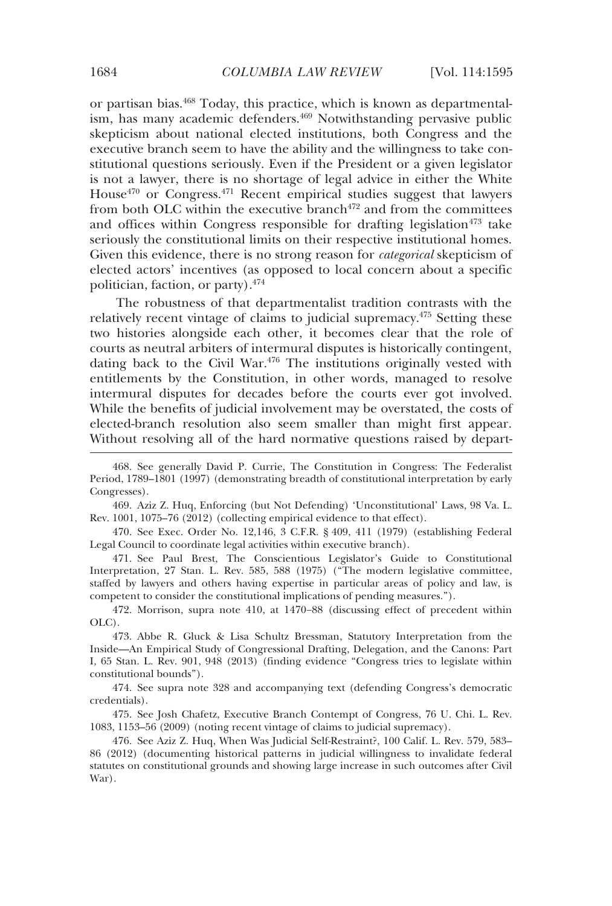or partisan bias.468 Today, this practice, which is known as departmentalism, has many academic defenders.<sup>469</sup> Notwithstanding pervasive public skepticism about national elected institutions, both Congress and the executive branch seem to have the ability and the willingness to take constitutional questions seriously. Even if the President or a given legislator is not a lawyer, there is no shortage of legal advice in either the White House<sup> $470$ </sup> or Congress.<sup> $471$ </sup> Recent empirical studies suggest that lawyers from both OLC within the executive branch<sup>472</sup> and from the committees and offices within Congress responsible for drafting legislation<sup> $473$ </sup> take seriously the constitutional limits on their respective institutional homes. Given this evidence, there is no strong reason for *categorical* skepticism of elected actors' incentives (as opposed to local concern about a specific politician, faction, or party).474

The robustness of that departmentalist tradition contrasts with the relatively recent vintage of claims to judicial supremacy.<sup>475</sup> Setting these two histories alongside each other, it becomes clear that the role of courts as neutral arbiters of intermural disputes is historically contingent, dating back to the Civil War.<sup>476</sup> The institutions originally vested with entitlements by the Constitution, in other words, managed to resolve intermural disputes for decades before the courts ever got involved. While the benefits of judicial involvement may be overstated, the costs of elected-branch resolution also seem smaller than might first appear. Without resolving all of the hard normative questions raised by depart-

 469. Aziz Z. Huq, Enforcing (but Not Defending) 'Unconstitutional' Laws, 98 Va. L. Rev. 1001, 1075–76 (2012) (collecting empirical evidence to that effect).

 470. See Exec. Order No. 12,146, 3 C.F.R. § 409, 411 (1979) (establishing Federal Legal Council to coordinate legal activities within executive branch).

 471. See Paul Brest, The Conscientious Legislator's Guide to Constitutional Interpretation, 27 Stan. L. Rev. 585, 588 (1975) ("The modern legislative committee, staffed by lawyers and others having expertise in particular areas of policy and law, is competent to consider the constitutional implications of pending measures.").

 472. Morrison, supra note 410, at 1470−88 (discussing effect of precedent within OLC).

 473. Abbe R. Gluck & Lisa Schultz Bressman, Statutory Interpretation from the Inside—An Empirical Study of Congressional Drafting, Delegation, and the Canons: Part I, 65 Stan. L. Rev. 901, 948 (2013) (finding evidence "Congress tries to legislate within constitutional bounds").

 474. See supra note 328 and accompanying text (defending Congress's democratic credentials).

 475. See Josh Chafetz, Executive Branch Contempt of Congress, 76 U. Chi. L. Rev. 1083, 1153–56 (2009) (noting recent vintage of claims to judicial supremacy).

 476. See Aziz Z. Huq, When Was Judicial Self-Restraint?, 100 Calif. L. Rev. 579, 583– 86 (2012) (documenting historical patterns in judicial willingness to invalidate federal statutes on constitutional grounds and showing large increase in such outcomes after Civil War).

 <sup>468.</sup> See generally David P. Currie, The Constitution in Congress: The Federalist Period, 1789–1801 (1997) (demonstrating breadth of constitutional interpretation by early Congresses).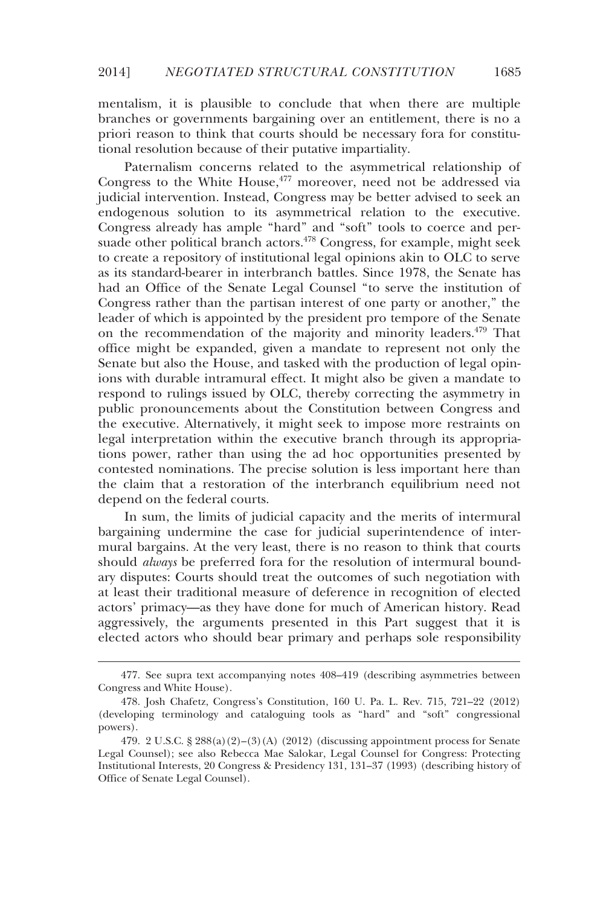mentalism, it is plausible to conclude that when there are multiple branches or governments bargaining over an entitlement, there is no a priori reason to think that courts should be necessary fora for constitutional resolution because of their putative impartiality.

Paternalism concerns related to the asymmetrical relationship of Congress to the White House, <sup>477</sup> moreover, need not be addressed via judicial intervention. Instead, Congress may be better advised to seek an endogenous solution to its asymmetrical relation to the executive. Congress already has ample "hard" and "soft" tools to coerce and persuade other political branch actors.<sup>478</sup> Congress, for example, might seek to create a repository of institutional legal opinions akin to OLC to serve as its standard-bearer in interbranch battles. Since 1978, the Senate has had an Office of the Senate Legal Counsel "to serve the institution of Congress rather than the partisan interest of one party or another," the leader of which is appointed by the president pro tempore of the Senate on the recommendation of the majority and minority leaders.<sup>479</sup> That office might be expanded, given a mandate to represent not only the Senate but also the House, and tasked with the production of legal opinions with durable intramural effect. It might also be given a mandate to respond to rulings issued by OLC, thereby correcting the asymmetry in public pronouncements about the Constitution between Congress and the executive. Alternatively, it might seek to impose more restraints on legal interpretation within the executive branch through its appropriations power, rather than using the ad hoc opportunities presented by contested nominations. The precise solution is less important here than the claim that a restoration of the interbranch equilibrium need not depend on the federal courts.

In sum, the limits of judicial capacity and the merits of intermural bargaining undermine the case for judicial superintendence of intermural bargains. At the very least, there is no reason to think that courts should *always* be preferred fora for the resolution of intermural boundary disputes: Courts should treat the outcomes of such negotiation with at least their traditional measure of deference in recognition of elected actors' primacy—as they have done for much of American history. Read aggressively, the arguments presented in this Part suggest that it is elected actors who should bear primary and perhaps sole responsibility

 <sup>477.</sup> See supra text accompanying notes 408–419 (describing asymmetries between Congress and White House).

 <sup>478.</sup> Josh Chafetz, Congress's Constitution, 160 U. Pa. L. Rev. 715, 721–22 (2012) (developing terminology and cataloguing tools as "hard" and "soft" congressional powers).

 <sup>479. 2</sup> U.S.C. § 288(a)(2)–(3)(A) (2012) (discussing appointment process for Senate Legal Counsel); see also Rebecca Mae Salokar, Legal Counsel for Congress: Protecting Institutional Interests, 20 Congress & Presidency 131, 131–37 (1993) (describing history of Office of Senate Legal Counsel).